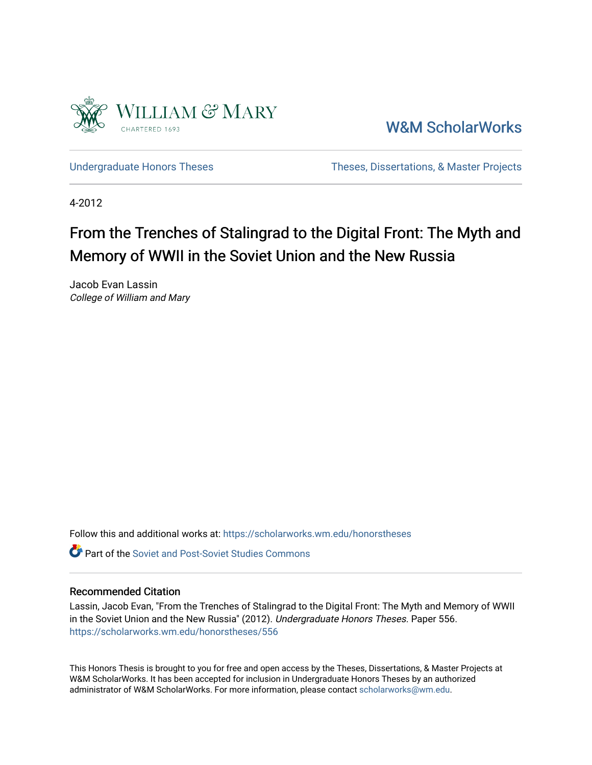

[W&M ScholarWorks](https://scholarworks.wm.edu/) 

[Undergraduate Honors Theses](https://scholarworks.wm.edu/honorstheses) Theses Theses, Dissertations, & Master Projects

4-2012

# From the Trenches of Stalingrad to the Digital Front: The Myth and Memory of WWII in the Soviet Union and the New Russia

Jacob Evan Lassin College of William and Mary

Follow this and additional works at: [https://scholarworks.wm.edu/honorstheses](https://scholarworks.wm.edu/honorstheses?utm_source=scholarworks.wm.edu%2Fhonorstheses%2F556&utm_medium=PDF&utm_campaign=PDFCoverPages) 

**C** Part of the Soviet and Post-Soviet Studies Commons

### Recommended Citation

Lassin, Jacob Evan, "From the Trenches of Stalingrad to the Digital Front: The Myth and Memory of WWII in the Soviet Union and the New Russia" (2012). Undergraduate Honors Theses. Paper 556. [https://scholarworks.wm.edu/honorstheses/556](https://scholarworks.wm.edu/honorstheses/556?utm_source=scholarworks.wm.edu%2Fhonorstheses%2F556&utm_medium=PDF&utm_campaign=PDFCoverPages) 

This Honors Thesis is brought to you for free and open access by the Theses, Dissertations, & Master Projects at W&M ScholarWorks. It has been accepted for inclusion in Undergraduate Honors Theses by an authorized administrator of W&M ScholarWorks. For more information, please contact [scholarworks@wm.edu.](mailto:scholarworks@wm.edu)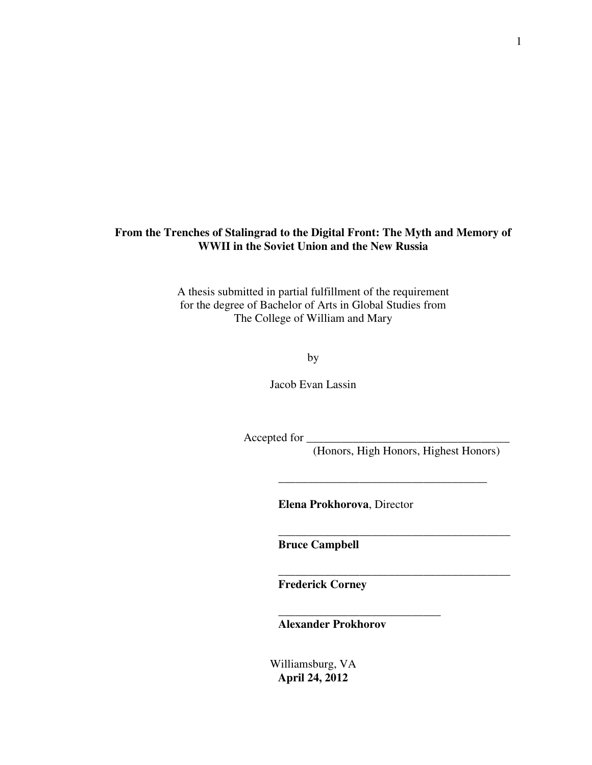## **From the Trenches of Stalingrad to the Digital Front: The Myth and Memory of WWII in the Soviet Union and the New Russia**

A thesis submitted in partial fulfillment of the requirement for the degree of Bachelor of Arts in Global Studies from The College of William and Mary

by

Jacob Evan Lassin

Accepted for \_\_\_\_\_\_\_\_\_\_\_\_\_\_\_\_\_\_\_\_\_\_\_\_\_\_\_\_\_\_\_\_\_\_\_

(Honors, High Honors, Highest Honors)

\_\_\_\_\_\_\_\_\_\_\_\_\_\_\_\_\_\_\_\_\_\_\_\_\_\_\_\_\_\_\_\_\_\_\_\_

\_\_\_\_\_\_\_\_\_\_\_\_\_\_\_\_\_\_\_\_\_\_\_\_\_\_\_\_\_\_\_\_\_\_\_\_\_\_\_\_

\_\_\_\_\_\_\_\_\_\_\_\_\_\_\_\_\_\_\_\_\_\_\_\_\_\_\_\_\_\_\_\_\_\_\_\_\_\_\_\_

**Elena Prokhorova**, Director

**Bruce Campbell** 

**Frederick Corney** 

**Alexander Prokhorov** 

\_\_\_\_\_\_\_\_\_\_\_\_\_\_\_\_\_\_\_\_\_\_\_\_\_\_\_\_

Williamsburg, VA **April 24, 2012**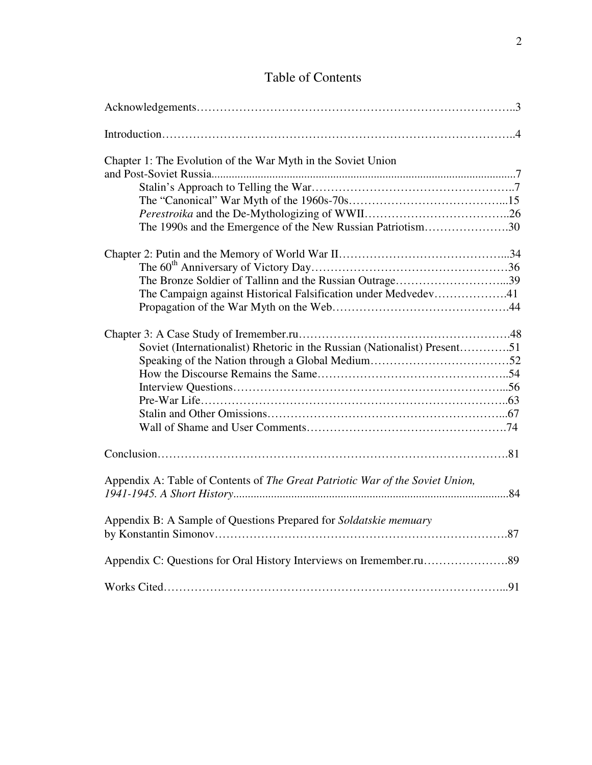# Table of Contents

| Chapter 1: The Evolution of the War Myth in the Soviet Union                                                              |
|---------------------------------------------------------------------------------------------------------------------------|
| The 1990s and the Emergence of the New Russian Patriotism30                                                               |
| The Bronze Soldier of Tallinn and the Russian Outrage39<br>The Campaign against Historical Falsification under Medvedev41 |
| Soviet (Internationalist) Rhetoric in the Russian (Nationalist) Present51                                                 |
|                                                                                                                           |
| Appendix A: Table of Contents of The Great Patriotic War of the Soviet Union,                                             |
| Appendix B: A Sample of Questions Prepared for Soldatskie memuary                                                         |
|                                                                                                                           |
|                                                                                                                           |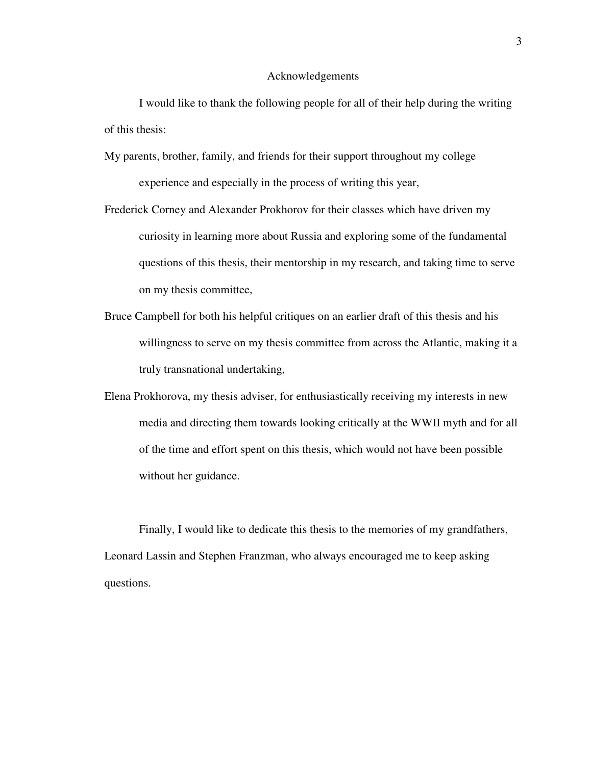### Acknowledgements

 I would like to thank the following people for all of their help during the writing of this thesis:

- My parents, brother, family, and friends for their support throughout my college experience and especially in the process of writing this year,
- Frederick Corney and Alexander Prokhorov for their classes which have driven my curiosity in learning more about Russia and exploring some of the fundamental questions of this thesis, their mentorship in my research, and taking time to serve on my thesis committee,
- Bruce Campbell for both his helpful critiques on an earlier draft of this thesis and his willingness to serve on my thesis committee from across the Atlantic, making it a truly transnational undertaking,
- Elena Prokhorova, my thesis adviser, for enthusiastically receiving my interests in new media and directing them towards looking critically at the WWII myth and for all of the time and effort spent on this thesis, which would not have been possible without her guidance.

 Finally, I would like to dedicate this thesis to the memories of my grandfathers, Leonard Lassin and Stephen Franzman, who always encouraged me to keep asking questions.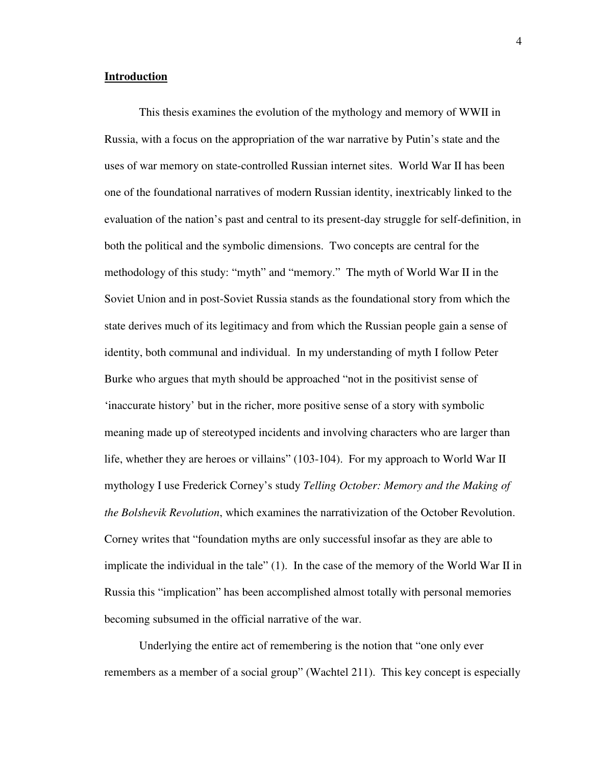### **Introduction**

This thesis examines the evolution of the mythology and memory of WWII in Russia, with a focus on the appropriation of the war narrative by Putin's state and the uses of war memory on state-controlled Russian internet sites. World War II has been one of the foundational narratives of modern Russian identity, inextricably linked to the evaluation of the nation's past and central to its present-day struggle for self-definition, in both the political and the symbolic dimensions. Two concepts are central for the methodology of this study: "myth" and "memory." The myth of World War II in the Soviet Union and in post-Soviet Russia stands as the foundational story from which the state derives much of its legitimacy and from which the Russian people gain a sense of identity, both communal and individual. In my understanding of myth I follow Peter Burke who argues that myth should be approached "not in the positivist sense of 'inaccurate history' but in the richer, more positive sense of a story with symbolic meaning made up of stereotyped incidents and involving characters who are larger than life, whether they are heroes or villains" (103-104). For my approach to World War II mythology I use Frederick Corney's study *Telling October: Memory and the Making of the Bolshevik Revolution*, which examines the narrativization of the October Revolution. Corney writes that "foundation myths are only successful insofar as they are able to implicate the individual in the tale" (1). In the case of the memory of the World War II in Russia this "implication" has been accomplished almost totally with personal memories becoming subsumed in the official narrative of the war.

Underlying the entire act of remembering is the notion that "one only ever remembers as a member of a social group" (Wachtel 211). This key concept is especially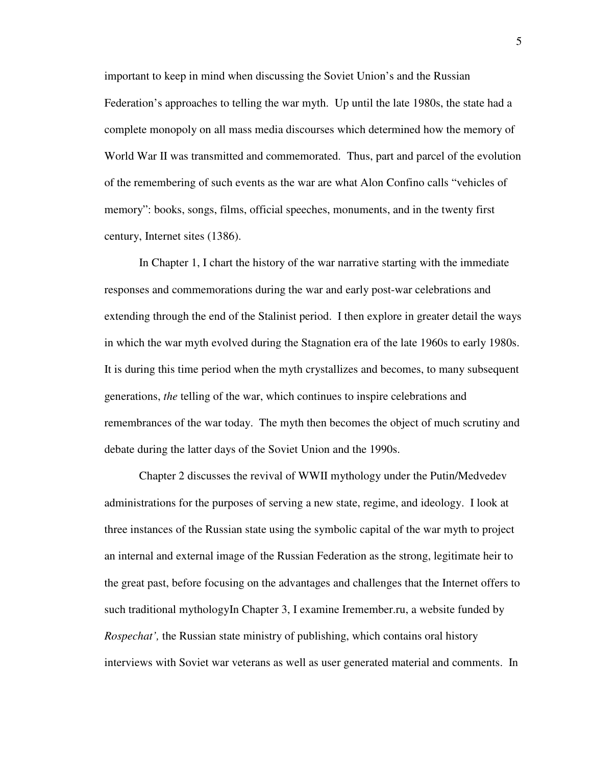important to keep in mind when discussing the Soviet Union's and the Russian Federation's approaches to telling the war myth. Up until the late 1980s, the state had a complete monopoly on all mass media discourses which determined how the memory of World War II was transmitted and commemorated. Thus, part and parcel of the evolution of the remembering of such events as the war are what Alon Confino calls "vehicles of memory": books, songs, films, official speeches, monuments, and in the twenty first century, Internet sites (1386).

In Chapter 1, I chart the history of the war narrative starting with the immediate responses and commemorations during the war and early post-war celebrations and extending through the end of the Stalinist period. I then explore in greater detail the ways in which the war myth evolved during the Stagnation era of the late 1960s to early 1980s. It is during this time period when the myth crystallizes and becomes, to many subsequent generations, *the* telling of the war, which continues to inspire celebrations and remembrances of the war today. The myth then becomes the object of much scrutiny and debate during the latter days of the Soviet Union and the 1990s.

Chapter 2 discusses the revival of WWII mythology under the Putin/Medvedev administrations for the purposes of serving a new state, regime, and ideology. I look at three instances of the Russian state using the symbolic capital of the war myth to project an internal and external image of the Russian Federation as the strong, legitimate heir to the great past, before focusing on the advantages and challenges that the Internet offers to such traditional mythologyIn Chapter 3, I examine Iremember.ru, a website funded by *Rospechat',* the Russian state ministry of publishing, which contains oral history interviews with Soviet war veterans as well as user generated material and comments. In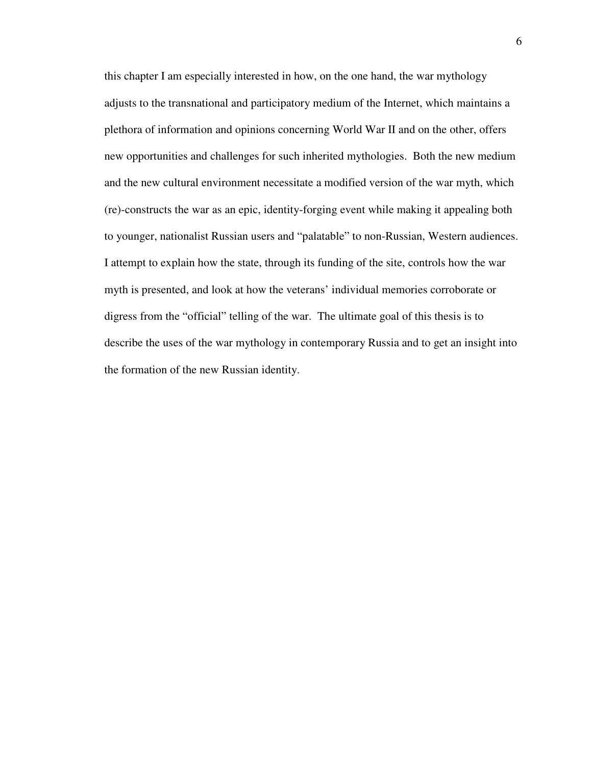this chapter I am especially interested in how, on the one hand, the war mythology adjusts to the transnational and participatory medium of the Internet, which maintains a plethora of information and opinions concerning World War II and on the other, offers new opportunities and challenges for such inherited mythologies. Both the new medium and the new cultural environment necessitate a modified version of the war myth, which (re)-constructs the war as an epic, identity-forging event while making it appealing both to younger, nationalist Russian users and "palatable" to non-Russian, Western audiences. I attempt to explain how the state, through its funding of the site, controls how the war myth is presented, and look at how the veterans' individual memories corroborate or digress from the "official" telling of the war. The ultimate goal of this thesis is to describe the uses of the war mythology in contemporary Russia and to get an insight into the formation of the new Russian identity.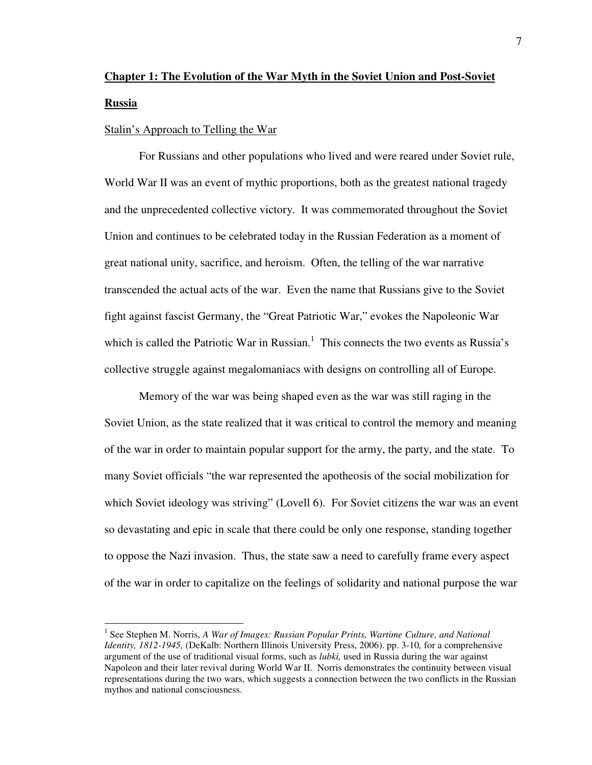# **Chapter 1: The Evolution of the War Myth in the Soviet Union and Post-Soviet Russia**

### Stalin's Approach to Telling the War

 $\overline{a}$ 

 For Russians and other populations who lived and were reared under Soviet rule, World War II was an event of mythic proportions, both as the greatest national tragedy and the unprecedented collective victory. It was commemorated throughout the Soviet Union and continues to be celebrated today in the Russian Federation as a moment of great national unity, sacrifice, and heroism. Often, the telling of the war narrative transcended the actual acts of the war. Even the name that Russians give to the Soviet fight against fascist Germany, the "Great Patriotic War," evokes the Napoleonic War which is called the Patriotic War in Russian.<sup>1</sup> This connects the two events as Russia's collective struggle against megalomaniacs with designs on controlling all of Europe.

 Memory of the war was being shaped even as the war was still raging in the Soviet Union, as the state realized that it was critical to control the memory and meaning of the war in order to maintain popular support for the army, the party, and the state. To many Soviet officials "the war represented the apotheosis of the social mobilization for which Soviet ideology was striving" (Lovell 6). For Soviet citizens the war was an event so devastating and epic in scale that there could be only one response, standing together to oppose the Nazi invasion. Thus, the state saw a need to carefully frame every aspect of the war in order to capitalize on the feelings of solidarity and national purpose the war

<sup>&</sup>lt;sup>1</sup> See Stephen M. Norris, *A War of Images: Russian Popular Prints, Wartime Culture, and National Identity, 1812-1945,* (DeKalb: Northern Illinois University Press, 2006). pp. 3-10*,* for a comprehensive argument of the use of traditional visual forms, such as *lubki,* used in Russia during the war against Napoleon and their later revival during World War II. Norris demonstrates the continuity between visual representations during the two wars, which suggests a connection between the two conflicts in the Russian mythos and national consciousness.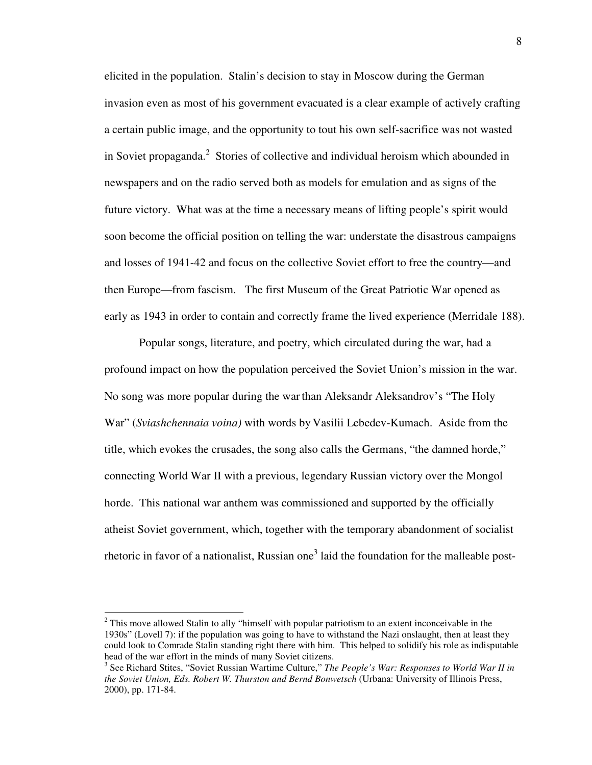elicited in the population. Stalin's decision to stay in Moscow during the German invasion even as most of his government evacuated is a clear example of actively crafting a certain public image, and the opportunity to tout his own self-sacrifice was not wasted in Soviet propaganda.<sup>2</sup> Stories of collective and individual heroism which abounded in newspapers and on the radio served both as models for emulation and as signs of the future victory. What was at the time a necessary means of lifting people's spirit would soon become the official position on telling the war: understate the disastrous campaigns and losses of 1941-42 and focus on the collective Soviet effort to free the country—and then Europe—from fascism. The first Museum of the Great Patriotic War opened as early as 1943 in order to contain and correctly frame the lived experience (Merridale 188).

Popular songs, literature, and poetry, which circulated during the war, had a profound impact on how the population perceived the Soviet Union's mission in the war. No song was more popular during the war than Aleksandr Aleksandrov's "The Holy War" (*Sviashchennaia voina)* with words by Vasilii Lebedev-Kumach. Aside from the title, which evokes the crusades, the song also calls the Germans, "the damned horde," connecting World War II with a previous, legendary Russian victory over the Mongol horde. This national war anthem was commissioned and supported by the officially atheist Soviet government, which, together with the temporary abandonment of socialist rhetoric in favor of a nationalist, Russian one<sup>3</sup> laid the foundation for the malleable post-

 $2^2$  This move allowed Stalin to ally "himself with popular patriotism to an extent inconceivable in the 1930s" (Lovell 7): if the population was going to have to withstand the Nazi onslaught, then at least they could look to Comrade Stalin standing right there with him. This helped to solidify his role as indisputable head of the war effort in the minds of many Soviet citizens.

<sup>&</sup>lt;sup>3</sup> See Richard Stites, "Soviet Russian Wartime Culture," *The People's War: Responses to World War II in the Soviet Union, Eds. Robert W. Thurston and Bernd Bonwetsch* (Urbana: University of Illinois Press, 2000), pp. 171-84.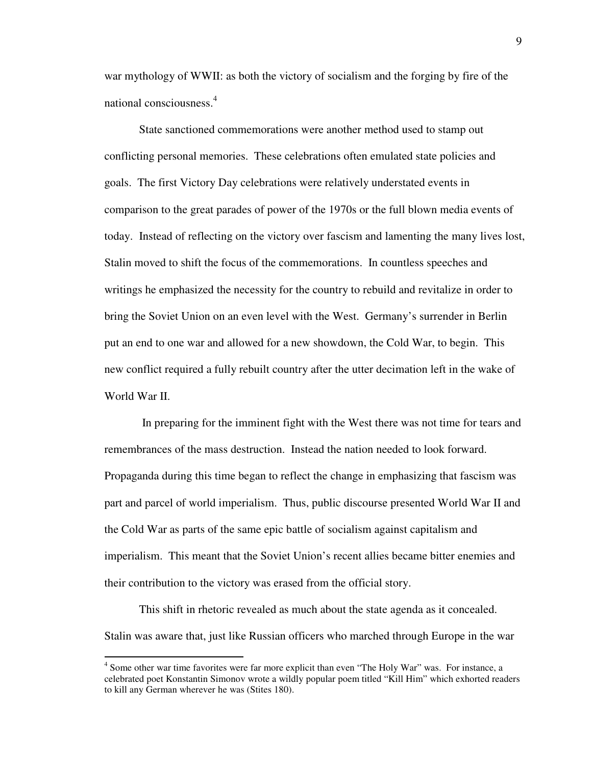war mythology of WWII: as both the victory of socialism and the forging by fire of the national consciousness.<sup>4</sup>

State sanctioned commemorations were another method used to stamp out conflicting personal memories. These celebrations often emulated state policies and goals. The first Victory Day celebrations were relatively understated events in comparison to the great parades of power of the 1970s or the full blown media events of today. Instead of reflecting on the victory over fascism and lamenting the many lives lost, Stalin moved to shift the focus of the commemorations. In countless speeches and writings he emphasized the necessity for the country to rebuild and revitalize in order to bring the Soviet Union on an even level with the West. Germany's surrender in Berlin put an end to one war and allowed for a new showdown, the Cold War, to begin. This new conflict required a fully rebuilt country after the utter decimation left in the wake of World War II.

 In preparing for the imminent fight with the West there was not time for tears and remembrances of the mass destruction. Instead the nation needed to look forward. Propaganda during this time began to reflect the change in emphasizing that fascism was part and parcel of world imperialism. Thus, public discourse presented World War II and the Cold War as parts of the same epic battle of socialism against capitalism and imperialism. This meant that the Soviet Union's recent allies became bitter enemies and their contribution to the victory was erased from the official story.

This shift in rhetoric revealed as much about the state agenda as it concealed. Stalin was aware that, just like Russian officers who marched through Europe in the war

<sup>&</sup>lt;sup>4</sup> Some other war time favorites were far more explicit than even "The Holy War" was. For instance, a celebrated poet Konstantin Simonov wrote a wildly popular poem titled "Kill Him" which exhorted readers to kill any German wherever he was (Stites 180).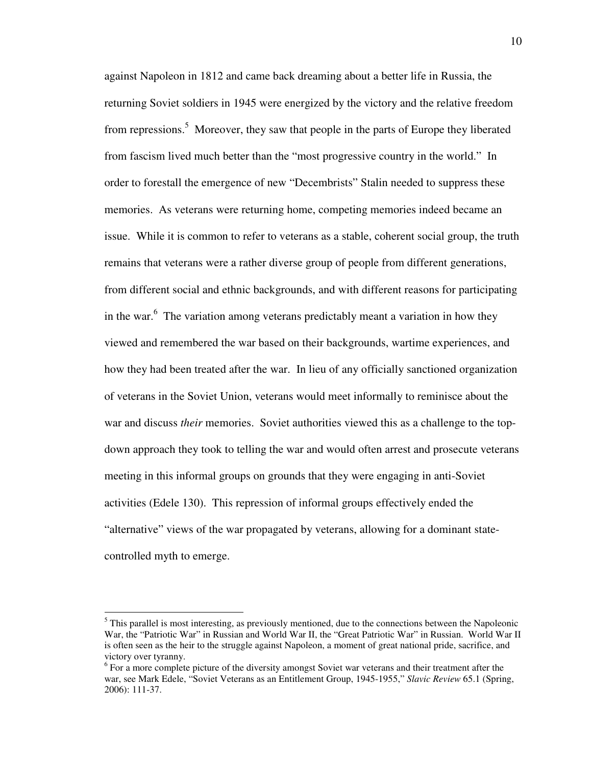against Napoleon in 1812 and came back dreaming about a better life in Russia, the returning Soviet soldiers in 1945 were energized by the victory and the relative freedom from repressions.<sup>5</sup> Moreover, they saw that people in the parts of Europe they liberated from fascism lived much better than the "most progressive country in the world." In order to forestall the emergence of new "Decembrists" Stalin needed to suppress these memories. As veterans were returning home, competing memories indeed became an issue. While it is common to refer to veterans as a stable, coherent social group, the truth remains that veterans were a rather diverse group of people from different generations, from different social and ethnic backgrounds, and with different reasons for participating in the war.<sup>6</sup> The variation among veterans predictably meant a variation in how they viewed and remembered the war based on their backgrounds, wartime experiences, and how they had been treated after the war. In lieu of any officially sanctioned organization of veterans in the Soviet Union, veterans would meet informally to reminisce about the war and discuss *their* memories. Soviet authorities viewed this as a challenge to the topdown approach they took to telling the war and would often arrest and prosecute veterans meeting in this informal groups on grounds that they were engaging in anti-Soviet activities (Edele 130). This repression of informal groups effectively ended the "alternative" views of the war propagated by veterans, allowing for a dominant statecontrolled myth to emerge.

<sup>&</sup>lt;sup>5</sup> This parallel is most interesting, as previously mentioned, due to the connections between the Napoleonic War, the "Patriotic War" in Russian and World War II, the "Great Patriotic War" in Russian. World War II is often seen as the heir to the struggle against Napoleon, a moment of great national pride, sacrifice, and victory over tyranny.

<sup>&</sup>lt;sup>6</sup> For a more complete picture of the diversity amongst Soviet war veterans and their treatment after the war, see Mark Edele, "Soviet Veterans as an Entitlement Group, 1945-1955," *Slavic Review* 65.1 (Spring, 2006): 111-37.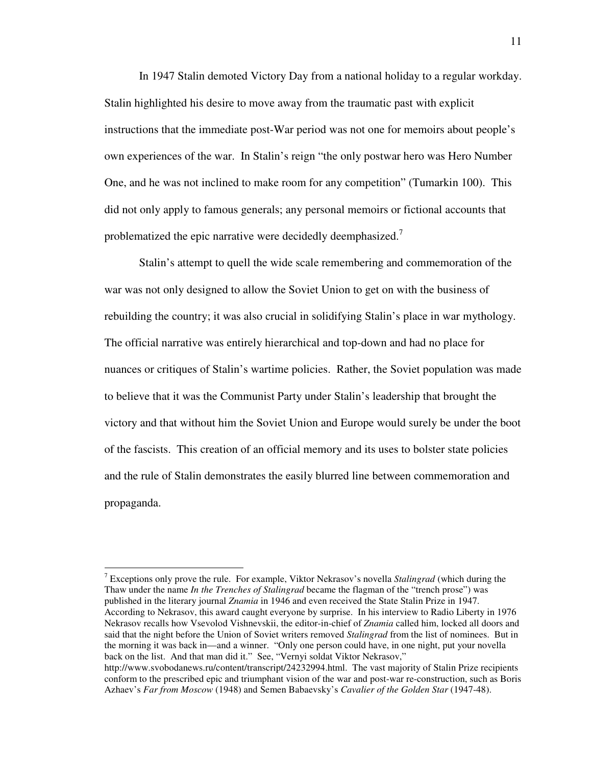In 1947 Stalin demoted Victory Day from a national holiday to a regular workday. Stalin highlighted his desire to move away from the traumatic past with explicit instructions that the immediate post-War period was not one for memoirs about people's own experiences of the war. In Stalin's reign "the only postwar hero was Hero Number One, and he was not inclined to make room for any competition" (Tumarkin 100). This did not only apply to famous generals; any personal memoirs or fictional accounts that problematized the epic narrative were decidedly deemphasized.<sup>7</sup>

Stalin's attempt to quell the wide scale remembering and commemoration of the war was not only designed to allow the Soviet Union to get on with the business of rebuilding the country; it was also crucial in solidifying Stalin's place in war mythology. The official narrative was entirely hierarchical and top-down and had no place for nuances or critiques of Stalin's wartime policies. Rather, the Soviet population was made to believe that it was the Communist Party under Stalin's leadership that brought the victory and that without him the Soviet Union and Europe would surely be under the boot of the fascists. This creation of an official memory and its uses to bolster state policies and the rule of Stalin demonstrates the easily blurred line between commemoration and propaganda.

7 Exceptions only prove the rule. For example, Viktor Nekrasov's novella *Stalingrad* (which during the Thaw under the name *In the Trenches of Stalingrad* became the flagman of the "trench prose") was published in the literary journal *Znamia* in 1946 and even received the State Stalin Prize in 1947. According to Nekrasov, this award caught everyone by surprise. In his interview to Radio Liberty in 1976 Nekrasov recalls how Vsevolod Vishnevskii, the editor-in-chief of *Znamia* called him, locked all doors and said that the night before the Union of Soviet writers removed *Stalingrad* from the list of nominees. But in the morning it was back in—and a winner. "Only one person could have, in one night, put your novella back on the list. And that man did it." See, "Vernyi soldat Viktor Nekrasov," http://www.svobodanews.ru/content/transcript/24232994.html. The vast majority of Stalin Prize recipients conform to the prescribed epic and triumphant vision of the war and post-war re-construction, such as Boris Azhaev's *Far from Moscow* (1948) and Semen Babaevsky's *Cavalier of the Golden Star* (1947-48).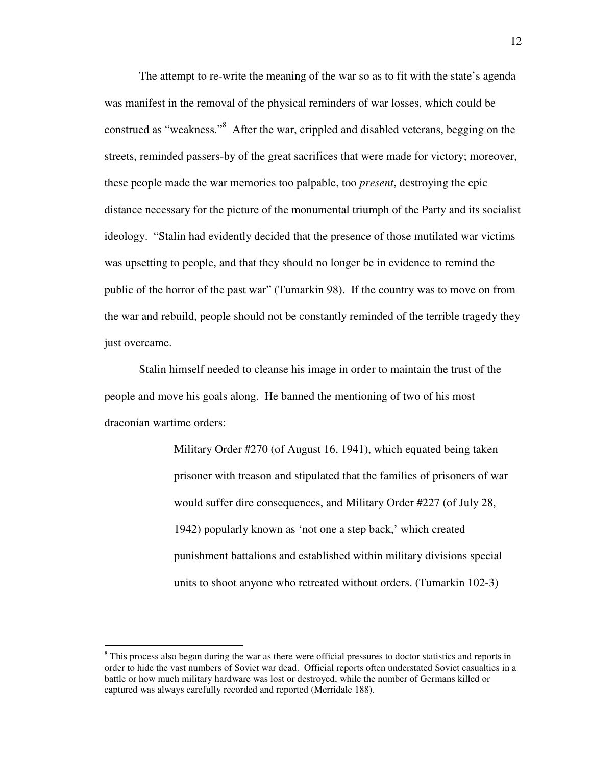The attempt to re-write the meaning of the war so as to fit with the state's agenda was manifest in the removal of the physical reminders of war losses, which could be construed as "weakness."<sup>8</sup> After the war, crippled and disabled veterans, begging on the streets, reminded passers-by of the great sacrifices that were made for victory; moreover, these people made the war memories too palpable, too *present*, destroying the epic distance necessary for the picture of the monumental triumph of the Party and its socialist ideology. "Stalin had evidently decided that the presence of those mutilated war victims was upsetting to people, and that they should no longer be in evidence to remind the public of the horror of the past war" (Tumarkin 98). If the country was to move on from the war and rebuild, people should not be constantly reminded of the terrible tragedy they just overcame.

Stalin himself needed to cleanse his image in order to maintain the trust of the people and move his goals along. He banned the mentioning of two of his most draconian wartime orders:

> Military Order #270 (of August 16, 1941), which equated being taken prisoner with treason and stipulated that the families of prisoners of war would suffer dire consequences, and Military Order #227 (of July 28, 1942) popularly known as 'not one a step back,' which created punishment battalions and established within military divisions special units to shoot anyone who retreated without orders. (Tumarkin 102-3)

<sup>&</sup>lt;sup>8</sup> This process also began during the war as there were official pressures to doctor statistics and reports in order to hide the vast numbers of Soviet war dead. Official reports often understated Soviet casualties in a battle or how much military hardware was lost or destroyed, while the number of Germans killed or captured was always carefully recorded and reported (Merridale 188).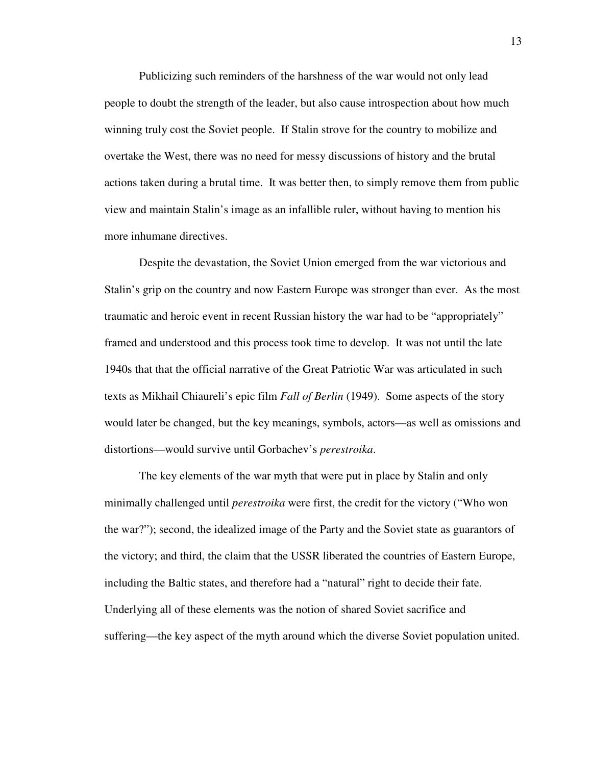Publicizing such reminders of the harshness of the war would not only lead people to doubt the strength of the leader, but also cause introspection about how much winning truly cost the Soviet people. If Stalin strove for the country to mobilize and overtake the West, there was no need for messy discussions of history and the brutal actions taken during a brutal time. It was better then, to simply remove them from public view and maintain Stalin's image as an infallible ruler, without having to mention his more inhumane directives.

Despite the devastation, the Soviet Union emerged from the war victorious and Stalin's grip on the country and now Eastern Europe was stronger than ever. As the most traumatic and heroic event in recent Russian history the war had to be "appropriately" framed and understood and this process took time to develop. It was not until the late 1940s that that the official narrative of the Great Patriotic War was articulated in such texts as Mikhail Chiaureli's epic film *Fall of Berlin* (1949). Some aspects of the story would later be changed, but the key meanings, symbols, actors—as well as omissions and distortions—would survive until Gorbachev's *perestroika*.

The key elements of the war myth that were put in place by Stalin and only minimally challenged until *perestroika* were first, the credit for the victory ("Who won the war?"); second, the idealized image of the Party and the Soviet state as guarantors of the victory; and third, the claim that the USSR liberated the countries of Eastern Europe, including the Baltic states, and therefore had a "natural" right to decide their fate. Underlying all of these elements was the notion of shared Soviet sacrifice and suffering—the key aspect of the myth around which the diverse Soviet population united.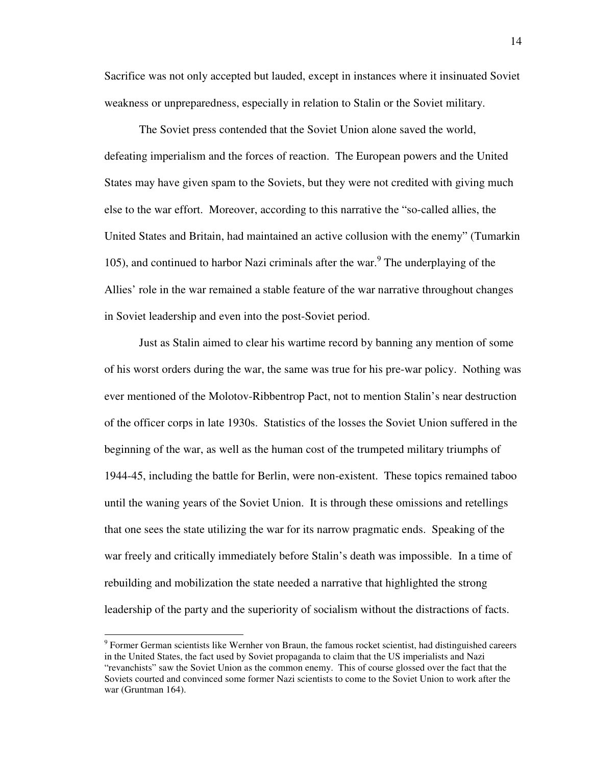Sacrifice was not only accepted but lauded, except in instances where it insinuated Soviet weakness or unpreparedness, especially in relation to Stalin or the Soviet military.

The Soviet press contended that the Soviet Union alone saved the world, defeating imperialism and the forces of reaction. The European powers and the United States may have given spam to the Soviets, but they were not credited with giving much else to the war effort. Moreover, according to this narrative the "so-called allies, the United States and Britain, had maintained an active collusion with the enemy" (Tumarkin 105), and continued to harbor Nazi criminals after the war.<sup>9</sup> The underplaying of the Allies' role in the war remained a stable feature of the war narrative throughout changes in Soviet leadership and even into the post-Soviet period.

Just as Stalin aimed to clear his wartime record by banning any mention of some of his worst orders during the war, the same was true for his pre-war policy. Nothing was ever mentioned of the Molotov-Ribbentrop Pact, not to mention Stalin's near destruction of the officer corps in late 1930s. Statistics of the losses the Soviet Union suffered in the beginning of the war, as well as the human cost of the trumpeted military triumphs of 1944-45, including the battle for Berlin, were non-existent. These topics remained taboo until the waning years of the Soviet Union. It is through these omissions and retellings that one sees the state utilizing the war for its narrow pragmatic ends. Speaking of the war freely and critically immediately before Stalin's death was impossible. In a time of rebuilding and mobilization the state needed a narrative that highlighted the strong leadership of the party and the superiority of socialism without the distractions of facts.

<sup>&</sup>lt;sup>9</sup> Former German scientists like Wernher von Braun, the famous rocket scientist, had distinguished careers in the United States, the fact used by Soviet propaganda to claim that the US imperialists and Nazi "revanchists" saw the Soviet Union as the common enemy. This of course glossed over the fact that the Soviets courted and convinced some former Nazi scientists to come to the Soviet Union to work after the war (Gruntman 164).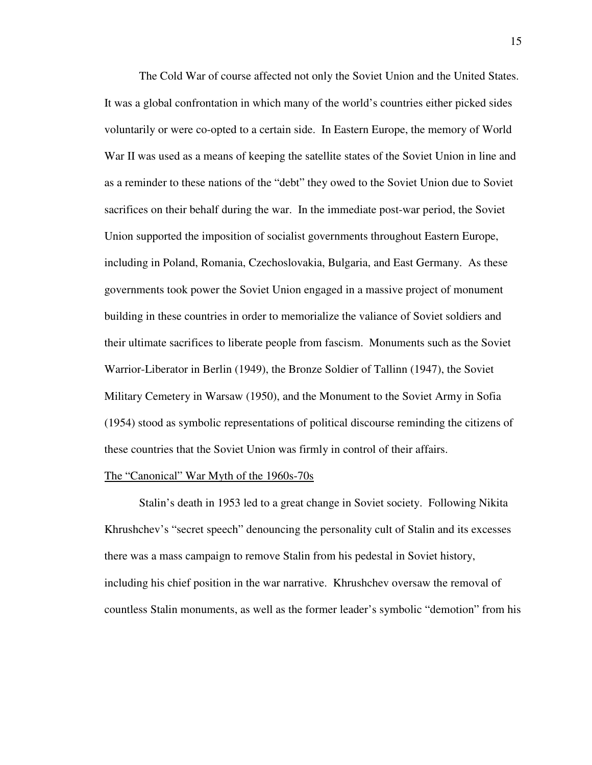The Cold War of course affected not only the Soviet Union and the United States. It was a global confrontation in which many of the world's countries either picked sides voluntarily or were co-opted to a certain side. In Eastern Europe, the memory of World War II was used as a means of keeping the satellite states of the Soviet Union in line and as a reminder to these nations of the "debt" they owed to the Soviet Union due to Soviet sacrifices on their behalf during the war. In the immediate post-war period, the Soviet Union supported the imposition of socialist governments throughout Eastern Europe, including in Poland, Romania, Czechoslovakia, Bulgaria, and East Germany. As these governments took power the Soviet Union engaged in a massive project of monument building in these countries in order to memorialize the valiance of Soviet soldiers and their ultimate sacrifices to liberate people from fascism. Monuments such as the Soviet Warrior-Liberator in Berlin (1949), the Bronze Soldier of Tallinn (1947), the Soviet Military Cemetery in Warsaw (1950), and the Monument to the Soviet Army in Sofia (1954) stood as symbolic representations of political discourse reminding the citizens of these countries that the Soviet Union was firmly in control of their affairs.

### The "Canonical" War Myth of the 1960s-70s

 Stalin's death in 1953 led to a great change in Soviet society. Following Nikita Khrushchev's "secret speech" denouncing the personality cult of Stalin and its excesses there was a mass campaign to remove Stalin from his pedestal in Soviet history, including his chief position in the war narrative. Khrushchev oversaw the removal of countless Stalin monuments, as well as the former leader's symbolic "demotion" from his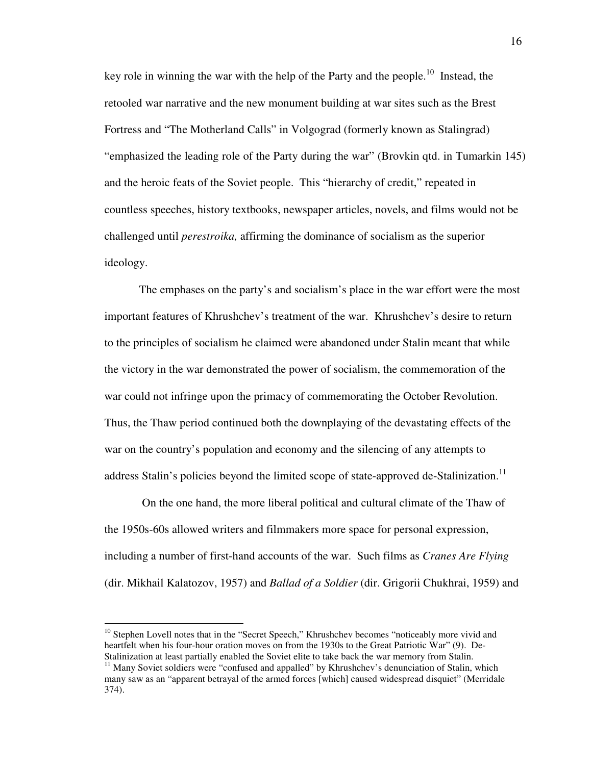key role in winning the war with the help of the Party and the people.<sup>10</sup> Instead, the retooled war narrative and the new monument building at war sites such as the Brest Fortress and "The Motherland Calls" in Volgograd (formerly known as Stalingrad) "emphasized the leading role of the Party during the war" (Brovkin qtd. in Tumarkin 145) and the heroic feats of the Soviet people. This "hierarchy of credit," repeated in countless speeches, history textbooks, newspaper articles, novels, and films would not be challenged until *perestroika,* affirming the dominance of socialism as the superior ideology.

 The emphases on the party's and socialism's place in the war effort were the most important features of Khrushchev's treatment of the war. Khrushchev's desire to return to the principles of socialism he claimed were abandoned under Stalin meant that while the victory in the war demonstrated the power of socialism, the commemoration of the war could not infringe upon the primacy of commemorating the October Revolution. Thus, the Thaw period continued both the downplaying of the devastating effects of the war on the country's population and economy and the silencing of any attempts to address Stalin's policies beyond the limited scope of state-approved de-Stalinization.<sup>11</sup>

 On the one hand, the more liberal political and cultural climate of the Thaw of the 1950s-60s allowed writers and filmmakers more space for personal expression, including a number of first-hand accounts of the war. Such films as *Cranes Are Flying* (dir. Mikhail Kalatozov, 1957) and *Ballad of a Soldier* (dir. Grigorii Chukhrai, 1959) and

<sup>&</sup>lt;sup>10</sup> Stephen Lovell notes that in the "Secret Speech," Khrushchev becomes "noticeably more vivid and heartfelt when his four-hour oration moves on from the 1930s to the Great Patriotic War" (9). De-Stalinization at least partially enabled the Soviet elite to take back the war memory from Stalin.

<sup>&</sup>lt;sup>11</sup> Many Soviet soldiers were "confused and appalled" by Khrushchev's denunciation of Stalin, which many saw as an "apparent betrayal of the armed forces [which] caused widespread disquiet" (Merridale 374).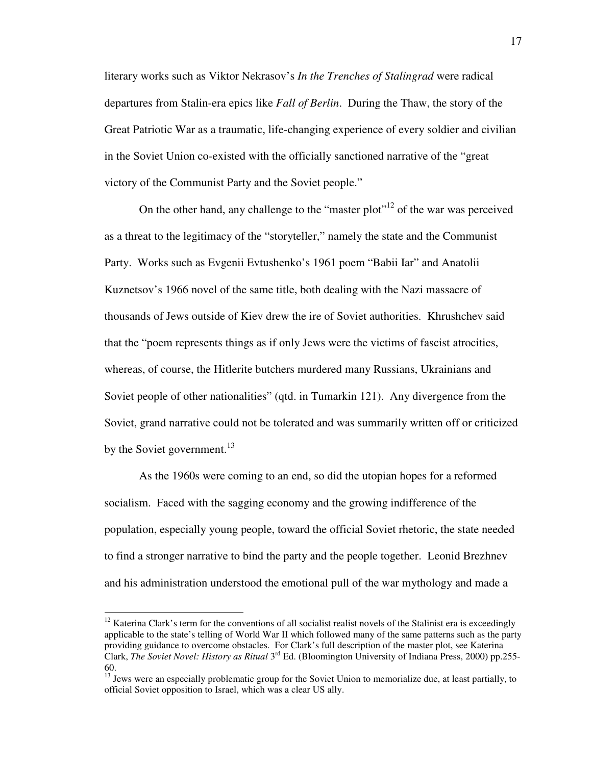literary works such as Viktor Nekrasov's *In the Trenches of Stalingrad* were radical departures from Stalin-era epics like *Fall of Berlin*. During the Thaw, the story of the Great Patriotic War as a traumatic, life-changing experience of every soldier and civilian in the Soviet Union co-existed with the officially sanctioned narrative of the "great victory of the Communist Party and the Soviet people."

On the other hand, any challenge to the "master plot"<sup>12</sup> of the war was perceived as a threat to the legitimacy of the "storyteller," namely the state and the Communist Party. Works such as Evgenii Evtushenko's 1961 poem "Babii Iar" and Anatolii Kuznetsov's 1966 novel of the same title, both dealing with the Nazi massacre of thousands of Jews outside of Kiev drew the ire of Soviet authorities. Khrushchev said that the "poem represents things as if only Jews were the victims of fascist atrocities, whereas, of course, the Hitlerite butchers murdered many Russians, Ukrainians and Soviet people of other nationalities" (qtd. in Tumarkin 121). Any divergence from the Soviet, grand narrative could not be tolerated and was summarily written off or criticized by the Soviet government. $13$ 

As the 1960s were coming to an end, so did the utopian hopes for a reformed socialism. Faced with the sagging economy and the growing indifference of the population, especially young people, toward the official Soviet rhetoric, the state needed to find a stronger narrative to bind the party and the people together. Leonid Brezhnev and his administration understood the emotional pull of the war mythology and made a

 $12$  Katerina Clark's term for the conventions of all socialist realist novels of the Stalinist era is exceedingly applicable to the state's telling of World War II which followed many of the same patterns such as the party providing guidance to overcome obstacles. For Clark's full description of the master plot, see Katerina Clark, *The Soviet Novel: History as Ritual* 3rd Ed. (Bloomington University of Indiana Press, 2000) pp.255- 60.

<sup>&</sup>lt;sup>13</sup> Jews were an especially problematic group for the Soviet Union to memorialize due, at least partially, to official Soviet opposition to Israel, which was a clear US ally.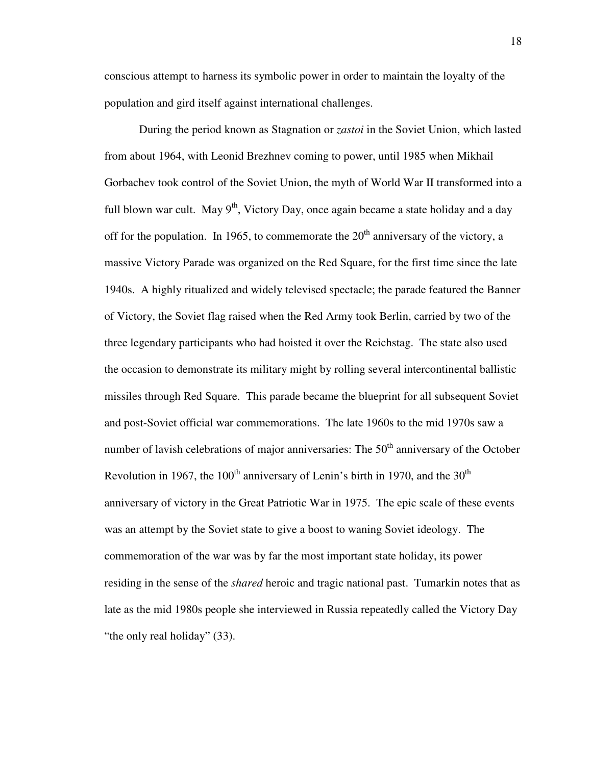conscious attempt to harness its symbolic power in order to maintain the loyalty of the population and gird itself against international challenges.

During the period known as Stagnation or *zastoi* in the Soviet Union, which lasted from about 1964, with Leonid Brezhnev coming to power, until 1985 when Mikhail Gоrbachev took control of the Soviet Union, the myth of World War II transformed into a full blown war cult. May  $9<sup>th</sup>$ , Victory Day, once again became a state holiday and a day off for the population. In 1965, to commemorate the  $20<sup>th</sup>$  anniversary of the victory, a massive Victory Parade was organized on the Red Square, for the first time since the late 1940s. A highly ritualized and widely televised spectacle; the parade featured the Banner of Victory, the Soviet flag raised when the Red Army took Berlin, carried by two of the three legendary participants who had hoisted it over the Reichstag. The state also used the occasion to demonstrate its military might by rolling several intercontinental ballistic missiles through Red Square. This parade became the blueprint for all subsequent Soviet and post-Soviet official war commemorations. The late 1960s to the mid 1970s saw a number of lavish celebrations of major anniversaries: The  $50<sup>th</sup>$  anniversary of the October Revolution in 1967, the 100<sup>th</sup> anniversary of Lenin's birth in 1970, and the 30<sup>th</sup> anniversary of victory in the Great Patriotic War in 1975. The epic scale of these events was an attempt by the Soviet state to give a boost to waning Soviet ideology. The commemoration of the war was by far the most important state holiday, its power residing in the sense of the *shared* heroic and tragic national past. Tumarkin notes that as late as the mid 1980s people she interviewed in Russia repeatedly called the Victory Day "the only real holiday" (33).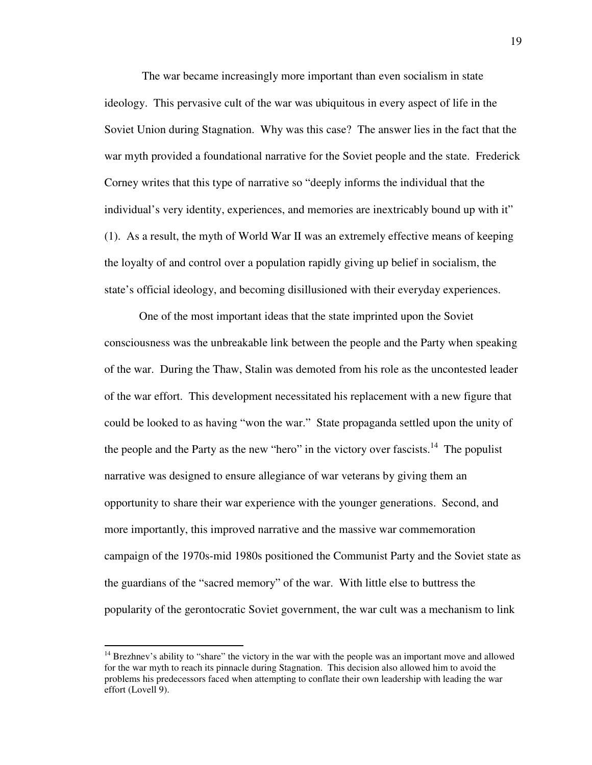The war became increasingly more important than even socialism in state ideology. This pervasive cult of the war was ubiquitous in every aspect of life in the Soviet Union during Stagnation. Why was this case? The answer lies in the fact that the war myth provided a foundational narrative for the Soviet people and the state. Frederick Corney writes that this type of narrative so "deeply informs the individual that the individual's very identity, experiences, and memories are inextricably bound up with it" (1). As a result, the myth of World War II was an extremely effective means of keeping the loyalty of and control over a population rapidly giving up belief in socialism, the state's official ideology, and becoming disillusioned with their everyday experiences.

 One of the most important ideas that the state imprinted upon the Soviet consciousness was the unbreakable link between the people and the Party when speaking of the war. During the Thaw, Stalin was demoted from his role as the uncontested leader of the war effort. This development necessitated his replacement with a new figure that could be looked to as having "won the war." State propaganda settled upon the unity of the people and the Party as the new "hero" in the victory over fascists.<sup>14</sup> The populist narrative was designed to ensure allegiance of war veterans by giving them an opportunity to share their war experience with the younger generations. Second, and more importantly, this improved narrative and the massive war commemoration campaign of the 1970s-mid 1980s positioned the Communist Party and the Soviet state as the guardians of the "sacred memory" of the war. With little else to buttress the popularity of the gerontocratic Soviet government, the war cult was a mechanism to link

<sup>&</sup>lt;sup>14</sup> Brezhnev's ability to "share" the victory in the war with the people was an important move and allowed for the war myth to reach its pinnacle during Stagnation. This decision also allowed him to avoid the problems his predecessors faced when attempting to conflate their own leadership with leading the war effort (Lovell 9).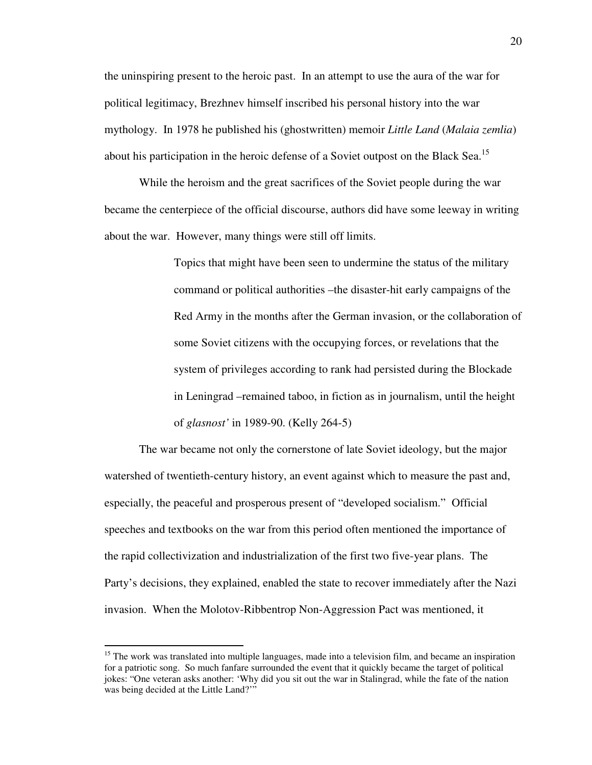the uninspiring present to the heroic past. In an attempt to use the aura of the war for political legitimacy, Brezhnev himself inscribed his personal history into the war mythology. In 1978 he published his (ghostwritten) memoir *Little Land* (*Malaia zemlia*) about his participation in the heroic defense of a Soviet outpost on the Black Sea.<sup>15</sup>

While the heroism and the great sacrifices of the Soviet people during the war became the centerpiece of the official discourse, authors did have some leeway in writing about the war. However, many things were still off limits.

> Topics that might have been seen to undermine the status of the military command or political authorities –the disaster-hit early campaigns of the Red Army in the months after the German invasion, or the collaboration of some Soviet citizens with the occupying forces, or revelations that the system of privileges according to rank had persisted during the Blockade in Leningrad –remained taboo, in fiction as in journalism, until the height of *glasnost'* in 1989-90. (Kelly 264-5)

 The war became not only the cornerstone of late Soviet ideology, but the major watershed of twentieth-century history, an event against which to measure the past and, especially, the peaceful and prosperous present of "developed socialism." Official speeches and textbooks on the war from this period often mentioned the importance of the rapid collectivization and industrialization of the first two five-year plans. The Party's decisions, they explained, enabled the state to recover immediately after the Nazi invasion. When the Molotov-Ribbentrop Non-Aggression Pact was mentioned, it

<sup>&</sup>lt;sup>15</sup> The work was translated into multiple languages, made into a television film, and became an inspiration for a patriotic song. So much fanfare surrounded the event that it quickly became the target of political jokes: "One veteran asks another: 'Why did you sit out the war in Stalingrad, while the fate of the nation was being decided at the Little Land?'"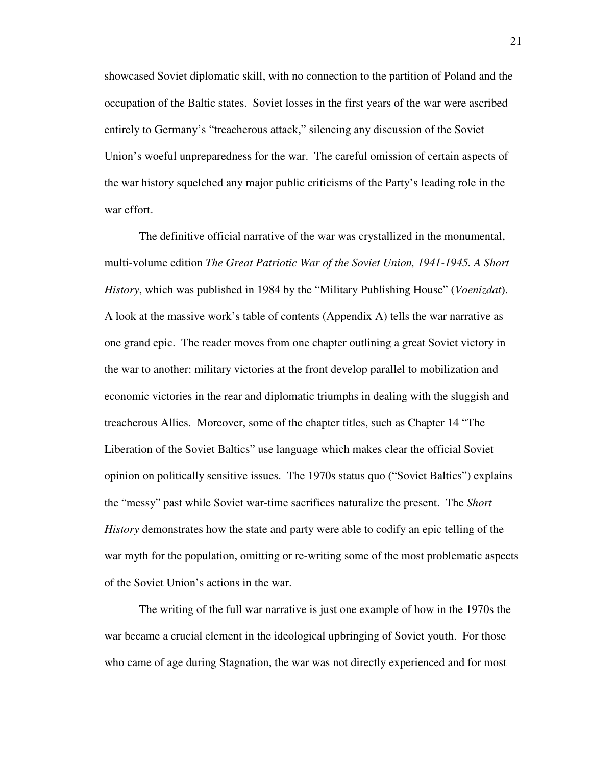showcased Soviet diplomatic skill, with no connection to the partition of Poland and the occupation of the Baltic states. Soviet losses in the first years of the war were ascribed entirely to Germany's "treacherous attack," silencing any discussion of the Soviet Union's woeful unpreparedness for the war. The careful omission of certain aspects of the war history squelched any major public criticisms of the Party's leading role in the war effort.

 The definitive official narrative of the war was crystallized in the monumental, multi-volume edition *The Great Patriotic War of the Soviet Union, 1941-1945. A Short History*, which was published in 1984 by the "Military Publishing House" (*Voenizdat*). A look at the massive work's table of contents (Appendix A) tells the war narrative as one grand epic. The reader moves from one chapter outlining a great Soviet victory in the war to another: military victories at the front develop parallel to mobilization and economic victories in the rear and diplomatic triumphs in dealing with the sluggish and treacherous Allies. Moreover, some of the chapter titles, such as Chapter 14 "The Liberation of the Soviet Baltics" use language which makes clear the official Soviet opinion on politically sensitive issues. The 1970s status quo ("Soviet Baltics") explains the "messy" past while Soviet war-time sacrifices naturalize the present. The *Short History* demonstrates how the state and party were able to codify an epic telling of the war myth for the population, omitting or re-writing some of the most problematic aspects of the Soviet Union's actions in the war.

 The writing of the full war narrative is just one example of how in the 1970s the war became a crucial element in the ideological upbringing of Soviet youth. For those who came of age during Stagnation, the war was not directly experienced and for most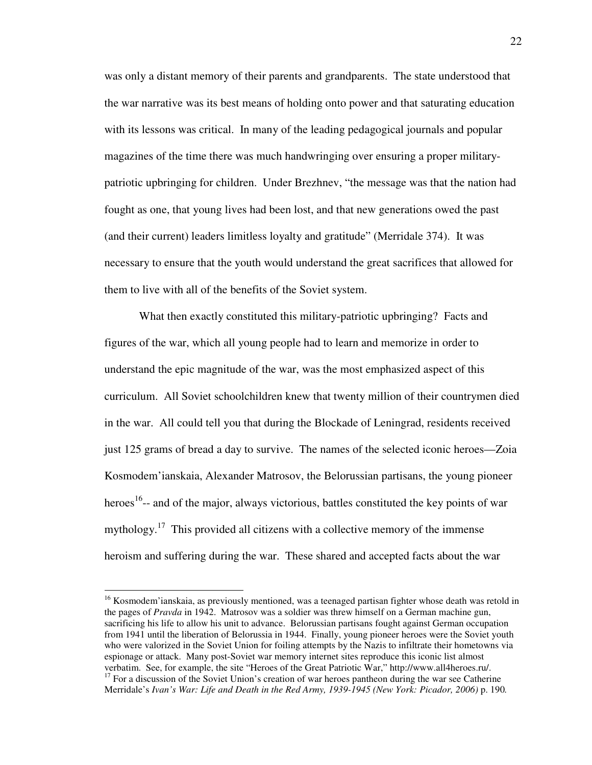was only a distant memory of their parents and grandparents. The state understood that the war narrative was its best means of holding onto power and that saturating education with its lessons was critical. In many of the leading pedagogical journals and popular magazines of the time there was much handwringing over ensuring a proper militarypatriotic upbringing for children. Under Brezhnev, "the message was that the nation had fought as one, that young lives had been lost, and that new generations owed the past (and their current) leaders limitless loyalty and gratitude" (Merridale 374). It was necessary to ensure that the youth would understand the great sacrifices that allowed for them to live with all of the benefits of the Soviet system.

 What then exactly constituted this military-patriotic upbringing? Facts and figures of the war, which all young people had to learn and memorize in order to understand the epic magnitude of the war, was the most emphasized aspect of this curriculum. All Soviet schoolchildren knew that twenty million of their countrymen died in the war. All could tell you that during the Blockade of Leningrad, residents received just 125 grams of bread a day to survive. The names of the selected iconic heroes—Zoia Kosmodem'ianskaia, Alexander Matrosov, the Belorussian partisans, the young pioneer heroes<sup>16</sup>-- and of the major, always victorious, battles constituted the key points of war mythology.<sup>17</sup> This provided all citizens with a collective memory of the immense heroism and suffering during the war. These shared and accepted facts about the war

<sup>&</sup>lt;sup>16</sup> Kosmodem'ianskaia, as previously mentioned, was a teenaged partisan fighter whose death was retold in the pages of *Pravda* in 1942. Matrosov was a soldier was threw himself on a German machine gun, sacrificing his life to allow his unit to advance. Belorussian partisans fought against German occupation from 1941 until the liberation of Belorussia in 1944. Finally, young pioneer heroes were the Soviet youth who were valorized in the Soviet Union for foiling attempts by the Nazis to infiltrate their hometowns via espionage or attack. Many post-Soviet war memory internet sites reproduce this iconic list almost verbatim. See, for example, the site "Heroes of the Great Patriotic War," http://www.all4heroes.ru/.  $17$  For a discussion of the Soviet Union's creation of war heroes pantheon during the war see Catherine

Merridale's *Ivan's War: Life and Death in the Red Army, 1939-1945 (New York: Picador, 2006)* p. 190*.*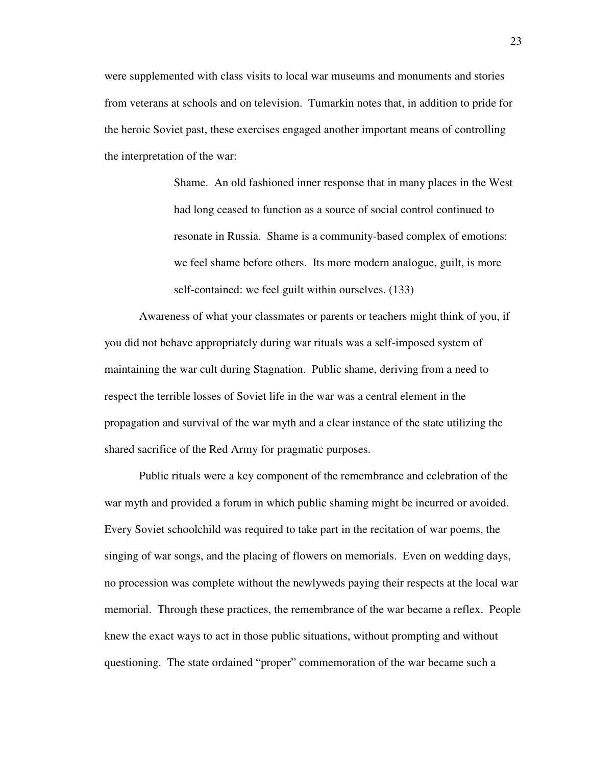were supplemented with class visits to local war museums and monuments and stories from veterans at schools and on television. Tumarkin notes that, in addition to pride for the heroic Soviet past, these exercises engaged another important means of controlling the interpretation of the war:

> Shame. An old fashioned inner response that in many places in the West had long ceased to function as a source of social control continued to resonate in Russia. Shame is a community-based complex of emotions: we feel shame before others. Its more modern analogue, guilt, is more self-contained: we feel guilt within ourselves. (133)

 Awareness of what your classmates or parents or teachers might think of you, if you did not behave appropriately during war rituals was a self-imposed system of maintaining the war cult during Stagnation. Public shame, deriving from a need to respect the terrible losses of Soviet life in the war was a central element in the propagation and survival of the war myth and a clear instance of the state utilizing the shared sacrifice of the Red Army for pragmatic purposes.

 Public rituals were a key component of the remembrance and celebration of the war myth and provided a forum in which public shaming might be incurred or avoided. Every Soviet schoolchild was required to take part in the recitation of war poems, the singing of war songs, and the placing of flowers on memorials. Even on wedding days, no procession was complete without the newlyweds paying their respects at the local war memorial. Through these practices, the remembrance of the war became a reflex. People knew the exact ways to act in those public situations, without prompting and without questioning. The state ordained "proper" commemoration of the war became such a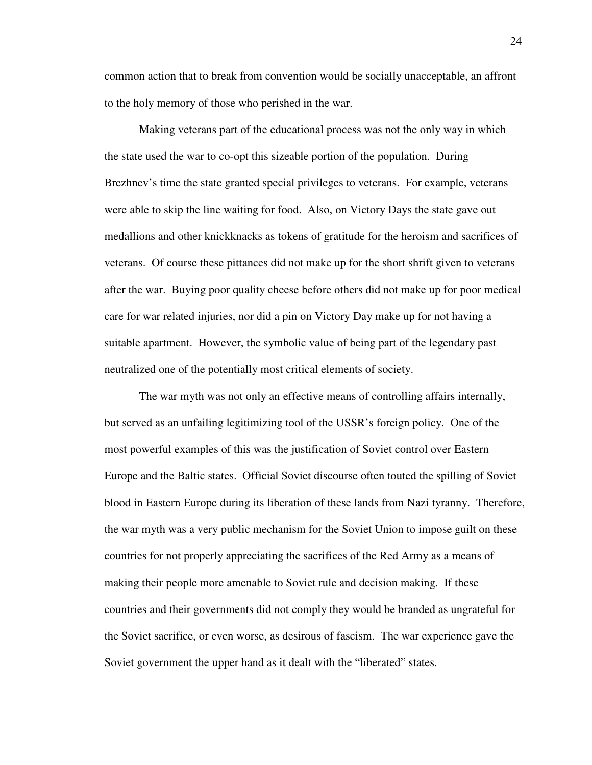common action that to break from convention would be socially unacceptable, an affront to the holy memory of those who perished in the war.

 Making veterans part of the educational process was not the only way in which the state used the war to co-opt this sizeable portion of the population. During Brezhnev's time the state granted special privileges to veterans. For example, veterans were able to skip the line waiting for food. Also, on Victory Days the state gave out medallions and other knickknacks as tokens of gratitude for the heroism and sacrifices of veterans. Of course these pittances did not make up for the short shrift given to veterans after the war. Buying poor quality cheese before others did not make up for poor medical care for war related injuries, nor did a pin on Victory Day make up for not having a suitable apartment. However, the symbolic value of being part of the legendary past neutralized one of the potentially most critical elements of society.

 The war myth was not only an effective means of controlling affairs internally, but served as an unfailing legitimizing tool of the USSR's foreign policy. One of the most powerful examples of this was the justification of Soviet control over Eastern Europe and the Baltic states. Official Soviet discourse often touted the spilling of Soviet blood in Eastern Europe during its liberation of these lands from Nazi tyranny. Therefore, the war myth was a very public mechanism for the Soviet Union to impose guilt on these countries for not properly appreciating the sacrifices of the Red Army as a means of making their people more amenable to Soviet rule and decision making. If these countries and their governments did not comply they would be branded as ungrateful for the Soviet sacrifice, or even worse, as desirous of fascism. The war experience gave the Soviet government the upper hand as it dealt with the "liberated" states.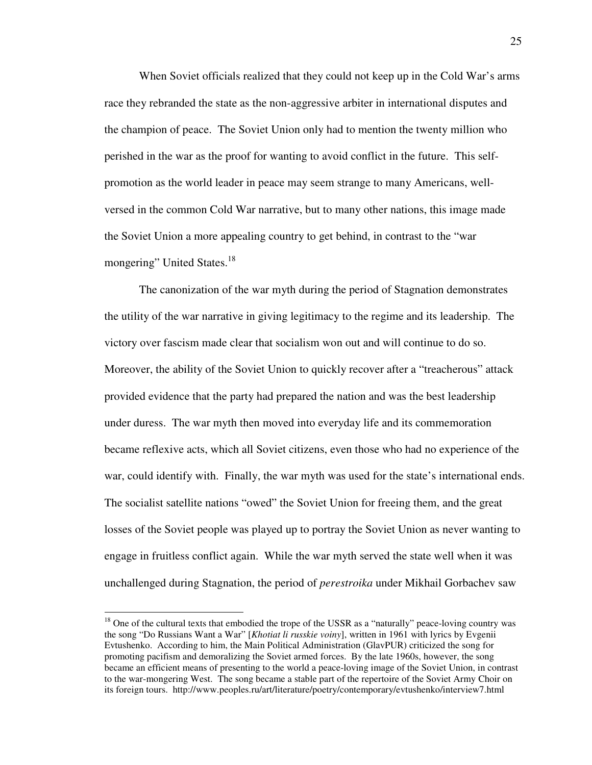When Soviet officials realized that they could not keep up in the Cold War's arms race they rebranded the state as the non-aggressive arbiter in international disputes and the champion of peace. The Soviet Union only had to mention the twenty million who perished in the war as the proof for wanting to avoid conflict in the future. This selfpromotion as the world leader in peace may seem strange to many Americans, wellversed in the common Cold War narrative, but to many other nations, this image made the Soviet Union a more appealing country to get behind, in contrast to the "war mongering" United States.<sup>18</sup>

The canonization of the war myth during the period of Stagnation demonstrates the utility of the war narrative in giving legitimacy to the regime and its leadership. The victory over fascism made clear that socialism won out and will continue to do so. Moreover, the ability of the Soviet Union to quickly recover after a "treacherous" attack provided evidence that the party had prepared the nation and was the best leadership under duress. The war myth then moved into everyday life and its commemoration became reflexive acts, which all Soviet citizens, even those who had no experience of the war, could identify with. Finally, the war myth was used for the state's international ends. The socialist satellite nations "owed" the Soviet Union for freeing them, and the great losses of the Soviet people was played up to portray the Soviet Union as never wanting to engage in fruitless conflict again. While the war myth served the state well when it was unchallenged during Stagnation, the period of *perestroika* under Mikhail Gorbachev saw

<sup>&</sup>lt;sup>18</sup> One of the cultural texts that embodied the trope of the USSR as a "naturally" peace-loving country was the song "Do Russians Want a War" [*Khotiat li russkie voiny*], written in 1961 with lyrics by Evgenii Evtushenko. According to him, the Main Political Administration (GlavPUR) criticized the song for promoting pacifism and demoralizing the Soviet armed forces. By the late 1960s, however, the song became an efficient means of presenting to the world a peace-loving image of the Soviet Union, in contrast to the war-mongering West. The song became a stable part of the repertoire of the Soviet Army Choir on its foreign tours. http://www.peoples.ru/art/literature/poetry/contemporary/evtushenko/interview7.html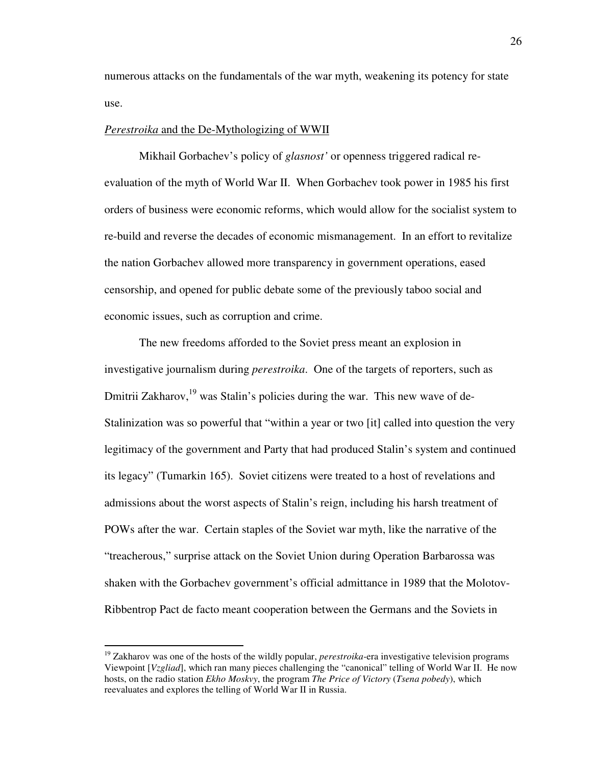numerous attacks on the fundamentals of the war myth, weakening its potency for state use.

#### *Perestroika* and the De-Mythologizing of WWII

Mikhail Gorbachev's policy of *glasnost'* or openness triggered radical reevaluation of the myth of World War II. When Gorbachev took power in 1985 his first orders of business were economic reforms, which would allow for the socialist system to re-build and reverse the decades of economic mismanagement. In an effort to revitalize the nation Gorbachev allowed more transparency in government operations, eased censorship, and opened for public debate some of the previously taboo social and economic issues, such as corruption and crime.

The new freedoms afforded to the Soviet press meant an explosion in investigative journalism during *perestroika*. One of the targets of reporters, such as Dmitrii Zakharov,  $^{19}$  was Stalin's policies during the war. This new wave of de-Stalinization was so powerful that "within a year or two [it] called into question the very legitimacy of the government and Party that had produced Stalin's system and continued its legacy" (Tumarkin 165). Soviet citizens were treated to a host of revelations and admissions about the worst aspects of Stalin's reign, including his harsh treatment of POWs after the war. Certain staples of the Soviet war myth, like the narrative of the "treacherous," surprise attack on the Soviet Union during Operation Barbarossa was shaken with the Gorbachev government's official admittance in 1989 that the Molotov-Ribbentrop Pact de facto meant cooperation between the Germans and the Soviets in

<sup>&</sup>lt;sup>19</sup> Zakharov was one of the hosts of the wildly popular, *perestroika*-era investigative television programs Viewpoint [*Vzgliad*], which ran many pieces challenging the "canonical" telling of World War II. He now hosts, on the radio station *Ekho Moskvy*, the program *The Price of Victory* (*Tsena pobedy*), which reevaluates and explores the telling of World War II in Russia.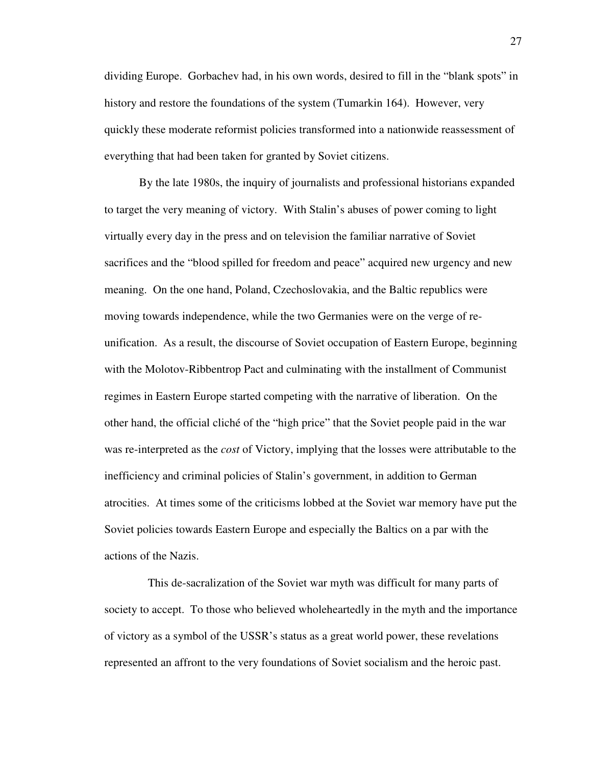dividing Europe. Gorbachev had, in his own words, desired to fill in the "blank spots" in history and restore the foundations of the system (Tumarkin 164). However, very quickly these moderate reformist policies transformed into a nationwide reassessment of everything that had been taken for granted by Soviet citizens.

By the late 1980s, the inquiry of journalists and professional historians expanded to target the very meaning of victory. With Stalin's abuses of power coming to light virtually every day in the press and on television the familiar narrative of Soviet sacrifices and the "blood spilled for freedom and peace" acquired new urgency and new meaning. On the one hand, Poland, Czechoslovakia, and the Baltic republics were moving towards independence, while the two Germanies were on the verge of reunification. As a result, the discourse of Soviet occupation of Eastern Europe, beginning with the Molotov-Ribbentrop Pact and culminating with the installment of Communist regimes in Eastern Europe started competing with the narrative of liberation. On the other hand, the official cliché of the "high price" that the Soviet people paid in the war was re-interpreted as the *cost* of Victory, implying that the losses were attributable to the inefficiency and criminal policies of Stalin's government, in addition to German atrocities. At times some of the criticisms lobbed at the Soviet war memory have put the Soviet policies towards Eastern Europe and especially the Baltics on a par with the actions of the Nazis.

 This de-sacralization of the Soviet war myth was difficult for many parts of society to accept. To those who believed wholeheartedly in the myth and the importance of victory as a symbol of the USSR's status as a great world power, these revelations represented an affront to the very foundations of Soviet socialism and the heroic past.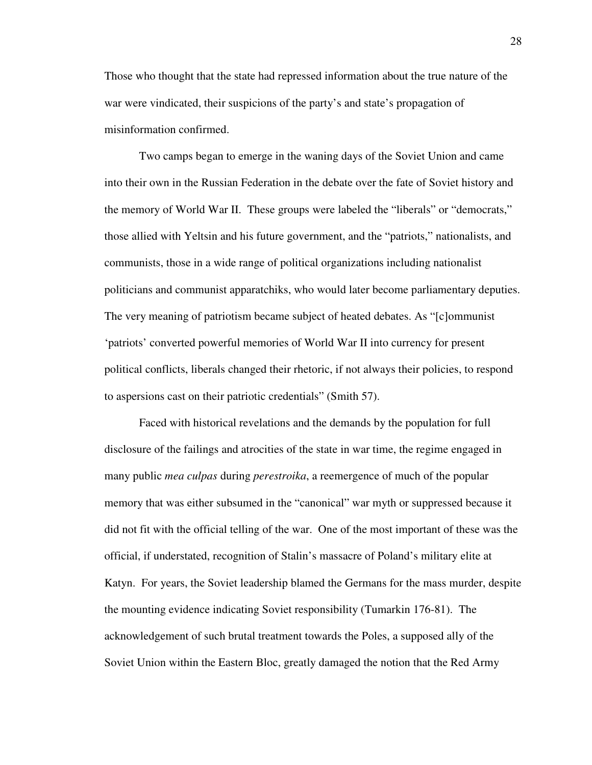Those who thought that the state had repressed information about the true nature of the war were vindicated, their suspicions of the party's and state's propagation of misinformation confirmed.

Two camps began to emerge in the waning days of the Soviet Union and came into their own in the Russian Federation in the debate over the fate of Soviet history and the memory of World War II. These groups were labeled the "liberals" or "democrats," those allied with Yeltsin and his future government, and the "patriots," nationalists, and communists, those in a wide range of political organizations including nationalist politicians and communist apparatchiks, who would later become parliamentary deputies. The very meaning of patriotism became subject of heated debates. As "[c]ommunist 'patriots' converted powerful memories of World War II into currency for present political conflicts, liberals changed their rhetoric, if not always their policies, to respond to aspersions cast on their patriotic credentials" (Smith 57).

 Faced with historical revelations and the demands by the population for full disclosure of the failings and atrocities of the state in war time, the regime engaged in many public *mea culpas* during *perestroika*, a reemergence of much of the popular memory that was either subsumed in the "canonical" war myth or suppressed because it did not fit with the official telling of the war. One of the most important of these was the official, if understated, recognition of Stalin's massacre of Poland's military elite at Katyn. For years, the Soviet leadership blamed the Germans for the mass murder, despite the mounting evidence indicating Soviet responsibility (Tumarkin 176-81). The acknowledgement of such brutal treatment towards the Poles, a supposed ally of the Soviet Union within the Eastern Bloc, greatly damaged the notion that the Red Army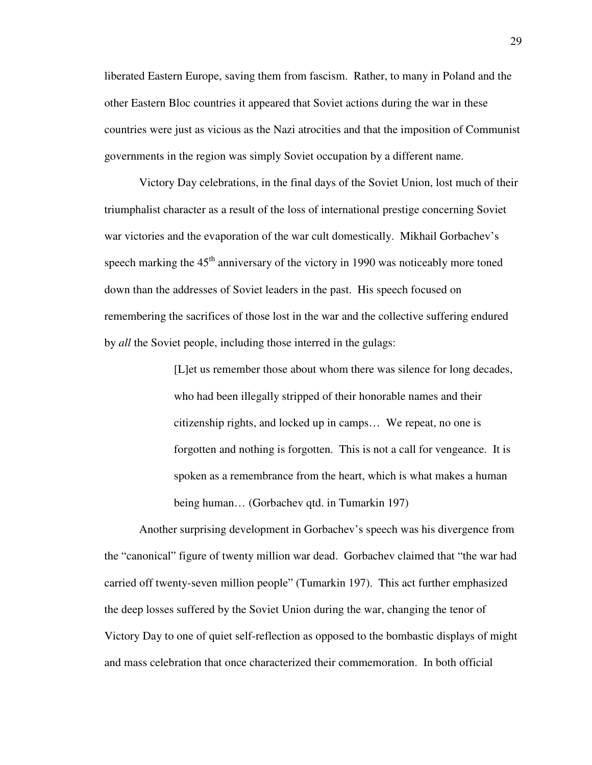liberated Eastern Europe, saving them from fascism. Rather, to many in Poland and the other Eastern Bloc countries it appeared that Soviet actions during the war in these countries were just as vicious as the Nazi atrocities and that the imposition of Communist governments in the region was simply Soviet occupation by a different name.

Victory Day celebrations, in the final days of the Soviet Union, lost much of their triumphalist character as a result of the loss of international prestige concerning Soviet war victories and the evaporation of the war cult domestically. Mikhail Gorbachev's speech marking the  $45<sup>th</sup>$  anniversary of the victory in 1990 was noticeably more toned down than the addresses of Soviet leaders in the past. His speech focused on remembering the sacrifices of those lost in the war and the collective suffering endured by *all* the Soviet people, including those interred in the gulags:

> [L]et us remember those about whom there was silence for long decades, who had been illegally stripped of their honorable names and their citizenship rights, and locked up in camps… We repeat, no one is forgotten and nothing is forgotten. This is not a call for vengeance. It is spoken as a remembrance from the heart, which is what makes a human being human… (Gorbachev qtd. in Tumarkin 197)

Another surprising development in Gorbachev's speech was his divergence from the "canonical" figure of twenty million war dead. Gorbachev claimed that "the war had carried off twenty-seven million people" (Tumarkin 197). This act further emphasized the deep losses suffered by the Soviet Union during the war, changing the tenor of Victory Day to one of quiet self-reflection as opposed to the bombastic displays of might and mass celebration that once characterized their commemoration. In both official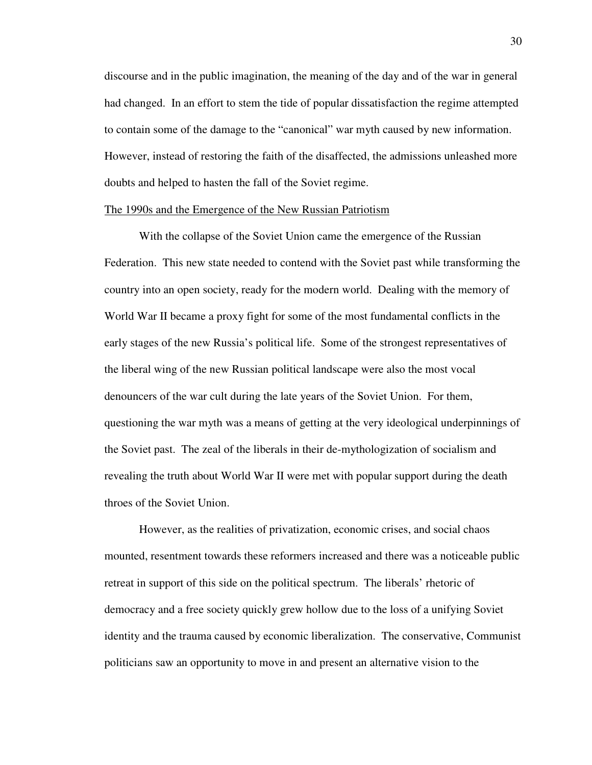discourse and in the public imagination, the meaning of the day and of the war in general had changed. In an effort to stem the tide of popular dissatisfaction the regime attempted to contain some of the damage to the "canonical" war myth caused by new information. However, instead of restoring the faith of the disaffected, the admissions unleashed more doubts and helped to hasten the fall of the Soviet regime.

### The 1990s and the Emergence of the New Russian Patriotism

 With the collapse of the Soviet Union came the emergence of the Russian Federation. This new state needed to contend with the Soviet past while transforming the country into an open society, ready for the modern world. Dealing with the memory of World War II became a proxy fight for some of the most fundamental conflicts in the early stages of the new Russia's political life. Some of the strongest representatives of the liberal wing of the new Russian political landscape were also the most vocal denouncers of the war cult during the late years of the Soviet Union. For them, questioning the war myth was a means of getting at the very ideological underpinnings of the Soviet past. The zeal of the liberals in their de-mythologization of socialism and revealing the truth about World War II were met with popular support during the death throes of the Soviet Union.

However, as the realities of privatization, economic crises, and social chaos mounted, resentment towards these reformers increased and there was a noticeable public retreat in support of this side on the political spectrum. The liberals' rhetoric of democracy and a free society quickly grew hollow due to the loss of a unifying Soviet identity and the trauma caused by economic liberalization. The conservative, Communist politicians saw an opportunity to move in and present an alternative vision to the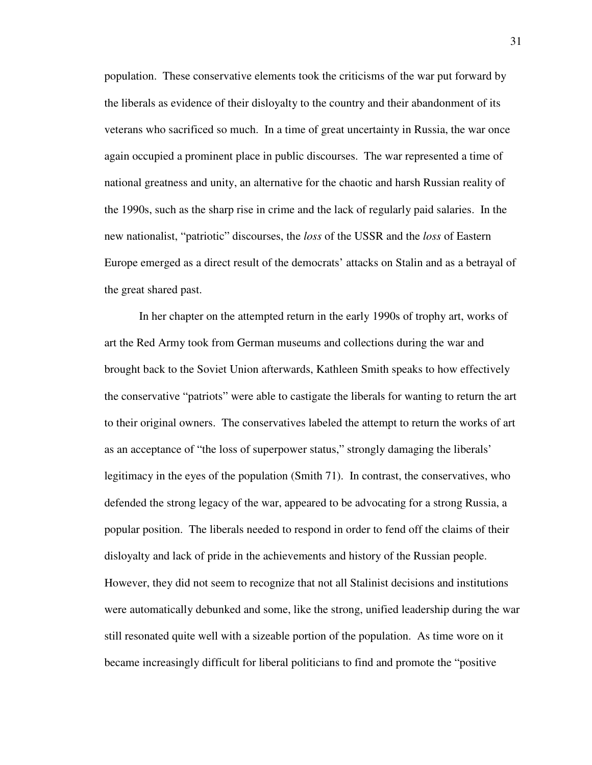population. These conservative elements took the criticisms of the war put forward by the liberals as evidence of their disloyalty to the country and their abandonment of its veterans who sacrificed so much. In a time of great uncertainty in Russia, the war once again occupied a prominent place in public discourses. The war represented a time of national greatness and unity, an alternative for the chaotic and harsh Russian reality of the 1990s, such as the sharp rise in crime and the lack of regularly paid salaries. In the new nationalist, "patriotic" discourses, the *loss* of the USSR and the *loss* of Eastern Europe emerged as a direct result of the democrats' attacks on Stalin and as a betrayal of the great shared past.

 In her chapter on the attempted return in the early 1990s of trophy art, works of art the Red Army took from German museums and collections during the war and brought back to the Soviet Union afterwards, Kathleen Smith speaks to how effectively the conservative "patriots" were able to castigate the liberals for wanting to return the art to their original owners. The conservatives labeled the attempt to return the works of art as an acceptance of "the loss of superpower status," strongly damaging the liberals' legitimacy in the eyes of the population (Smith 71). In contrast, the conservatives, who defended the strong legacy of the war, appeared to be advocating for a strong Russia, a popular position. The liberals needed to respond in order to fend off the claims of their disloyalty and lack of pride in the achievements and history of the Russian people. However, they did not seem to recognize that not all Stalinist decisions and institutions were automatically debunked and some, like the strong, unified leadership during the war still resonated quite well with a sizeable portion of the population. As time wore on it became increasingly difficult for liberal politicians to find and promote the "positive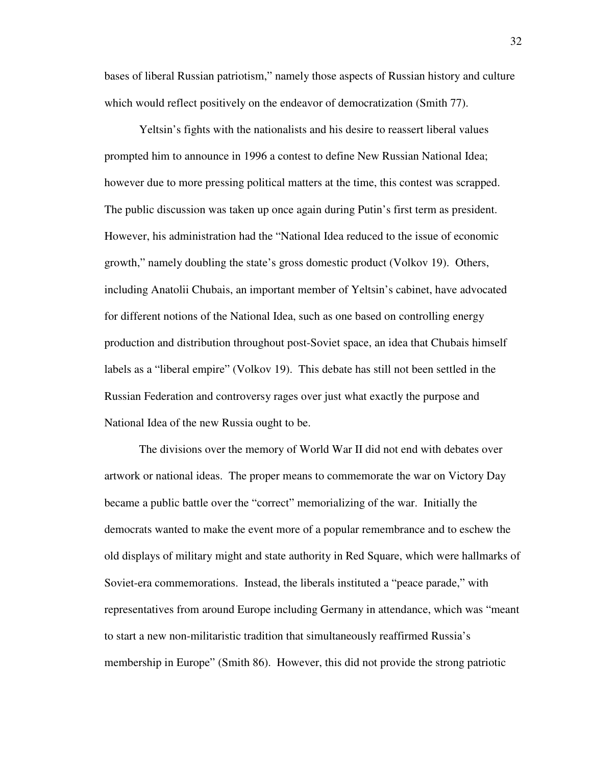bases of liberal Russian patriotism," namely those aspects of Russian history and culture which would reflect positively on the endeavor of democratization (Smith 77).

 Yeltsin's fights with the nationalists and his desire to reassert liberal values prompted him to announce in 1996 a contest to define New Russian National Idea; however due to more pressing political matters at the time, this contest was scrapped. The public discussion was taken up once again during Putin's first term as president. However, his administration had the "National Idea reduced to the issue of economic growth," namely doubling the state's gross domestic product (Volkov 19). Others, including Anatolii Chubais, an important member of Yeltsin's cabinet, have advocated for different notions of the National Idea, such as one based on controlling energy production and distribution throughout post-Soviet space, an idea that Chubais himself labels as a "liberal empire" (Volkov 19). This debate has still not been settled in the Russian Federation and controversy rages over just what exactly the purpose and National Idea of the new Russia ought to be.

 The divisions over the memory of World War II did not end with debates over artwork or national ideas. The proper means to commemorate the war on Victory Day became a public battle over the "correct" memorializing of the war. Initially the democrats wanted to make the event more of a popular remembrance and to eschew the old displays of military might and state authority in Red Square, which were hallmarks of Soviet-era commemorations. Instead, the liberals instituted a "peace parade," with representatives from around Europe including Germany in attendance, which was "meant to start a new non-militaristic tradition that simultaneously reaffirmed Russia's membership in Europe" (Smith 86). However, this did not provide the strong patriotic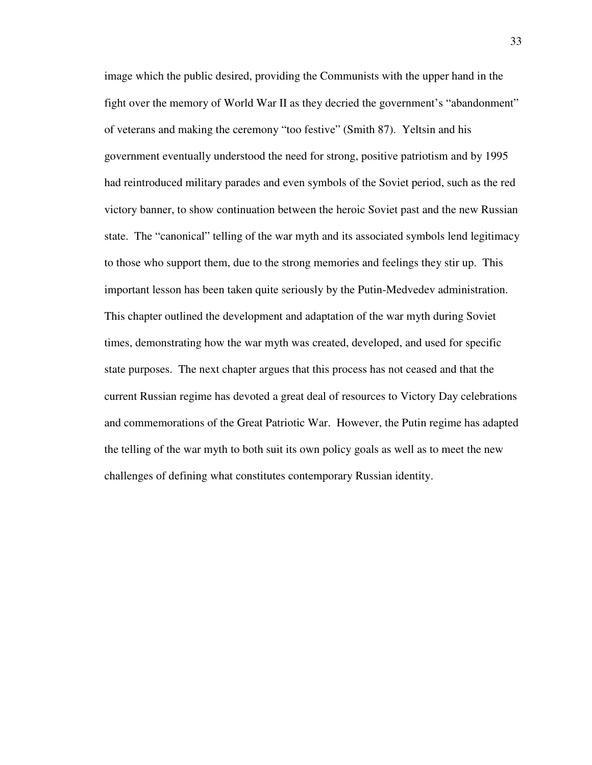image which the public desired, providing the Communists with the upper hand in the fight over the memory of World War II as they decried the government's "abandonment" of veterans and making the ceremony "too festive" (Smith 87). Yeltsin and his government eventually understood the need for strong, positive patriotism and by 1995 had reintroduced military parades and even symbols of the Soviet period, such as the red victory banner, to show continuation between the heroic Soviet past and the new Russian state. The "canonical" telling of the war myth and its associated symbols lend legitimacy to those who support them, due to the strong memories and feelings they stir up. This important lesson has been taken quite seriously by the Putin-Medvedev administration. This chapter outlined the development and adaptation of the war myth during Soviet times, demonstrating how the war myth was created, developed, and used for specific state purposes. The next chapter argues that this process has not ceased and that the current Russian regime has devoted a great deal of resources to Victory Day celebrations and commemorations of the Great Patriotic War. However, the Putin regime has adapted the telling of the war myth to both suit its own policy goals as well as to meet the new challenges of defining what constitutes contemporary Russian identity.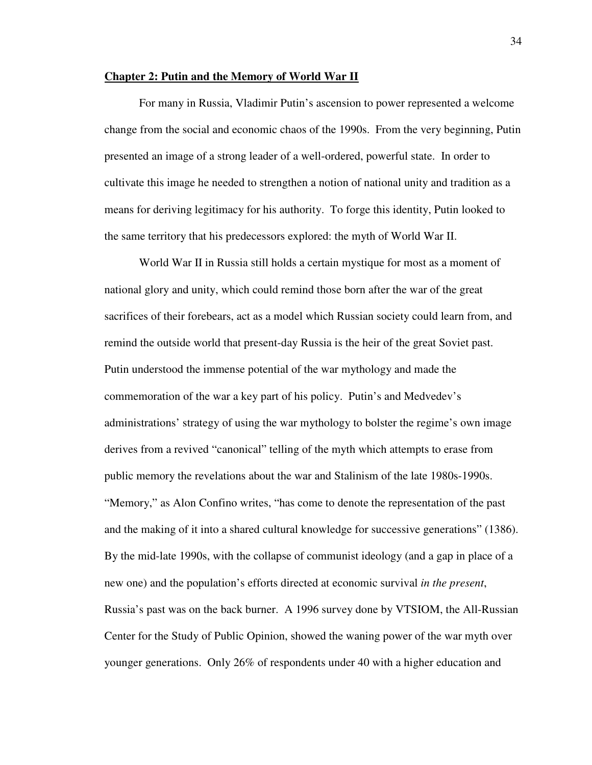### **Chapter 2: Putin and the Memory of World War II**

 For many in Russia, Vladimir Putin's ascension to power represented a welcome change from the social and economic chaos of the 1990s. From the very beginning, Putin presented an image of a strong leader of a well-ordered, powerful state. In order to cultivate this image he needed to strengthen a notion of national unity and tradition as a means for deriving legitimacy for his authority. To forge this identity, Putin looked to the same territory that his predecessors explored: the myth of World War II.

 World War II in Russia still holds a certain mystique for most as a moment of national glory and unity, which could remind those born after the war of the great sacrifices of their forebears, act as a model which Russian society could learn from, and remind the outside world that present-day Russia is the heir of the great Soviet past. Putin understood the immense potential of the war mythology and made the commemoration of the war a key part of his policy. Putin's and Medvedev's administrations' strategy of using the war mythology to bolster the regime's own image derives from a revived "canonical" telling of the myth which attempts to erase from public memory the revelations about the war and Stalinism of the late 1980s-1990s. "Memory," as Alon Confino writes, "has come to denote the representation of the past and the making of it into a shared cultural knowledge for successive generations" (1386). By the mid-late 1990s, with the collapse of communist ideology (and a gap in place of a new one) and the population's efforts directed at economic survival *in the present*, Russia's past was on the back burner. A 1996 survey done by VTSIOM, the All-Russian Center for the Study of Public Opinion, showed the waning power of the war myth over younger generations. Only 26% of respondents under 40 with a higher education and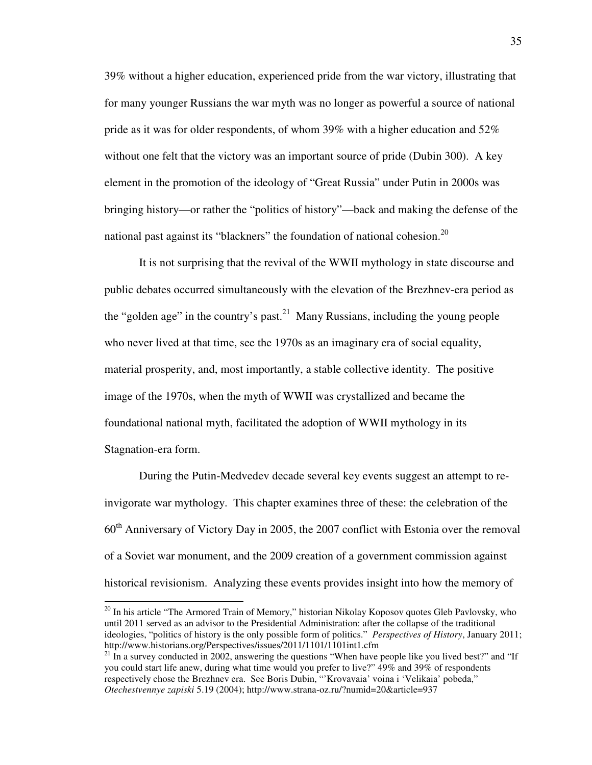39% without a higher education, experienced pride from the war victory, illustrating that for many younger Russians the war myth was no longer as powerful a source of national pride as it was for older respondents, of whom 39% with a higher education and 52% without one felt that the victory was an important source of pride (Dubin 300). A key element in the promotion of the ideology of "Great Russia" under Putin in 2000s was bringing history—or rather the "politics of history"—back and making the defense of the national past against its "blackners" the foundation of national cohesion.<sup>20</sup>

 It is not surprising that the revival of the WWII mythology in state discourse and public debates occurred simultaneously with the elevation of the Brezhnev-era period as the "golden age" in the country's past.<sup>21</sup> Many Russians, including the young people who never lived at that time, see the 1970s as an imaginary era of social equality, material prosperity, and, most importantly, a stable collective identity. The positive image of the 1970s, when the myth of WWII was crystallized and became the foundational national myth, facilitated the adoption of WWII mythology in its Stagnation-era form.

During the Putin-Medvedev decade several key events suggest an attempt to reinvigorate war mythology. This chapter examines three of these: the celebration of the 60th Anniversary of Victory Day in 2005, the 2007 conflict with Estonia over the removal of a Soviet war monument, and the 2009 creation of a government commission against historical revisionism. Analyzing these events provides insight into how the memory of

<sup>20</sup> In his article "The Armored Train of Memory," historian Nikolay Koposov quotes Gleb Pavlovsky, who until 2011 served as an advisor to the Presidential Administration: after the collapse of the traditional ideologies, "politics of history is the only possible form of politics." *Perspectives of History*, January 2011; http://www.historians.org/Perspectives/issues/2011/1101/1101int1.cfm

 $21 \text{ In a survey conducted in } 2002$ , answering the questions "When have people like you lived best?" and "If you could start life anew, during what time would you prefer to live?" 49% and 39% of respondents respectively chose the Brezhnev era. See Boris Dubin, "'Krovavaia' voina i 'Velikaia' pobeda," *Otechestvennye zapiski* 5.19 (2004); http://www.strana-oz.ru/?numid=20&article=937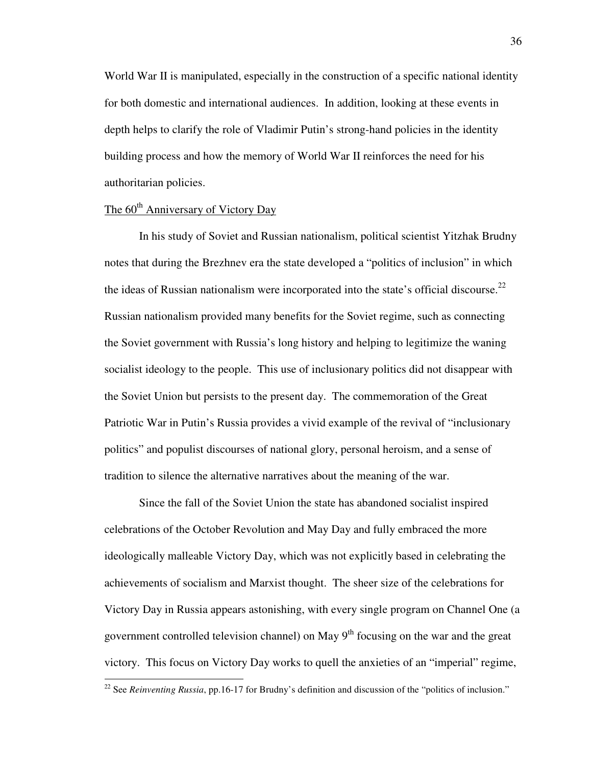World War II is manipulated, especially in the construction of a specific national identity for both domestic and international audiences. In addition, looking at these events in depth helps to clarify the role of Vladimir Putin's strong-hand policies in the identity building process and how the memory of World War II reinforces the need for his authoritarian policies.

# The 60<sup>th</sup> Anniversary of Victory Day

 $\overline{a}$ 

In his study of Soviet and Russian nationalism, political scientist Yitzhak Brudny notes that during the Brezhnev era the state developed a "politics of inclusion" in which the ideas of Russian nationalism were incorporated into the state's official discourse.<sup>22</sup> Russian nationalism provided many benefits for the Soviet regime, such as connecting the Soviet government with Russia's long history and helping to legitimize the waning socialist ideology to the people. This use of inclusionary politics did not disappear with the Soviet Union but persists to the present day. The commemoration of the Great Patriotic War in Putin's Russia provides a vivid example of the revival of "inclusionary politics" and populist discourses of national glory, personal heroism, and a sense of tradition to silence the alternative narratives about the meaning of the war.

Since the fall of the Soviet Union the state has abandoned socialist inspired celebrations of the October Revolution and May Day and fully embraced the more ideologically malleable Victory Day, which was not explicitly based in celebrating the achievements of socialism and Marxist thought. The sheer size of the celebrations for Victory Day in Russia appears astonishing, with every single program on Channel One (a government controlled television channel) on May  $9<sup>th</sup>$  focusing on the war and the great victory. This focus on Victory Day works to quell the anxieties of an "imperial" regime,

<sup>&</sup>lt;sup>22</sup> See *Reinventing Russia*, pp.16-17 for Brudny's definition and discussion of the "politics of inclusion."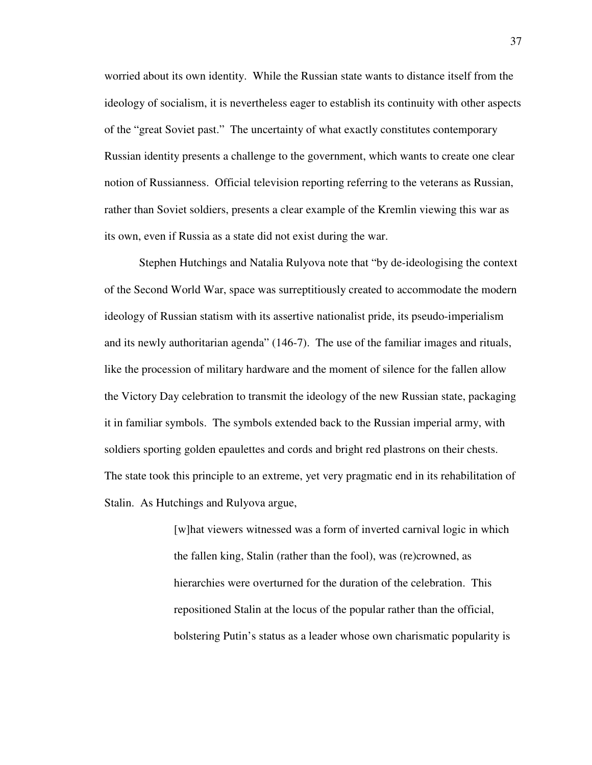worried about its own identity. While the Russian state wants to distance itself from the ideology of socialism, it is nevertheless eager to establish its continuity with other aspects of the "great Soviet past." The uncertainty of what exactly constitutes contemporary Russian identity presents a challenge to the government, which wants to create one clear notion of Russianness. Official television reporting referring to the veterans as Russian, rather than Soviet soldiers, presents a clear example of the Kremlin viewing this war as its own, even if Russia as a state did not exist during the war.

Stephen Hutchings and Natalia Rulyova note that "by de-ideologising the context of the Second World War, space was surreptitiously created to accommodate the modern ideology of Russian statism with its assertive nationalist pride, its pseudo-imperialism and its newly authoritarian agenda" (146-7). The use of the familiar images and rituals, like the procession of military hardware and the moment of silence for the fallen allow the Victory Day celebration to transmit the ideology of the new Russian state, packaging it in familiar symbols. The symbols extended back to the Russian imperial army, with soldiers sporting golden epaulettes and cords and bright red plastrons on their chests. The state took this principle to an extreme, yet very pragmatic end in its rehabilitation of Stalin. As Hutchings and Rulyova argue,

> [w]hat viewers witnessed was a form of inverted carnival logic in which the fallen king, Stalin (rather than the fool), was (re)crowned, as hierarchies were overturned for the duration of the celebration. This repositioned Stalin at the locus of the popular rather than the official, bolstering Putin's status as a leader whose own charismatic popularity is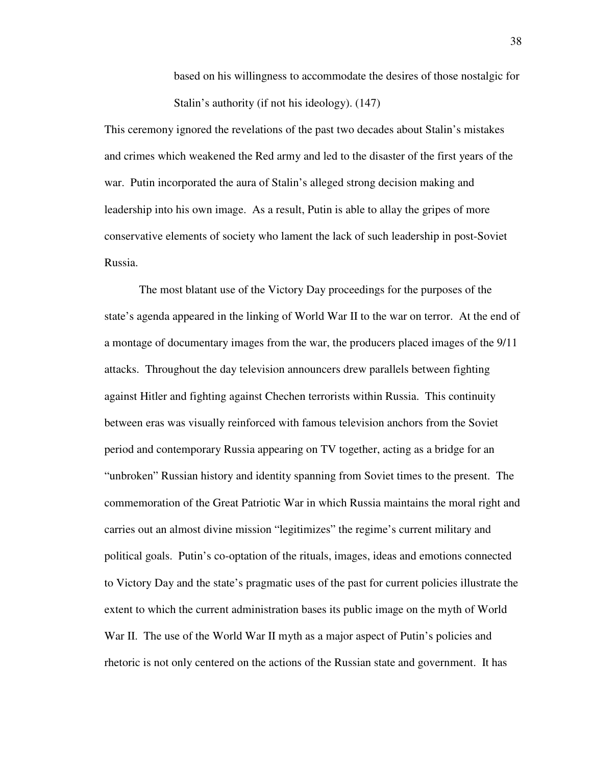based on his willingness to accommodate the desires of those nostalgic for Stalin's authority (if not his ideology). (147)

This ceremony ignored the revelations of the past two decades about Stalin's mistakes and crimes which weakened the Red army and led to the disaster of the first years of the war. Putin incorporated the aura of Stalin's alleged strong decision making and leadership into his own image. As a result, Putin is able to allay the gripes of more conservative elements of society who lament the lack of such leadership in post-Soviet Russia.

The most blatant use of the Victory Day proceedings for the purposes of the state's agenda appeared in the linking of World War II to the war on terror. At the end of a montage of documentary images from the war, the producers placed images of the 9/11 attacks. Throughout the day television announcers drew parallels between fighting against Hitler and fighting against Chechen terrorists within Russia. This continuity between eras was visually reinforced with famous television anchors from the Soviet period and contemporary Russia appearing on TV together, acting as a bridge for an "unbroken" Russian history and identity spanning from Soviet times to the present. The commemoration of the Great Patriotic War in which Russia maintains the moral right and carries out an almost divine mission "legitimizes" the regime's current military and political goals. Putin's co-optation of the rituals, images, ideas and emotions connected to Victory Day and the state's pragmatic uses of the past for current policies illustrate the extent to which the current administration bases its public image on the myth of World War II. The use of the World War II myth as a major aspect of Putin's policies and rhetoric is not only centered on the actions of the Russian state and government. It has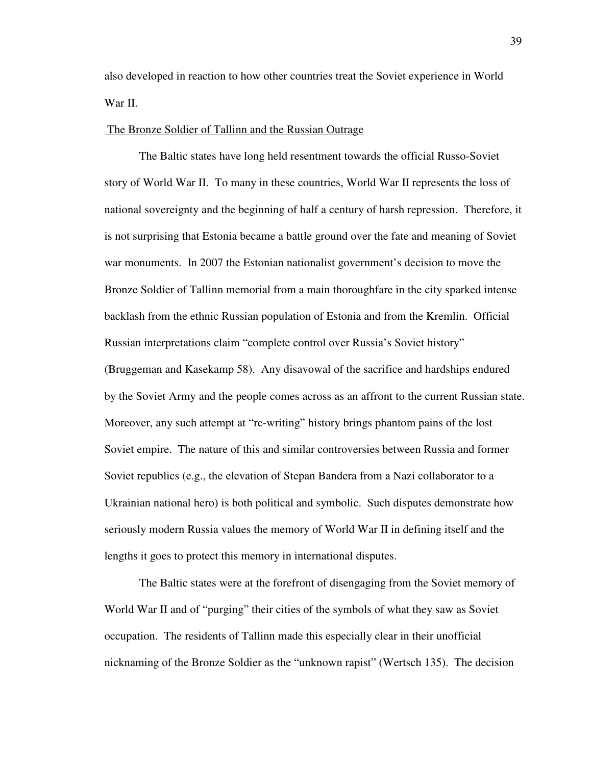also developed in reaction to how other countries treat the Soviet experience in World War II.

### The Bronze Soldier of Tallinn and the Russian Outrage

 The Baltic states have long held resentment towards the official Russo-Soviet story of World War II. To many in these countries, World War II represents the loss of national sovereignty and the beginning of half a century of harsh repression. Therefore, it is not surprising that Estonia became a battle ground over the fate and meaning of Soviet war monuments. In 2007 the Estonian nationalist government's decision to move the Bronze Soldier of Tallinn memorial from a main thoroughfare in the city sparked intense backlash from the ethnic Russian population of Estonia and from the Kremlin. Official Russian interpretations claim "complete control over Russia's Soviet history" (Bruggeman and Kasekamp 58). Any disavowal of the sacrifice and hardships endured by the Soviet Army and the people comes across as an affront to the current Russian state. Moreover, any such attempt at "re-writing" history brings phantom pains of the lost Soviet empire. The nature of this and similar controversies between Russia and former Soviet republics (e.g., the elevation of Stepan Bandera from a Nazi collaborator to a Ukrainian national hero) is both political and symbolic. Such disputes demonstrate how seriously modern Russia values the memory of World War II in defining itself and the lengths it goes to protect this memory in international disputes.

 The Baltic states were at the forefront of disengaging from the Soviet memory of World War II and of "purging" their cities of the symbols of what they saw as Soviet occupation. The residents of Tallinn made this especially clear in their unofficial nicknaming of the Bronze Soldier as the "unknown rapist" (Wertsch 135). The decision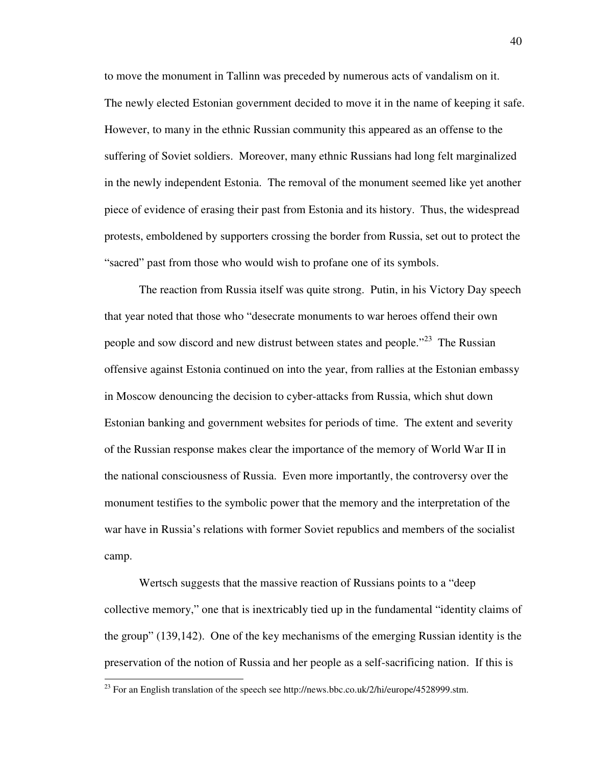to move the monument in Tallinn was preceded by numerous acts of vandalism on it. The newly elected Estonian government decided to move it in the name of keeping it safe. However, to many in the ethnic Russian community this appeared as an offense to the suffering of Soviet soldiers. Moreover, many ethnic Russians had long felt marginalized in the newly independent Estonia. The removal of the monument seemed like yet another piece of evidence of erasing their past from Estonia and its history. Thus, the widespread protests, emboldened by supporters crossing the border from Russia, set out to protect the "sacred" past from those who would wish to profane one of its symbols.

 The reaction from Russia itself was quite strong. Putin, in his Victory Day speech that year noted that those who "desecrate monuments to war heroes offend their own people and sow discord and new distrust between states and people."<sup>23</sup> The Russian offensive against Estonia continued on into the year, from rallies at the Estonian embassy in Moscow denouncing the decision to cyber-attacks from Russia, which shut down Estonian banking and government websites for periods of time. The extent and severity of the Russian response makes clear the importance of the memory of World War II in the national consciousness of Russia. Even more importantly, the controversy over the monument testifies to the symbolic power that the memory and the interpretation of the war have in Russia's relations with former Soviet republics and members of the socialist camp.

 Wertsch suggests that the massive reaction of Russians points to a "deep collective memory," one that is inextricably tied up in the fundamental "identity claims of the group" (139,142). One of the key mechanisms of the emerging Russian identity is the preservation of the notion of Russia and her people as a self-sacrificing nation. If this is  $\overline{a}$ 

 $^{23}$  For an English translation of the speech see http://news.bbc.co.uk/2/hi/europe/4528999.stm.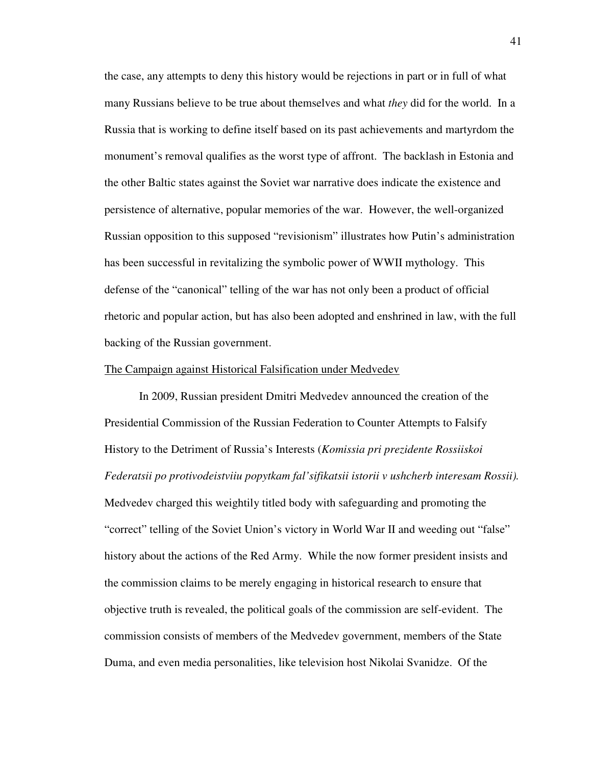the case, any attempts to deny this history would be rejections in part or in full of what many Russians believe to be true about themselves and what *they* did for the world. In a Russia that is working to define itself based on its past achievements and martyrdom the monument's removal qualifies as the worst type of affront. The backlash in Estonia and the other Baltic states against the Soviet war narrative does indicate the existence and persistence of alternative, popular memories of the war. However, the well-organized Russian opposition to this supposed "revisionism" illustrates how Putin's administration has been successful in revitalizing the symbolic power of WWII mythology. This defense of the "canonical" telling of the war has not only been a product of official rhetoric and popular action, but has also been adopted and enshrined in law, with the full backing of the Russian government.

#### The Campaign against Historical Falsification under Medvedev

 In 2009, Russian president Dmitri Medvedev announced the creation of the Presidential Commission of the Russian Federation to Counter Attempts to Falsify History to the Detriment of Russia's Interests (*Komissia pri prezidente Rossiiskoi Federatsii po protivodeistviiu popytkam fal'sifikatsii istorii v ushcherb interesam Rossii).*  Medvedev charged this weightily titled body with safeguarding and promoting the "correct" telling of the Soviet Union's victory in World War II and weeding out "false" history about the actions of the Red Army. While the now former president insists and the commission claims to be merely engaging in historical research to ensure that objective truth is revealed, the political goals of the commission are self-evident. The commission consists of members of the Medvedev government, members of the State Duma, and even media personalities, like television host Nikolai Svanidze. Of the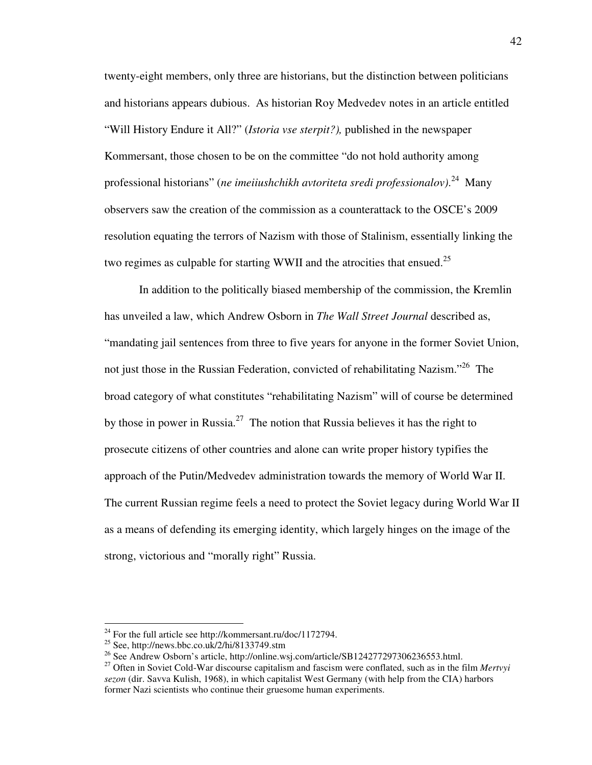twenty-eight members, only three are historians, but the distinction between politicians and historians appears dubious. As historian Roy Medvedev notes in an article entitled "Will History Endure it All?" (*Istoria vse sterpit?),* published in the newspaper Kommersant, those chosen to be on the committee "do not hold authority among professional historians" (*ne imeiiushchikh avtoriteta sredi professionalov)*. <sup>24</sup> Many observers saw the creation of the commission as a counterattack to the OSCE's 2009 resolution equating the terrors of Nazism with those of Stalinism, essentially linking the two regimes as culpable for starting WWII and the atrocities that ensued.<sup>25</sup>

 In addition to the politically biased membership of the commission, the Kremlin has unveiled a law, which Andrew Osborn in *The Wall Street Journal* described as, "mandating jail sentences from three to five years for anyone in the former Soviet Union, not just those in the Russian Federation, convicted of rehabilitating Nazism."<sup>26</sup> The broad category of what constitutes "rehabilitating Nazism" will of course be determined by those in power in Russia.<sup>27</sup> The notion that Russia believes it has the right to prosecute citizens of other countries and alone can write proper history typifies the approach of the Putin/Medvedev administration towards the memory of World War II. The current Russian regime feels a need to protect the Soviet legacy during World War II as a means of defending its emerging identity, which largely hinges on the image of the strong, victorious and "morally right" Russia.

<sup>&</sup>lt;sup>24</sup> For the full article see http://kommersant.ru/doc/1172794.

<sup>&</sup>lt;sup>25</sup> See, http://news.bbc.co.uk/2/hi/8133749.stm

<sup>&</sup>lt;sup>26</sup> See Andrew Osborn's article, http://online.wsj.com/article/SB124277297306236553.html.

<sup>27</sup> Often in Soviet Cold-War discourse capitalism and fascism were conflated, such as in the film *Mertvyi sezon* (dir. Savva Kulish, 1968), in which capitalist West Germany (with help from the CIA) harbors former Nazi scientists who continue their gruesome human experiments.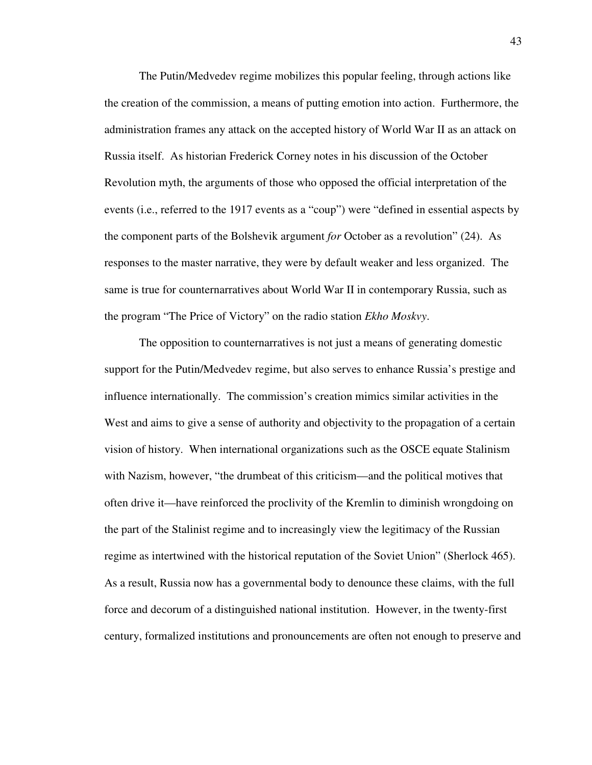The Putin/Medvedev regime mobilizes this popular feeling, through actions like the creation of the commission, a means of putting emotion into action. Furthermore, the administration frames any attack on the accepted history of World War II as an attack on Russia itself. As historian Frederick Corney notes in his discussion of the October Revolution myth, the arguments of those who opposed the official interpretation of the events (i.e., referred to the 1917 events as a "coup") were "defined in essential aspects by the component parts of the Bolshevik argument *for* October as a revolution" (24). As responses to the master narrative, they were by default weaker and less organized. The same is true for counternarratives about World War II in contemporary Russia, such as the program "The Price of Victory" on the radio station *Ekho Moskvy*.

The opposition to counternarratives is not just a means of generating domestic support for the Putin/Medvedev regime, but also serves to enhance Russia's prestige and influence internationally. The commission's creation mimics similar activities in the West and aims to give a sense of authority and objectivity to the propagation of a certain vision of history. When international organizations such as the OSCE equate Stalinism with Nazism, however, "the drumbeat of this criticism—and the political motives that often drive it—have reinforced the proclivity of the Kremlin to diminish wrongdoing on the part of the Stalinist regime and to increasingly view the legitimacy of the Russian regime as intertwined with the historical reputation of the Soviet Union" (Sherlock 465). As a result, Russia now has a governmental body to denounce these claims, with the full force and decorum of a distinguished national institution. However, in the twenty-first century, formalized institutions and pronouncements are often not enough to preserve and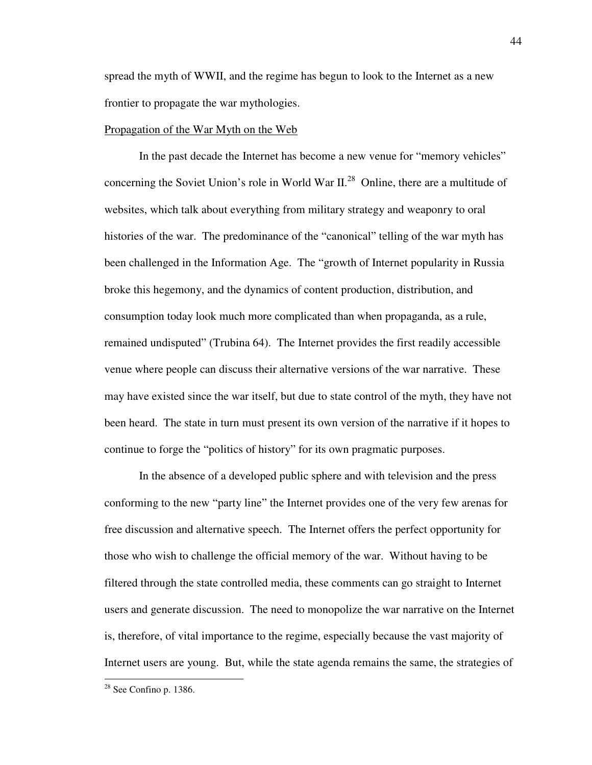spread the myth of WWII, and the regime has begun to look to the Internet as a new frontier to propagate the war mythologies.

### Propagation of the War Myth on the Web

 In the past decade the Internet has become a new venue for "memory vehicles" concerning the Soviet Union's role in World War  $II^{28}$  Online, there are a multitude of websites, which talk about everything from military strategy and weaponry to oral histories of the war. The predominance of the "canonical" telling of the war myth has been challenged in the Information Age. The "growth of Internet popularity in Russia broke this hegemony, and the dynamics of content production, distribution, and consumption today look much more complicated than when propaganda, as a rule, remained undisputed" (Trubina 64). The Internet provides the first readily accessible venue where people can discuss their alternative versions of the war narrative. These may have existed since the war itself, but due to state control of the myth, they have not been heard. The state in turn must present its own version of the narrative if it hopes to continue to forge the "politics of history" for its own pragmatic purposes.

 In the absence of a developed public sphere and with television and the press conforming to the new "party line" the Internet provides one of the very few arenas for free discussion and alternative speech. The Internet offers the perfect opportunity for those who wish to challenge the official memory of the war. Without having to be filtered through the state controlled media, these comments can go straight to Internet users and generate discussion. The need to monopolize the war narrative on the Internet is, therefore, of vital importance to the regime, especially because the vast majority of Internet users are young. But, while the state agenda remains the same, the strategies of

<sup>28</sup> See Confino p. 1386.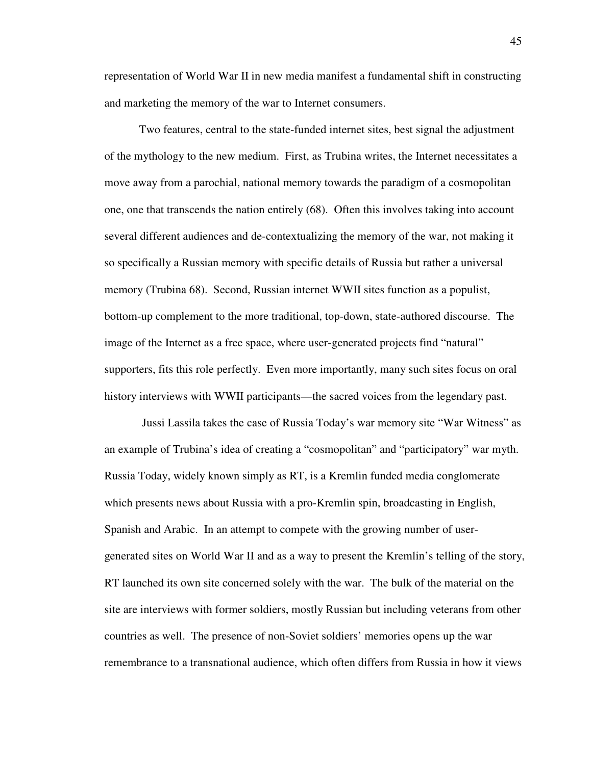representation of World War II in new media manifest a fundamental shift in constructing and marketing the memory of the war to Internet consumers.

Two features, central to the state-funded internet sites, best signal the adjustment of the mythology to the new medium. First, as Trubina writes, the Internet necessitates a move away from a parochial, national memory towards the paradigm of a cosmopolitan one, one that transcends the nation entirely (68). Often this involves taking into account several different audiences and de-contextualizing the memory of the war, not making it so specifically a Russian memory with specific details of Russia but rather a universal memory (Trubina 68). Second, Russian internet WWII sites function as a populist, bottom-up complement to the more traditional, top-down, state-authored discourse. The image of the Internet as a free space, where user-generated projects find "natural" supporters, fits this role perfectly. Even more importantly, many such sites focus on oral history interviews with WWII participants—the sacred voices from the legendary past.

 Jussi Lassila takes the case of Russia Today's war memory site "War Witness" as an example of Trubina's idea of creating a "cosmopolitan" and "participatory" war myth. Russia Today, widely known simply as RT, is a Kremlin funded media conglomerate which presents news about Russia with a pro-Kremlin spin, broadcasting in English, Spanish and Arabic. In an attempt to compete with the growing number of usergenerated sites on World War II and as a way to present the Kremlin's telling of the story, RT launched its own site concerned solely with the war. The bulk of the material on the site are interviews with former soldiers, mostly Russian but including veterans from other countries as well. The presence of non-Soviet soldiers' memories opens up the war remembrance to a transnational audience, which often differs from Russia in how it views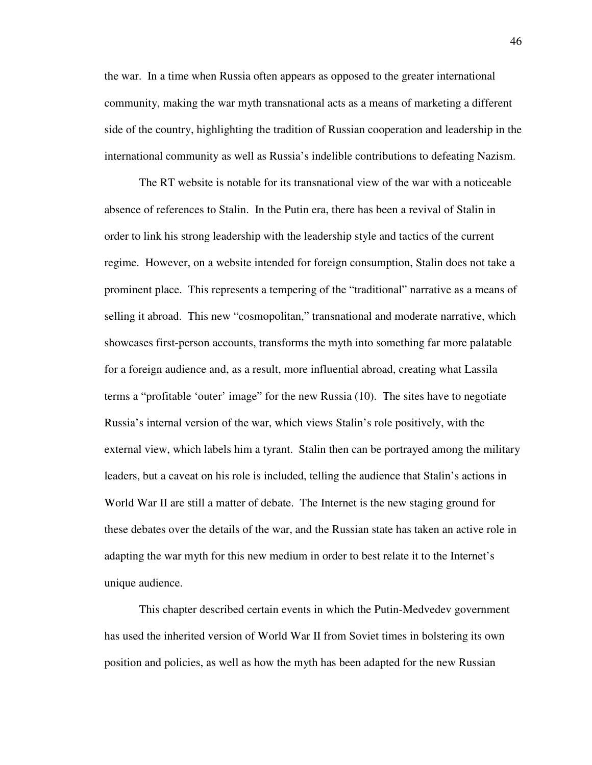the war. In a time when Russia often appears as opposed to the greater international community, making the war myth transnational acts as a means of marketing a different side of the country, highlighting the tradition of Russian cooperation and leadership in the international community as well as Russia's indelible contributions to defeating Nazism.

The RT website is notable for its transnational view of the war with a noticeable absence of references to Stalin. In the Putin era, there has been a revival of Stalin in order to link his strong leadership with the leadership style and tactics of the current regime. However, on a website intended for foreign consumption, Stalin does not take a prominent place. This represents a tempering of the "traditional" narrative as a means of selling it abroad. This new "cosmopolitan," transnational and moderate narrative, which showcases first-person accounts, transforms the myth into something far more palatable for a foreign audience and, as a result, more influential abroad, creating what Lassila terms a "profitable 'outer' image" for the new Russia (10). The sites have to negotiate Russia's internal version of the war, which views Stalin's role positively, with the external view, which labels him a tyrant. Stalin then can be portrayed among the military leaders, but a caveat on his role is included, telling the audience that Stalin's actions in World War II are still a matter of debate. The Internet is the new staging ground for these debates over the details of the war, and the Russian state has taken an active role in adapting the war myth for this new medium in order to best relate it to the Internet's unique audience.

This chapter described certain events in which the Putin-Medvedev government has used the inherited version of World War II from Soviet times in bolstering its own position and policies, as well as how the myth has been adapted for the new Russian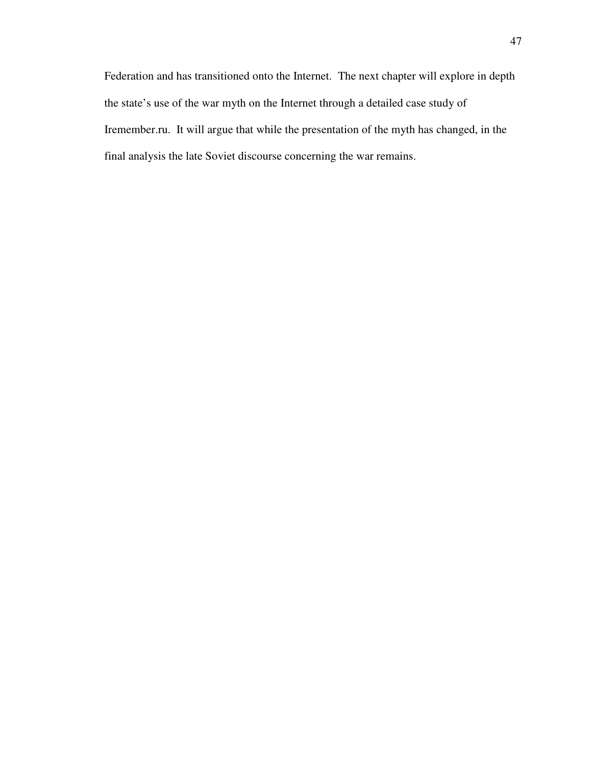Federation and has transitioned onto the Internet. The next chapter will explore in depth the state's use of the war myth on the Internet through a detailed case study of Iremember.ru. It will argue that while the presentation of the myth has changed, in the final analysis the late Soviet discourse concerning the war remains.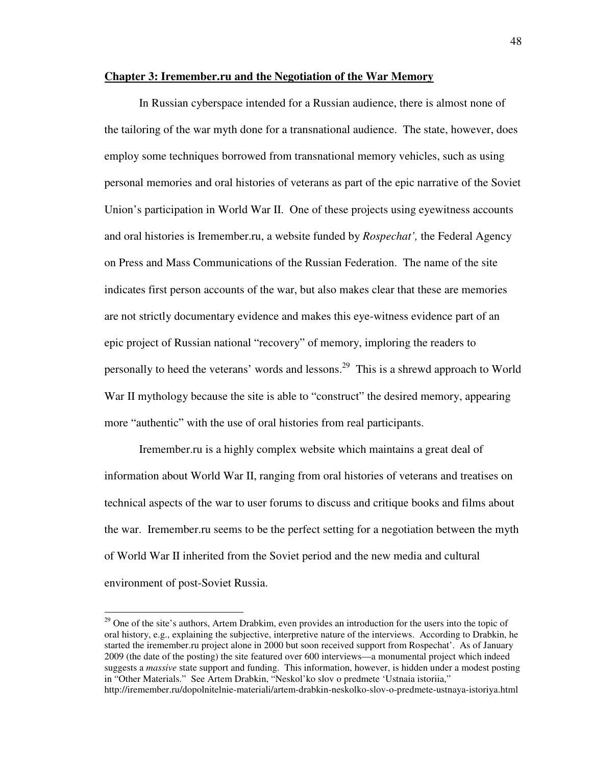## **Chapter 3: Iremember.ru and the Negotiation of the War Memory**

In Russian cyberspace intended for a Russian audience, there is almost none of the tailoring of the war myth done for a transnational audience. The state, however, does employ some techniques borrowed from transnational memory vehicles, such as using personal memories and oral histories of veterans as part of the epic narrative of the Soviet Union's participation in World War II. One of these projects using eyewitness accounts and oral histories is Iremember.ru, a website funded by *Rospechat',* the Federal Agency on Press and Mass Communications of the Russian Federation. The name of the site indicates first person accounts of the war, but also makes clear that these are memories are not strictly documentary evidence and makes this eye-witness evidence part of an epic project of Russian national "recovery" of memory, imploring the readers to personally to heed the veterans' words and lessons.<sup>29</sup> This is a shrewd approach to World War II mythology because the site is able to "construct" the desired memory, appearing more "authentic" with the use of oral histories from real participants.

Iremember.ru is a highly complex website which maintains a great deal of information about World War II, ranging from oral histories of veterans and treatises on technical aspects of the war to user forums to discuss and critique books and films about the war. Iremember.ru seems to be the perfect setting for a negotiation between the myth of World War II inherited from the Soviet period and the new media and cultural environment of post-Soviet Russia.

<sup>&</sup>lt;sup>29</sup> One of the site's authors, Artem Drabkim, even provides an introduction for the users into the topic of oral history, e.g., explaining the subjective, interpretive nature of the interviews. According to Drabkin, he started the iremember.ru project alone in 2000 but soon received support from Rospechat'. As of January 2009 (the date of the posting) the site featured over 600 interviews—a monumental project which indeed suggests a *massive* state support and funding. This information, however, is hidden under a modest posting in "Other Materials." See Artem Drabkin, "Neskol'ko slov o predmete 'Ustnaia istoriia," http://iremember.ru/dopolnitelnie-materiali/artem-drabkin-neskolko-slov-o-predmete-ustnaya-istoriya.html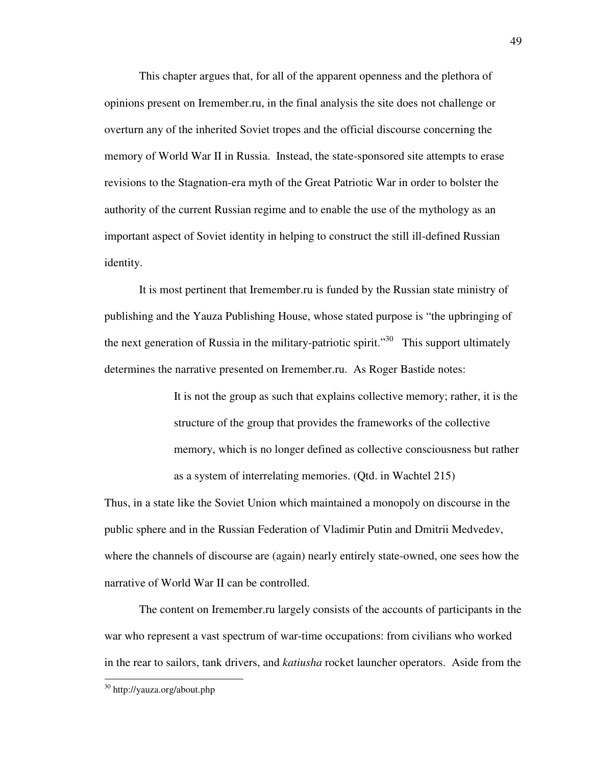This chapter argues that, for all of the apparent openness and the plethora of opinions present on Iremember.ru, in the final analysis the site does not challenge or overturn any of the inherited Soviet tropes and the official discourse concerning the memory of World War II in Russia. Instead, the state-sponsored site attempts to erase revisions to the Stagnation-era myth of the Great Patriotic War in order to bolster the authority of the current Russian regime and to enable the use of the mythology as an important aspect of Soviet identity in helping to construct the still ill-defined Russian identity.

It is most pertinent that Iremember.ru is funded by the Russian state ministry of publishing and the Yauza Publishing House, whose stated purpose is "the upbringing of the next generation of Russia in the military-patriotic spirit.<sup> $30$ </sup> This support ultimately determines the narrative presented on Iremember.ru. As Roger Bastide notes:

> It is not the group as such that explains collective memory; rather, it is the structure of the group that provides the frameworks of the collective memory, which is no longer defined as collective consciousness but rather as a system of interrelating memories. (Qtd. in Wachtel 215)

Thus, in a state like the Soviet Union which maintained a monopoly on discourse in the public sphere and in the Russian Federation of Vladimir Putin and Dmitrii Medvedev, where the channels of discourse are (again) nearly entirely state-owned, one sees how the narrative of World War II can be controlled.

The content on Iremember.ru largely consists of the accounts of participants in the war who represent a vast spectrum of war-time occupations: from civilians who worked in the rear to sailors, tank drivers, and *katiusha* rocket launcher operators. Aside from the

<sup>30</sup> http://yauza.org/about.php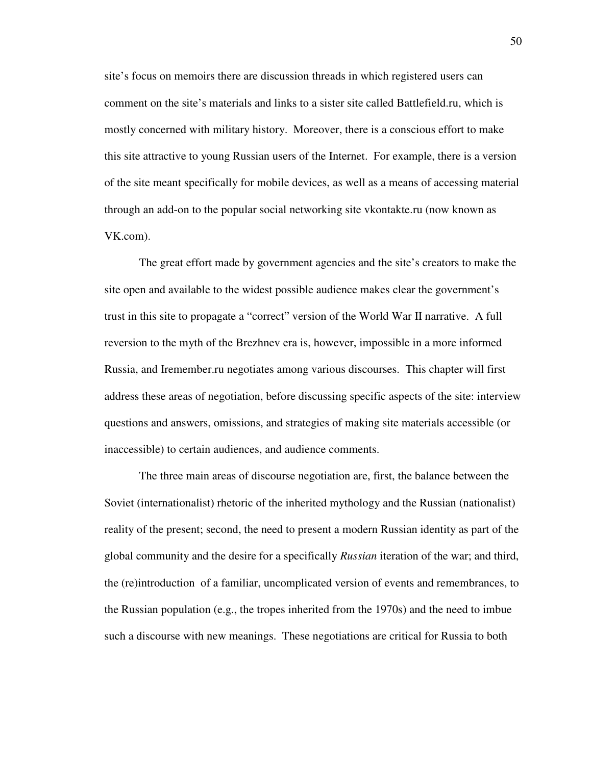site's focus on memoirs there are discussion threads in which registered users can comment on the site's materials and links to a sister site called Battlefield.ru, which is mostly concerned with military history. Moreover, there is a conscious effort to make this site attractive to young Russian users of the Internet. For example, there is a version of the site meant specifically for mobile devices, as well as a means of accessing material through an add-on to the popular social networking site vkontakte.ru (now known as VK.com).

 The great effort made by government agencies and the site's creators to make the site open and available to the widest possible audience makes clear the government's trust in this site to propagate a "correct" version of the World War II narrative. A full reversion to the myth of the Brezhnev era is, however, impossible in a more informed Russia, and Iremember.ru negotiates among various discourses. This chapter will first address these areas of negotiation, before discussing specific aspects of the site: interview questions and answers, omissions, and strategies of making site materials accessible (or inaccessible) to certain audiences, and audience comments.

The three main areas of discourse negotiation are, first, the balance between the Soviet (internationalist) rhetoric of the inherited mythology and the Russian (nationalist) reality of the present; second, the need to present a modern Russian identity as part of the global community and the desire for a specifically *Russian* iteration of the war; and third, the (re)introduction of a familiar, uncomplicated version of events and remembrances, to the Russian population (e.g., the tropes inherited from the 1970s) and the need to imbue such a discourse with new meanings. These negotiations are critical for Russia to both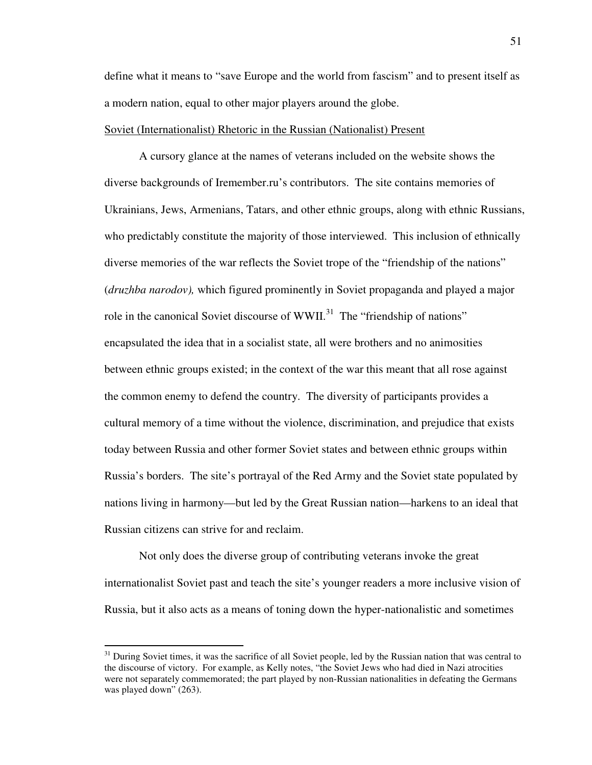define what it means to "save Europe and the world from fascism" and to present itself as a modern nation, equal to other major players around the globe.

## Soviet (Internationalist) Rhetoric in the Russian (Nationalist) Present

A cursory glance at the names of veterans included on the website shows the diverse backgrounds of Iremember.ru's contributors. The site contains memories of Ukrainians, Jews, Armenians, Tatars, and other ethnic groups, along with ethnic Russians, who predictably constitute the majority of those interviewed. This inclusion of ethnically diverse memories of the war reflects the Soviet trope of the "friendship of the nations" (*druzhba narodov),* which figured prominently in Soviet propaganda and played a major role in the canonical Soviet discourse of WWII.<sup>31</sup> The "friendship of nations" encapsulated the idea that in a socialist state, all were brothers and no animosities between ethnic groups existed; in the context of the war this meant that all rose against the common enemy to defend the country. The diversity of participants provides a cultural memory of a time without the violence, discrimination, and prejudice that exists today between Russia and other former Soviet states and between ethnic groups within Russia's borders. The site's portrayal of the Red Army and the Soviet state populated by nations living in harmony—but led by the Great Russian nation—harkens to an ideal that Russian citizens can strive for and reclaim.

Not only does the diverse group of contributing veterans invoke the great internationalist Soviet past and teach the site's younger readers a more inclusive vision of Russia, but it also acts as a means of toning down the hyper-nationalistic and sometimes

 $31$  During Soviet times, it was the sacrifice of all Soviet people, led by the Russian nation that was central to the discourse of victory. For example, as Kelly notes, "the Soviet Jews who had died in Nazi atrocities were not separately commemorated; the part played by non-Russian nationalities in defeating the Germans was played down" (263).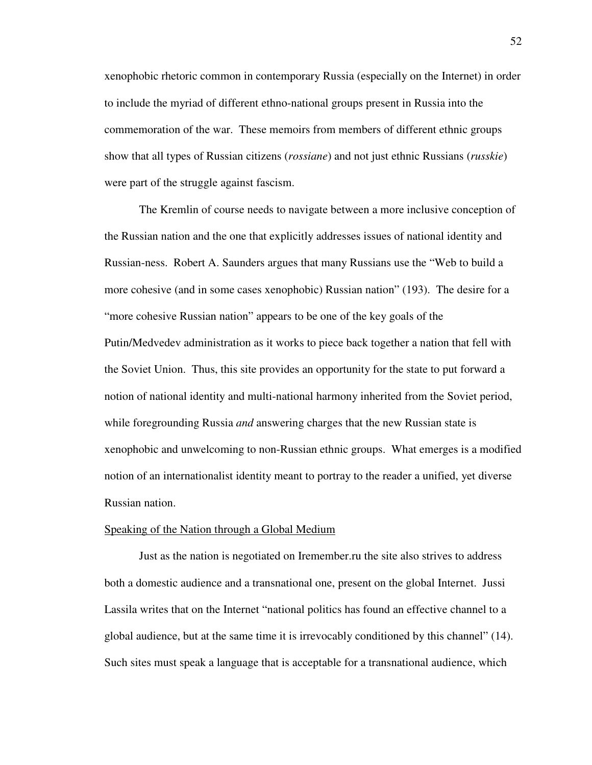xenophobic rhetoric common in contemporary Russia (especially on the Internet) in order to include the myriad of different ethno-national groups present in Russia into the commemoration of the war. These memoirs from members of different ethnic groups show that all types of Russian citizens (*rossiane*) and not just ethnic Russians (*russkie*) were part of the struggle against fascism.

The Kremlin of course needs to navigate between a more inclusive conception of the Russian nation and the one that explicitly addresses issues of national identity and Russian-ness. Robert A. Saunders argues that many Russians use the "Web to build a more cohesive (and in some cases xenophobic) Russian nation" (193). The desire for a "more cohesive Russian nation" appears to be one of the key goals of the Putin/Medvedev administration as it works to piece back together a nation that fell with the Soviet Union. Thus, this site provides an opportunity for the state to put forward a notion of national identity and multi-national harmony inherited from the Soviet period, while foregrounding Russia *and* answering charges that the new Russian state is xenophobic and unwelcoming to non-Russian ethnic groups. What emerges is a modified notion of an internationalist identity meant to portray to the reader a unified, yet diverse Russian nation.

#### Speaking of the Nation through a Global Medium

 Just as the nation is negotiated on Iremember.ru the site also strives to address both a domestic audience and a transnational one, present on the global Internet. Jussi Lassila writes that on the Internet "national politics has found an effective channel to a global audience, but at the same time it is irrevocably conditioned by this channel" (14). Such sites must speak a language that is acceptable for a transnational audience, which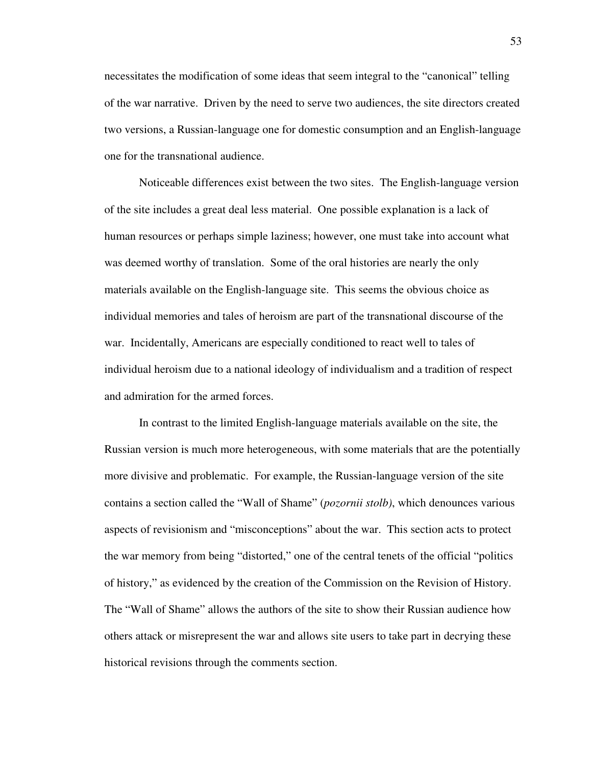necessitates the modification of some ideas that seem integral to the "canonical" telling of the war narrative. Driven by the need to serve two audiences, the site directors created two versions, a Russian-language one for domestic consumption and an English-language one for the transnational audience.

 Noticeable differences exist between the two sites. The English-language version of the site includes a great deal less material. One possible explanation is a lack of human resources or perhaps simple laziness; however, one must take into account what was deemed worthy of translation. Some of the oral histories are nearly the only materials available on the English-language site. This seems the obvious choice as individual memories and tales of heroism are part of the transnational discourse of the war. Incidentally, Americans are especially conditioned to react well to tales of individual heroism due to a national ideology of individualism and a tradition of respect and admiration for the armed forces.

 In contrast to the limited English-language materials available on the site, the Russian version is much more heterogeneous, with some materials that are the potentially more divisive and problematic. For example, the Russian-language version of the site contains a section called the "Wall of Shame" (*pozornii stolb)*, which denounces various aspects of revisionism and "misconceptions" about the war. This section acts to protect the war memory from being "distorted," one of the central tenets of the official "politics of history," as evidenced by the creation of the Commission on the Revision of History. The "Wall of Shame" allows the authors of the site to show their Russian audience how others attack or misrepresent the war and allows site users to take part in decrying these historical revisions through the comments section.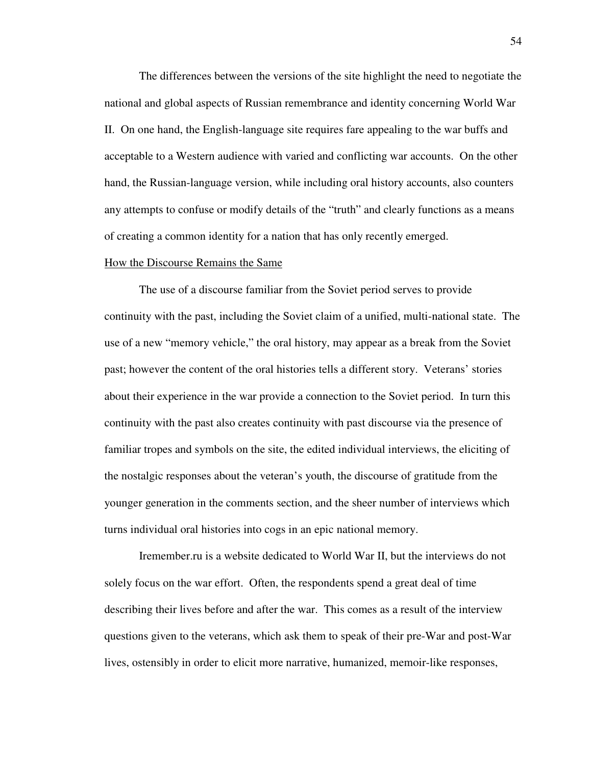The differences between the versions of the site highlight the need to negotiate the national and global aspects of Russian remembrance and identity concerning World War II. On one hand, the English-language site requires fare appealing to the war buffs and acceptable to a Western audience with varied and conflicting war accounts. On the other hand, the Russian-language version, while including oral history accounts, also counters any attempts to confuse or modify details of the "truth" and clearly functions as a means of creating a common identity for a nation that has only recently emerged.

#### How the Discourse Remains the Same

The use of a discourse familiar from the Soviet period serves to provide continuity with the past, including the Soviet claim of a unified, multi-national state. The use of a new "memory vehicle," the oral history, may appear as a break from the Soviet past; however the content of the oral histories tells a different story. Veterans' stories about their experience in the war provide a connection to the Soviet period. In turn this continuity with the past also creates continuity with past discourse via the presence of familiar tropes and symbols on the site, the edited individual interviews, the eliciting of the nostalgic responses about the veteran's youth, the discourse of gratitude from the younger generation in the comments section, and the sheer number of interviews which turns individual oral histories into cogs in an epic national memory.

Iremember.ru is a website dedicated to World War II, but the interviews do not solely focus on the war effort. Often, the respondents spend a great deal of time describing their lives before and after the war. This comes as a result of the interview questions given to the veterans, which ask them to speak of their pre-War and post-War lives, ostensibly in order to elicit more narrative, humanized, memoir-like responses,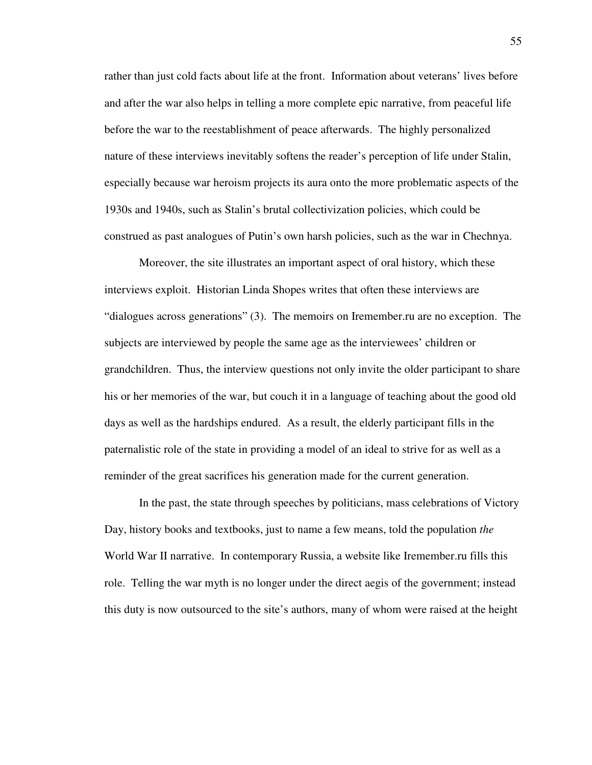rather than just cold facts about life at the front. Information about veterans' lives before and after the war also helps in telling a more complete epic narrative, from peaceful life before the war to the reestablishment of peace afterwards. The highly personalized nature of these interviews inevitably softens the reader's perception of life under Stalin, especially because war heroism projects its aura onto the more problematic aspects of the 1930s and 1940s, such as Stalin's brutal collectivization policies, which could be construed as past analogues of Putin's own harsh policies, such as the war in Chechnya.

Moreover, the site illustrates an important aspect of oral history, which these interviews exploit. Historian Linda Shopes writes that often these interviews are "dialogues across generations" (3). The memoirs on Iremember.ru are no exception. The subjects are interviewed by people the same age as the interviewees' children or grandchildren. Thus, the interview questions not only invite the older participant to share his or her memories of the war, but couch it in a language of teaching about the good old days as well as the hardships endured. As a result, the elderly participant fills in the paternalistic role of the state in providing a model of an ideal to strive for as well as a reminder of the great sacrifices his generation made for the current generation.

In the past, the state through speeches by politicians, mass celebrations of Victory Day, history books and textbooks, just to name a few means, told the population *the* World War II narrative. In contemporary Russia, a website like Iremember.ru fills this role. Telling the war myth is no longer under the direct aegis of the government; instead this duty is now outsourced to the site's authors, many of whom were raised at the height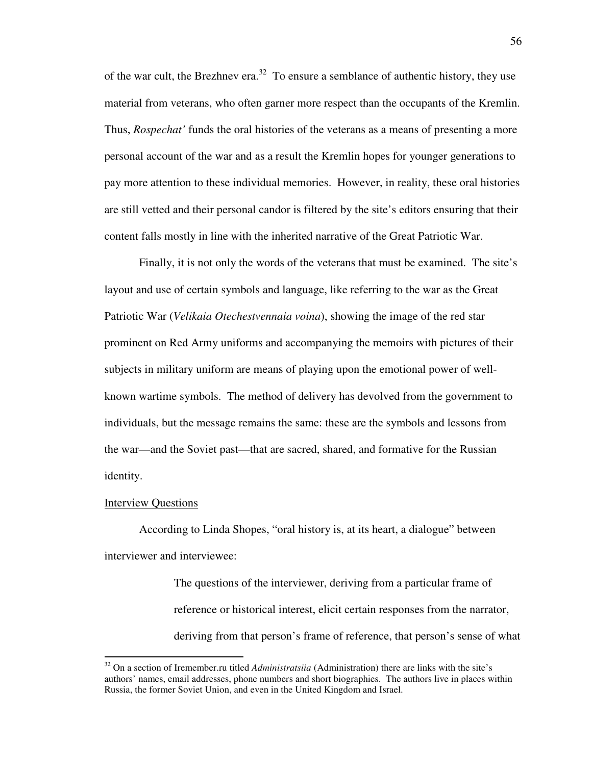of the war cult, the Brezhnev era.<sup>32</sup> To ensure a semblance of authentic history, they use material from veterans, who often garner more respect than the occupants of the Kremlin. Thus, *Rospechat'* funds the oral histories of the veterans as a means of presenting a more personal account of the war and as a result the Kremlin hopes for younger generations to pay more attention to these individual memories. However, in reality, these oral histories are still vetted and their personal candor is filtered by the site's editors ensuring that their content falls mostly in line with the inherited narrative of the Great Patriotic War.

Finally, it is not only the words of the veterans that must be examined. The site's layout and use of certain symbols and language, like referring to the war as the Great Patriotic War (*Velikaia Otechestvennaia voina*), showing the image of the red star prominent on Red Army uniforms and accompanying the memoirs with pictures of their subjects in military uniform are means of playing upon the emotional power of wellknown wartime symbols. The method of delivery has devolved from the government to individuals, but the message remains the same: these are the symbols and lessons from the war—and the Soviet past—that are sacred, shared, and formative for the Russian identity.

#### Interview Questions

 $\overline{a}$ 

According to Linda Shopes, "oral history is, at its heart, a dialogue" between interviewer and interviewee:

> The questions of the interviewer, deriving from a particular frame of reference or historical interest, elicit certain responses from the narrator, deriving from that person's frame of reference, that person's sense of what

<sup>32</sup> On a section of Iremember.ru titled *Administratsiia* (Administration) there are links with the site's authors' names, email addresses, phone numbers and short biographies. The authors live in places within Russia, the former Soviet Union, and even in the United Kingdom and Israel.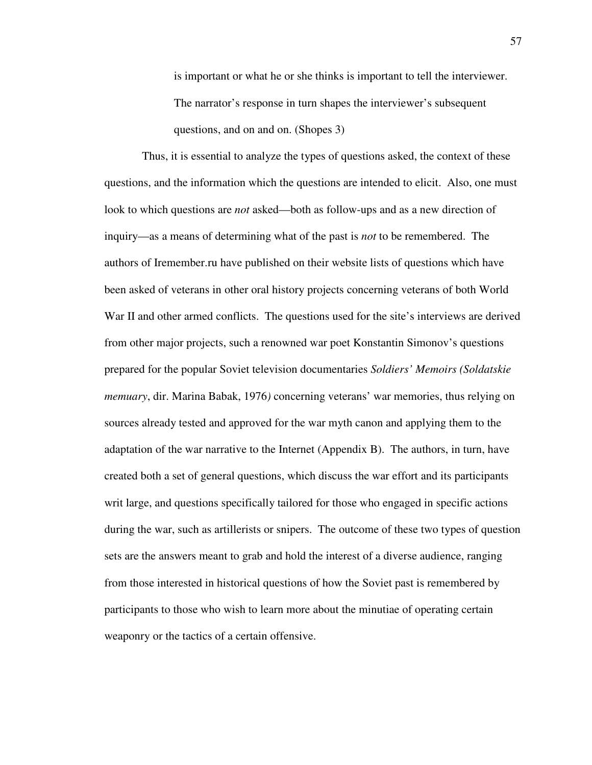is important or what he or she thinks is important to tell the interviewer. The narrator's response in turn shapes the interviewer's subsequent questions, and on and on. (Shopes 3)

 Thus, it is essential to analyze the types of questions asked, the context of these questions, and the information which the questions are intended to elicit. Also, one must look to which questions are *not* asked—both as follow-ups and as a new direction of inquiry—as a means of determining what of the past is *not* to be remembered. The authors of Iremember.ru have published on their website lists of questions which have been asked of veterans in other oral history projects concerning veterans of both World War II and other armed conflicts. The questions used for the site's interviews are derived from other major projects, such a renowned war poet Konstantin Simonov's questions prepared for the popular Soviet television documentaries *Soldiers' Memoirs (Soldatskie memuary*, dir. Marina Babak, 1976*)* concerning veterans' war memories, thus relying on sources already tested and approved for the war myth canon and applying them to the adaptation of the war narrative to the Internet (Appendix B). The authors, in turn, have created both a set of general questions, which discuss the war effort and its participants writ large, and questions specifically tailored for those who engaged in specific actions during the war, such as artillerists or snipers. The outcome of these two types of question sets are the answers meant to grab and hold the interest of a diverse audience, ranging from those interested in historical questions of how the Soviet past is remembered by participants to those who wish to learn more about the minutiae of operating certain weaponry or the tactics of a certain offensive.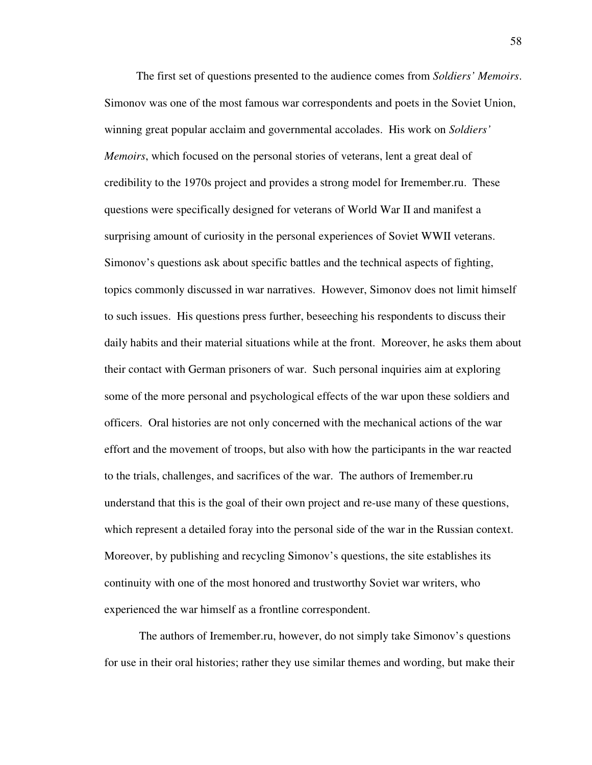The first set of questions presented to the audience comes from *Soldiers' Memoirs*. Simonov was one of the most famous war correspondents and poets in the Soviet Union, winning great popular acclaim and governmental accolades. His work on *Soldiers' Memoirs*, which focused on the personal stories of veterans, lent a great deal of credibility to the 1970s project and provides a strong model for Iremember.ru. These questions were specifically designed for veterans of World War II and manifest a surprising amount of curiosity in the personal experiences of Soviet WWII veterans. Simonov's questions ask about specific battles and the technical aspects of fighting, topics commonly discussed in war narratives. However, Simonov does not limit himself to such issues. His questions press further, beseeching his respondents to discuss their daily habits and their material situations while at the front. Moreover, he asks them about their contact with German prisoners of war. Such personal inquiries aim at exploring some of the more personal and psychological effects of the war upon these soldiers and officers. Oral histories are not only concerned with the mechanical actions of the war effort and the movement of troops, but also with how the participants in the war reacted to the trials, challenges, and sacrifices of the war. The authors of Iremember.ru understand that this is the goal of their own project and re-use many of these questions, which represent a detailed foray into the personal side of the war in the Russian context. Moreover, by publishing and recycling Simonov's questions, the site establishes its continuity with one of the most honored and trustworthy Soviet war writers, who experienced the war himself as a frontline correspondent.

 The authors of Iremember.ru, however, do not simply take Simonov's questions for use in their oral histories; rather they use similar themes and wording, but make their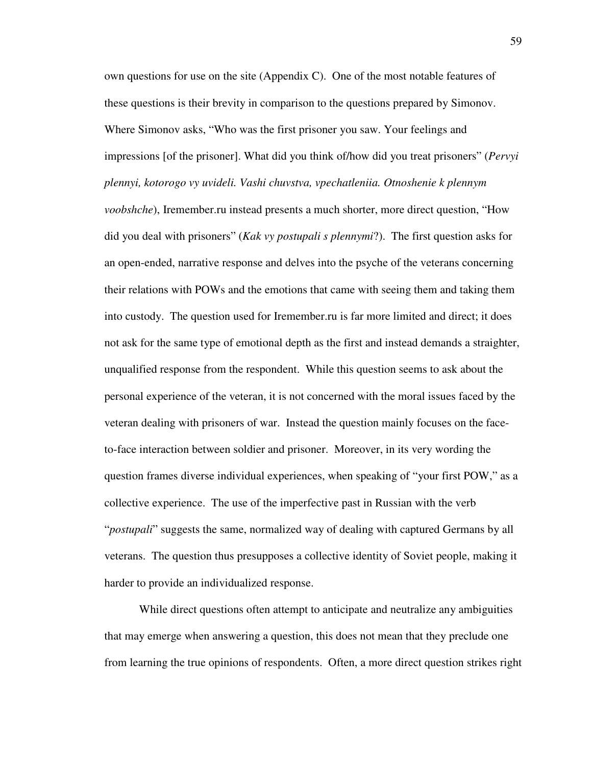own questions for use on the site (Appendix C). One of the most notable features of these questions is their brevity in comparison to the questions prepared by Simonov. Where Simonov asks, "Who was the first prisoner you saw. Your feelings and impressions [of the prisoner]. What did you think of/how did you treat prisoners" (*Pervyi plennyi, kotorogo vy uvideli. Vashi chuvstva, vpechatleniia. Otnoshenie k plennym voobshche*), Iremember.ru instead presents a much shorter, more direct question, "How did you deal with prisoners" (*Kak vy postupali s plennymi*?). The first question asks for an open-ended, narrative response and delves into the psyche of the veterans concerning their relations with POWs and the emotions that came with seeing them and taking them into custody. The question used for Iremember.ru is far more limited and direct; it does not ask for the same type of emotional depth as the first and instead demands a straighter, unqualified response from the respondent. While this question seems to ask about the personal experience of the veteran, it is not concerned with the moral issues faced by the veteran dealing with prisoners of war. Instead the question mainly focuses on the faceto-face interaction between soldier and prisoner. Moreover, in its very wording the question frames diverse individual experiences, when speaking of "your first POW," as a collective experience. The use of the imperfective past in Russian with the verb "*postupali*" suggests the same, normalized way of dealing with captured Germans by all veterans. The question thus presupposes a collective identity of Soviet people, making it harder to provide an individualized response.

 While direct questions often attempt to anticipate and neutralize any ambiguities that may emerge when answering a question, this does not mean that they preclude one from learning the true opinions of respondents. Often, a more direct question strikes right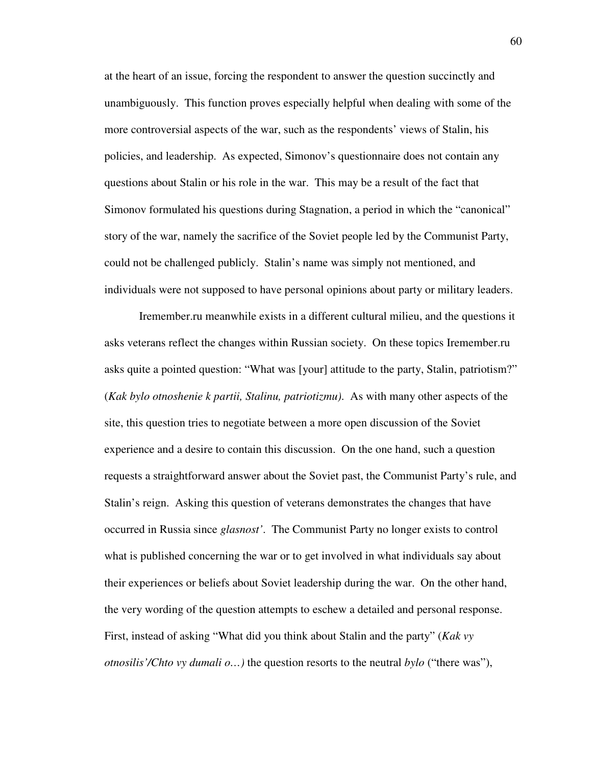at the heart of an issue, forcing the respondent to answer the question succinctly and unambiguously. This function proves especially helpful when dealing with some of the more controversial aspects of the war, such as the respondents' views of Stalin, his policies, and leadership. As expected, Simonov's questionnaire does not contain any questions about Stalin or his role in the war. This may be a result of the fact that Simonov formulated his questions during Stagnation, a period in which the "canonical" story of the war, namely the sacrifice of the Soviet people led by the Communist Party, could not be challenged publicly. Stalin's name was simply not mentioned, and individuals were not supposed to have personal opinions about party or military leaders.

Iremember.ru meanwhile exists in a different cultural milieu, and the questions it asks veterans reflect the changes within Russian society. On these topics Iremember.ru asks quite a pointed question: "What was [your] attitude to the party, Stalin, patriotism?" (*Kak bylo otnoshenie k partii, Stalinu, patriotizmu)*. As with many other aspects of the site, this question tries to negotiate between a more open discussion of the Soviet experience and a desire to contain this discussion. On the one hand, such a question requests a straightforward answer about the Soviet past, the Communist Party's rule, and Stalin's reign. Asking this question of veterans demonstrates the changes that have occurred in Russia since *glasnost'*. The Communist Party no longer exists to control what is published concerning the war or to get involved in what individuals say about their experiences or beliefs about Soviet leadership during the war. On the other hand, the very wording of the question attempts to eschew a detailed and personal response. First, instead of asking "What did you think about Stalin and the party" (*Kak vy otnosilis'/Chto vy dumali o…)* the question resorts to the neutral *bylo* ("there was"),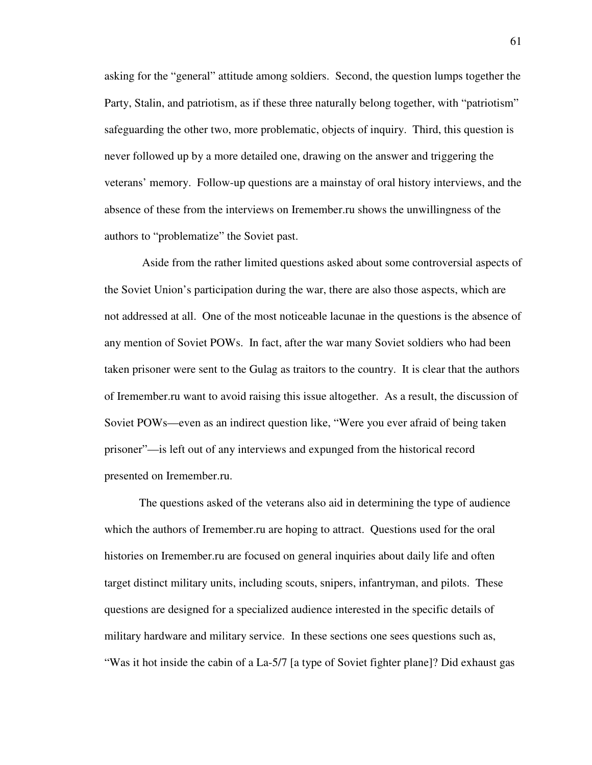asking for the "general" attitude among soldiers. Second, the question lumps together the Party, Stalin, and patriotism, as if these three naturally belong together, with "patriotism" safeguarding the other two, more problematic, objects of inquiry. Third, this question is never followed up by a more detailed one, drawing on the answer and triggering the veterans' memory. Follow-up questions are a mainstay of oral history interviews, and the absence of these from the interviews on Iremember.ru shows the unwillingness of the authors to "problematize" the Soviet past.

 Aside from the rather limited questions asked about some controversial aspects of the Soviet Union's participation during the war, there are also those aspects, which are not addressed at all. One of the most noticeable lacunae in the questions is the absence of any mention of Soviet POWs. In fact, after the war many Soviet soldiers who had been taken prisoner were sent to the Gulag as traitors to the country. It is clear that the authors of Iremember.ru want to avoid raising this issue altogether. As a result, the discussion of Soviet POWs—even as an indirect question like, "Were you ever afraid of being taken prisoner"—is left out of any interviews and expunged from the historical record presented on Iremember.ru.

 The questions asked of the veterans also aid in determining the type of audience which the authors of Iremember.ru are hoping to attract. Questions used for the oral histories on Iremember.ru are focused on general inquiries about daily life and often target distinct military units, including scouts, snipers, infantryman, and pilots. These questions are designed for a specialized audience interested in the specific details of military hardware and military service. In these sections one sees questions such as, "Was it hot inside the cabin of a La-5/7 [a type of Soviet fighter plane]? Did exhaust gas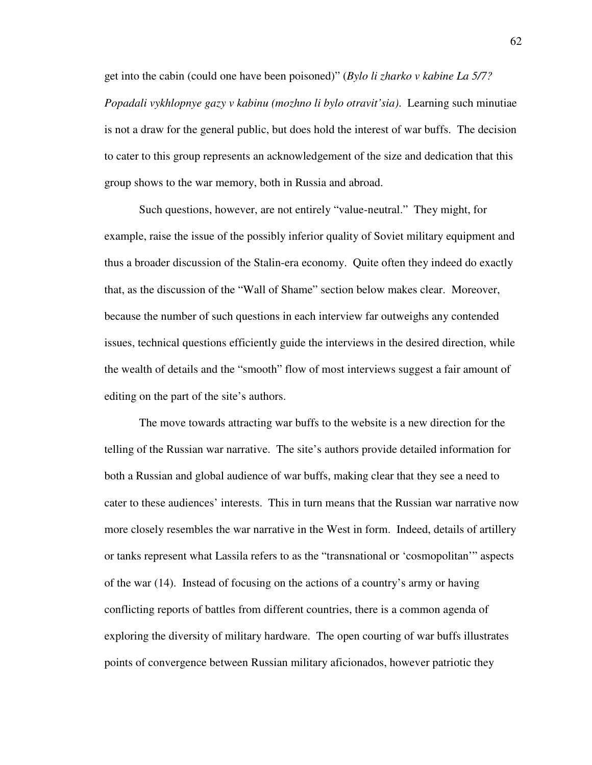get into the cabin (could one have been poisoned)" (*Bylo li zharko v kabine La 5/7? Popadali vykhlopnye gazy v kabinu (mozhno li bylo otravit'sia)*. Learning such minutiae is not a draw for the general public, but does hold the interest of war buffs. The decision to cater to this group represents an acknowledgement of the size and dedication that this group shows to the war memory, both in Russia and abroad.

Such questions, however, are not entirely "value-neutral." They might, for example, raise the issue of the possibly inferior quality of Soviet military equipment and thus a broader discussion of the Stalin-era economy. Quite often they indeed do exactly that, as the discussion of the "Wall of Shame" section below makes clear. Moreover, because the number of such questions in each interview far outweighs any contended issues, technical questions efficiently guide the interviews in the desired direction, while the wealth of details and the "smooth" flow of most interviews suggest a fair amount of editing on the part of the site's authors.

 The move towards attracting war buffs to the website is a new direction for the telling of the Russian war narrative. The site's authors provide detailed information for both a Russian and global audience of war buffs, making clear that they see a need to cater to these audiences' interests. This in turn means that the Russian war narrative now more closely resembles the war narrative in the West in form. Indeed, details of artillery or tanks represent what Lassila refers to as the "transnational or 'cosmopolitan'" aspects of the war (14). Instead of focusing on the actions of a country's army or having conflicting reports of battles from different countries, there is a common agenda of exploring the diversity of military hardware. The open courting of war buffs illustrates points of convergence between Russian military aficionados, however patriotic they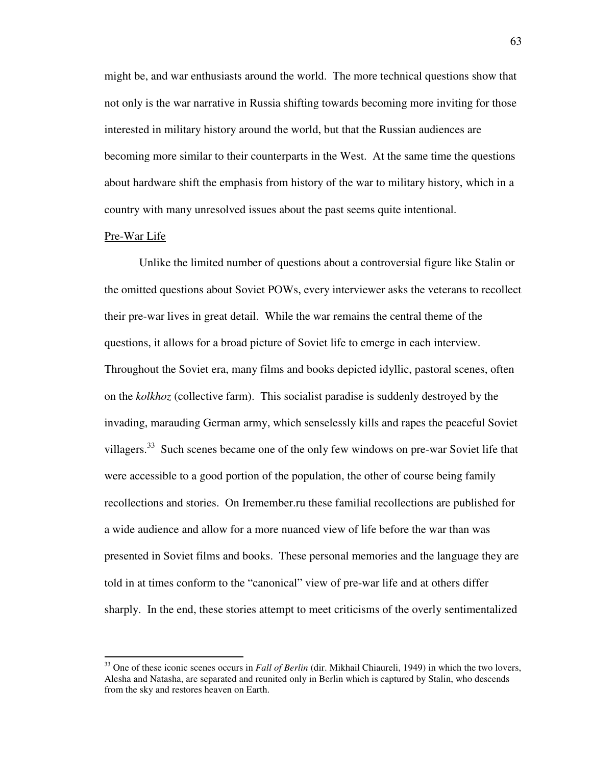might be, and war enthusiasts around the world. The more technical questions show that not only is the war narrative in Russia shifting towards becoming more inviting for those interested in military history around the world, but that the Russian audiences are becoming more similar to their counterparts in the West. At the same time the questions about hardware shift the emphasis from history of the war to military history, which in a country with many unresolved issues about the past seems quite intentional.

# Pre-War Life

 $\overline{a}$ 

Unlike the limited number of questions about a controversial figure like Stalin or the omitted questions about Soviet POWs, every interviewer asks the veterans to recollect their pre-war lives in great detail. While the war remains the central theme of the questions, it allows for a broad picture of Soviet life to emerge in each interview. Throughout the Soviet era, many films and books depicted idyllic, pastoral scenes, often on the *kolkhoz* (collective farm). This socialist paradise is suddenly destroyed by the invading, marauding German army, which senselessly kills and rapes the peaceful Soviet villagers.<sup>33</sup> Such scenes became one of the only few windows on pre-war Soviet life that were accessible to a good portion of the population, the other of course being family recollections and stories. On Iremember.ru these familial recollections are published for a wide audience and allow for a more nuanced view of life before the war than was presented in Soviet films and books. These personal memories and the language they are told in at times conform to the "canonical" view of pre-war life and at others differ sharply. In the end, these stories attempt to meet criticisms of the overly sentimentalized

<sup>33</sup> One of these iconic scenes occurs in *Fall of Berlin* (dir. Mikhail Chiaureli, 1949) in which the two lovers, Alesha and Natasha, are separated and reunited only in Berlin which is captured by Stalin, who descends from the sky and restores heaven on Earth.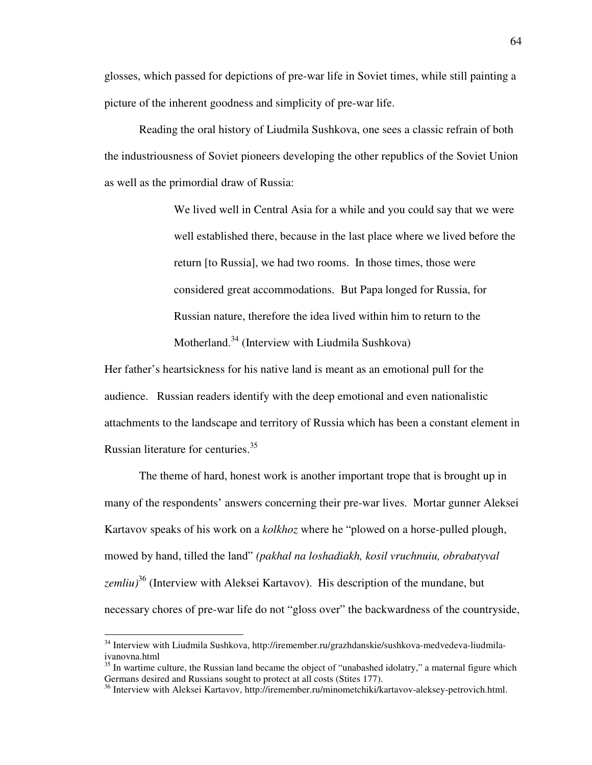glosses, which passed for depictions of pre-war life in Soviet times, while still painting a picture of the inherent goodness and simplicity of pre-war life.

Reading the oral history of Liudmila Sushkova, one sees a classic refrain of both the industriousness of Soviet pioneers developing the other republics of the Soviet Union as well as the primordial draw of Russia:

> We lived well in Central Asia for a while and you could say that we were well established there, because in the last place where we lived before the return [to Russia], we had two rooms. In those times, those were considered great accommodations. But Papa longed for Russia, for Russian nature, therefore the idea lived within him to return to the Motherland.<sup>34</sup> (Interview with Liudmila Sushkova)

Her father's heartsickness for his native land is meant as an emotional pull for the audience. Russian readers identify with the deep emotional and even nationalistic attachments to the landscape and territory of Russia which has been a constant element in Russian literature for centuries.<sup>35</sup>

 The theme of hard, honest work is another important trope that is brought up in many of the respondents' answers concerning their pre-war lives. Mortar gunner Aleksei Kartavov speaks of his work on a *kolkhoz* where he "plowed on а horse-pulled plough, mowed by hand, tilled the land" *(pakhal na loshadiakh, kosil vruchnuiu, obrabatyval* zemliu)<sup>36</sup> (Interview with Aleksei Kartavov). His description of the mundane, but necessary chores of pre-war life do not "gloss over" the backwardness of the countryside,

<sup>&</sup>lt;sup>34</sup> Interview with Liudmila Sushkova, http://iremember.ru/grazhdanskie/sushkova-medvedeva-liudmilaivanovna.html

 $35$  In wartime culture, the Russian land became the object of "unabashed idolatry," a maternal figure which Germans desired and Russians sought to protect at all costs (Stites 177).

<sup>&</sup>lt;sup>36</sup> Interview with Aleksei Kartavov, http://iremember.ru/minometchiki/kartavov-aleksey-petrovich.html.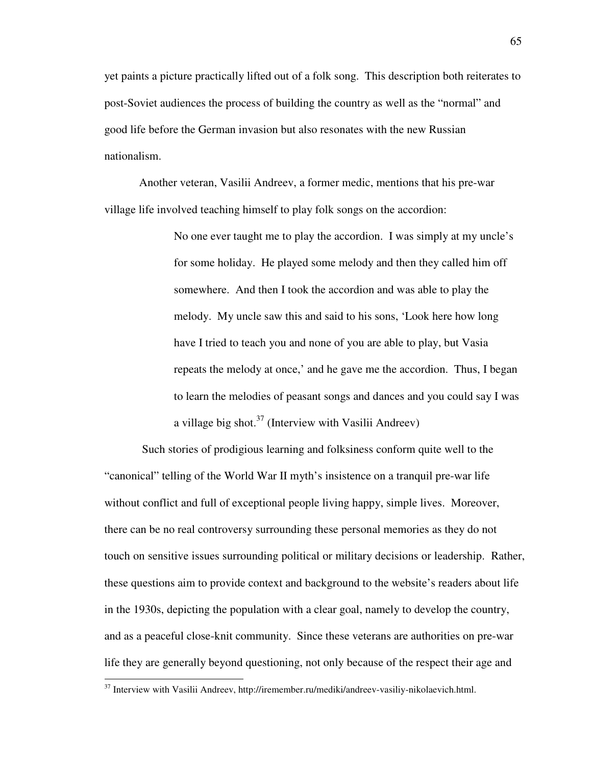yet paints a picture practically lifted out of a folk song. This description both reiterates to post-Soviet audiences the process of building the country as well as the "normal" and good life before the German invasion but also resonates with the new Russian nationalism.

Another veteran, Vasilii Andreev, a former medic, mentions that his pre-war village life involved teaching himself to play folk songs on the accordion:

> No one ever taught me to play the accordion. I was simply at my uncle's for some holiday. He played some melody and then they called him off somewhere. And then I took the accordion and was able to play the melody. My uncle saw this and said to his sons, 'Look here how long have I tried to teach you and none of you are able to play, but Vasia repeats the melody at once,' and he gave me the accordion. Thus, I began to learn the melodies of peasant songs and dances and you could say I was a village big shot.<sup>37</sup> (Interview with Vasilii Andreev)

 Such stories of prodigious learning and folksiness conform quite well to the "canonical" telling of the World War II myth's insistence on a tranquil pre-war life without conflict and full of exceptional people living happy, simple lives. Moreover, there can be no real controversy surrounding these personal memories as they do not touch on sensitive issues surrounding political or military decisions or leadership. Rather, these questions aim to provide context and background to the website's readers about life in the 1930s, depicting the population with a clear goal, namely to develop the country, and as a peaceful close-knit community. Since these veterans are authorities on pre-war life they are generally beyond questioning, not only because of the respect their age and

<sup>&</sup>lt;sup>37</sup> Interview with Vasilii Andreev, http://iremember.ru/mediki/andreev-vasiliy-nikolaevich.html.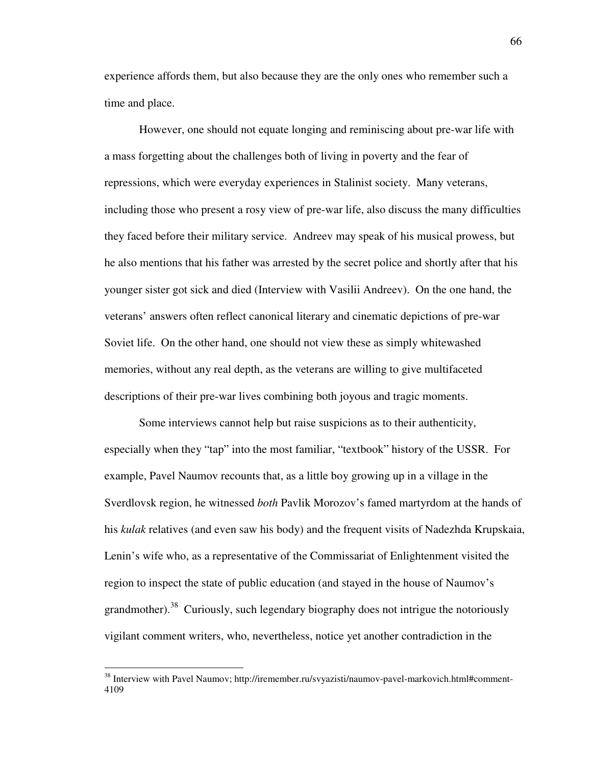experience affords them, but also because they are the only ones who remember such a time and place.

 However, one should not equate longing and reminiscing about pre-war life with a mass forgetting about the challenges both of living in poverty and the fear of repressions, which were everyday experiences in Stalinist society. Many veterans, including those who present a rosy view of pre-war life, also discuss the many difficulties they faced before their military service. Andreev may speak of his musical prowess, but he also mentions that his father was arrested by the secret police and shortly after that his younger sister got sick and died (Interview with Vasilii Andreev). On the one hand, the veterans' answers often reflect canonical literary and cinematic depictions of pre-war Soviet life. On the other hand, one should not view these as simply whitewashed memories, without any real depth, as the veterans are willing to give multifaceted descriptions of their pre-war lives combining both joyous and tragic moments.

 Some interviews cannot help but raise suspicions as to their authenticity, especially when they "tap" into the most familiar, "textbook" history of the USSR. For example, Pavel Naumov recounts that, as a little boy growing up in a village in the Sverdlovsk region, he witnessed *both* Pavlik Morozov's famed martyrdom at the hands of his *kulak* relatives (and even saw his body) and the frequent visits of Nadezhda Krupskaia, Lenin's wife who, as a representative of the Commissariat of Enlightenment visited the region to inspect the state of public education (and stayed in the house of Naumov's grandmother).<sup>38</sup> Curiously, such legendary biography does not intrigue the notoriously vigilant comment writers, who, nevertheless, notice yet another contradiction in the

<sup>38</sup> Interview with Pavel Naumov; http://iremember.ru/svyazisti/naumov-pavel-markovich.html#comment-4109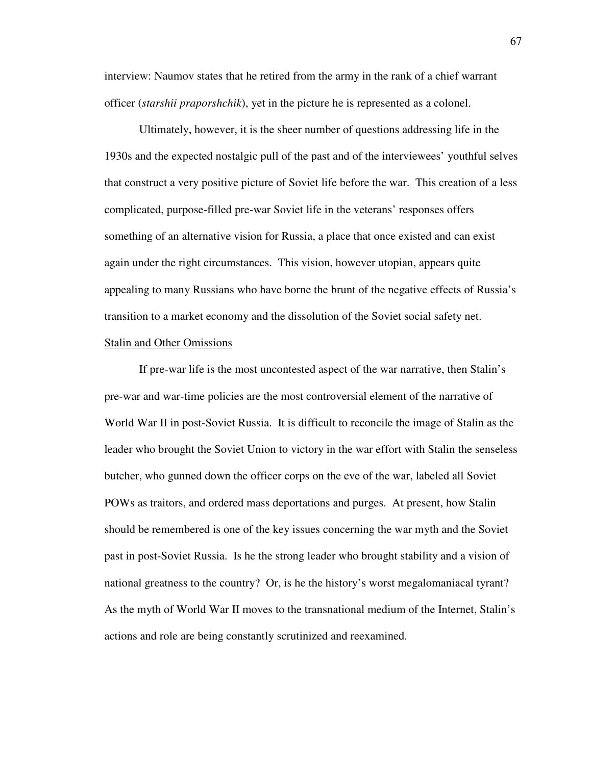interview: Naumov states that he retired from the army in the rank of a chief warrant officer (*starshii praporshchik*), yet in the picture he is represented as a colonel.

Ultimately, however, it is the sheer number of questions addressing life in the 1930s and the expected nostalgic pull of the past and of the interviewees' youthful selves that construct a very positive picture of Soviet life before the war. This creation of a less complicated, purpose-filled pre-war Soviet life in the veterans' responses offers something of an alternative vision for Russia, a place that once existed and can exist again under the right circumstances. This vision, however utopian, appears quite appealing to many Russians who have borne the brunt of the negative effects of Russia's transition to a market economy and the dissolution of the Soviet social safety net. Stalin and Other Omissions

 If pre-war life is the most uncontested aspect of the war narrative, then Stalin's pre-war and war-time policies are the most controversial element of the narrative of World War II in post-Soviet Russia. It is difficult to reconcile the image of Stalin as the leader who brought the Soviet Union to victory in the war effort with Stalin the senseless butcher, who gunned down the officer corps on the eve of the war, labeled all Soviet POWs as traitors, and ordered mass deportations and purges. At present, how Stalin should be remembered is one of the key issues concerning the war myth and the Soviet past in post-Soviet Russia. Is he the strong leader who brought stability and a vision of national greatness to the country? Or, is he the history's worst megalomaniacal tyrant? As the myth of World War II moves to the transnational medium of the Internet, Stalin's actions and role are being constantly scrutinized and reexamined.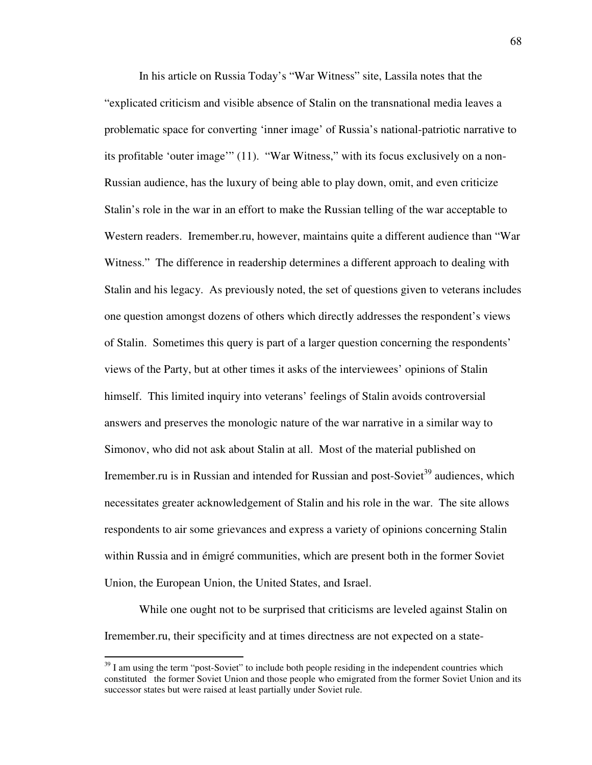In his article on Russia Today's "War Witness" site, Lassila notes that the "explicated criticism and visible absence of Stalin on the transnational media leaves a problematic space for converting 'inner image' of Russia's national-patriotic narrative to its profitable 'outer image'" (11). "War Witness," with its focus exclusively on a non-Russian audience, has the luxury of being able to play down, omit, and even criticize Stalin's role in the war in an effort to make the Russian telling of the war acceptable to Western readers. Iremember.ru, however, maintains quite a different audience than "War Witness." The difference in readership determines a different approach to dealing with Stalin and his legacy. As previously noted, the set of questions given to veterans includes one question amongst dozens of others which directly addresses the respondent's views of Stalin. Sometimes this query is part of a larger question concerning the respondents' views of the Party, but at other times it asks of the interviewees' opinions of Stalin himself. This limited inquiry into veterans' feelings of Stalin avoids controversial answers and preserves the monologic nature of the war narrative in a similar way to Simonov, who did not ask about Stalin at all. Most of the material published on Iremember.ru is in Russian and intended for Russian and post-Soviet<sup>39</sup> audiences, which necessitates greater acknowledgement of Stalin and his role in the war. The site allows respondents to air some grievances and express a variety of opinions concerning Stalin within Russia and in émigré communities, which are present both in the former Soviet Union, the European Union, the United States, and Israel.

While one ought not to be surprised that criticisms are leveled against Stalin on Iremember.ru, their specificity and at times directness are not expected on a state-

 $39$  I am using the term "post-Soviet" to include both people residing in the independent countries which constituted the former Soviet Union and those people who emigrated from the former Soviet Union and its successor states but were raised at least partially under Soviet rule.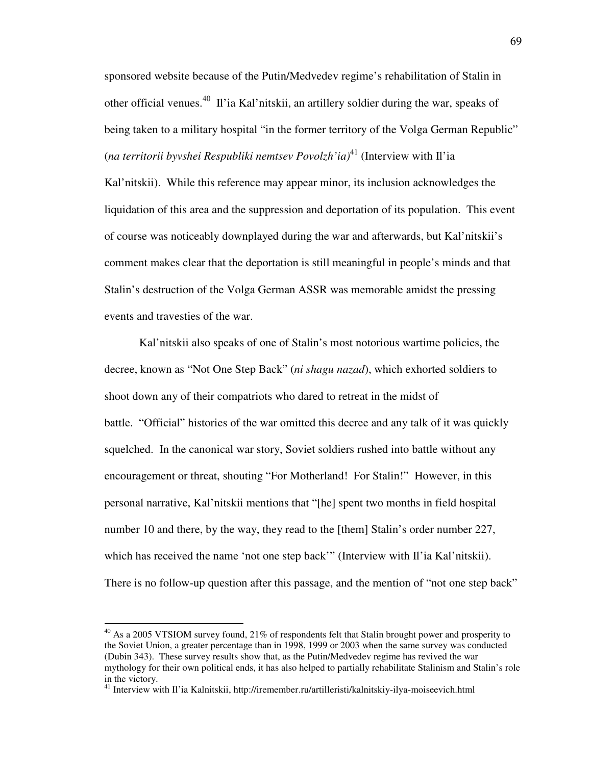sponsored website because of the Putin/Medvedev regime's rehabilitation of Stalin in other official venues.<sup>40</sup> Il'ia Kal'nitskii, an artillery soldier during the war, speaks of being taken to a military hospital "in the former territory of the Volga German Republic" (*na territorii byvshei Respubliki nemtsev Povolzh'ia)* <sup>41</sup> (Interview with Il'ia

Kal'nitskii). While this reference may appear minor, its inclusion acknowledges the liquidation of this area and the suppression and deportation of its population. This event of course was noticeably downplayed during the war and afterwards, but Kal'nitskii's comment makes clear that the deportation is still meaningful in people's minds and that Stalin's destruction of the Volga German ASSR was memorable amidst the pressing events and travesties of the war.

Kal'nitskii also speaks of one of Stalin's most notorious wartime policies, the decree, known as "Not One Step Back" (*ni shagu nazad*), which exhorted soldiers to shoot down any of their compatriots who dared to retreat in the midst of battle. "Official" histories of the war omitted this decree and any talk of it was quickly squelched. In the canonical war story, Soviet soldiers rushed into battle without any encouragement or threat, shouting "For Motherland! For Stalin!" However, in this personal narrative, Kal'nitskii mentions that "[he] spent two months in field hospital number 10 and there, by the way, they read to the [them] Stalin's order number 227, which has received the name 'not one step back'" (Interview with Il'ia Kal'nitskii). There is no follow-up question after this passage, and the mention of "not one step back"

 $^{40}$  As a 2005 VTSIOM survey found, 21% of respondents felt that Stalin brought power and prosperity to the Soviet Union, a greater percentage than in 1998, 1999 or 2003 when the same survey was conducted (Dubin 343). These survey results show that, as the Putin/Medvedev regime has revived the war mythology for their own political ends, it has also helped to partially rehabilitate Stalinism and Stalin's role in the victory.

<sup>41</sup> Interview with Il'ia Kalnitskii, http://iremember.ru/artilleristi/kalnitskiy-ilya-moiseevich.html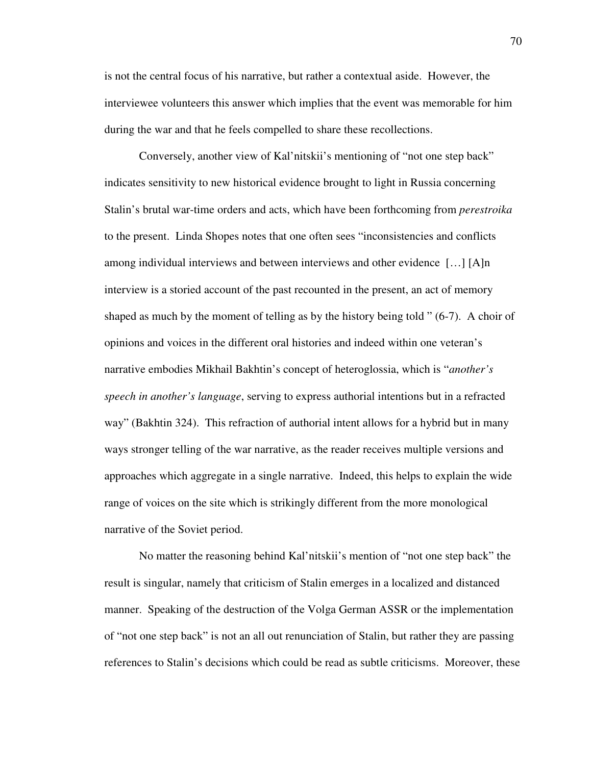is not the central focus of his narrative, but rather a contextual aside. However, the interviewee volunteers this answer which implies that the event was memorable for him during the war and that he feels compelled to share these recollections.

Conversely, another view of Kal'nitskii's mentioning of "not one step back" indicates sensitivity to new historical evidence brought to light in Russia concerning Stalin's brutal war-time orders and acts, which have been forthcoming from *perestroika* to the present. Linda Shopes notes that one often sees "inconsistencies and conflicts among individual interviews and between interviews and other evidence […] [A]n interview is a storied account of the past recounted in the present, an act of memory shaped as much by the moment of telling as by the history being told " (6-7). A choir of opinions and voices in the different oral histories and indeed within one veteran's narrative embodies Mikhail Bakhtin's concept of heteroglossia, which is "*another's speech in another's language*, serving to express authorial intentions but in a refracted way" (Bakhtin 324). This refraction of authorial intent allows for a hybrid but in many ways stronger telling of the war narrative, as the reader receives multiple versions and approaches which aggregate in a single narrative. Indeed, this helps to explain the wide range of voices on the site which is strikingly different from the more monological narrative of the Soviet period.

No matter the reasoning behind Kal'nitskii's mention of "not one step back" the result is singular, namely that criticism of Stalin emerges in a localized and distanced manner. Speaking of the destruction of the Volga German ASSR or the implementation of "not one step back" is not an all out renunciation of Stalin, but rather they are passing references to Stalin's decisions which could be read as subtle criticisms. Moreover, these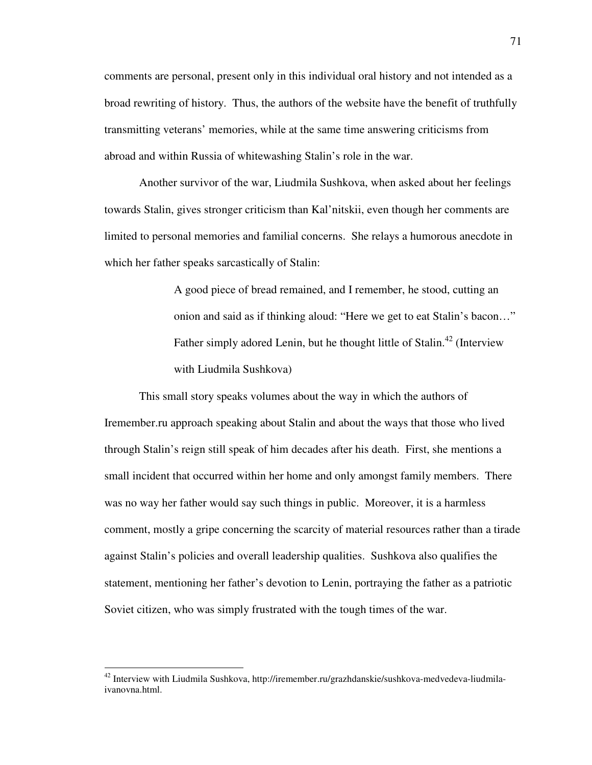comments are personal, present only in this individual oral history and not intended as a broad rewriting of history. Thus, the authors of the website have the benefit of truthfully transmitting veterans' memories, while at the same time answering criticisms from abroad and within Russia of whitewashing Stalin's role in the war.

Another survivor of the war, Liudmila Sushkova, when asked about her feelings towards Stalin, gives stronger criticism than Kal'nitskii, even though her comments are limited to personal memories and familial concerns. She relays a humorous anecdote in which her father speaks sarcastically of Stalin:

> A good piece of bread remained, and I remember, he stood, cutting an onion and said as if thinking aloud: "Here we get to eat Stalin's bacon…" Father simply adored Lenin, but he thought little of Stalin.<sup>42</sup> (Interview with Liudmila Sushkova)

This small story speaks volumes about the way in which the authors of Iremember.ru approach speaking about Stalin and about the ways that those who lived through Stalin's reign still speak of him decades after his death. First, she mentions a small incident that occurred within her home and only amongst family members. There was no way her father would say such things in public. Moreover, it is a harmless comment, mostly a gripe concerning the scarcity of material resources rather than a tirade against Stalin's policies and overall leadership qualities. Sushkova also qualifies the statement, mentioning her father's devotion to Lenin, portraying the father as a patriotic Soviet citizen, who was simply frustrated with the tough times of the war.

<sup>42</sup> Interview with Liudmila Sushkova, http://iremember.ru/grazhdanskie/sushkova-medvedeva-liudmilaivanovna.html.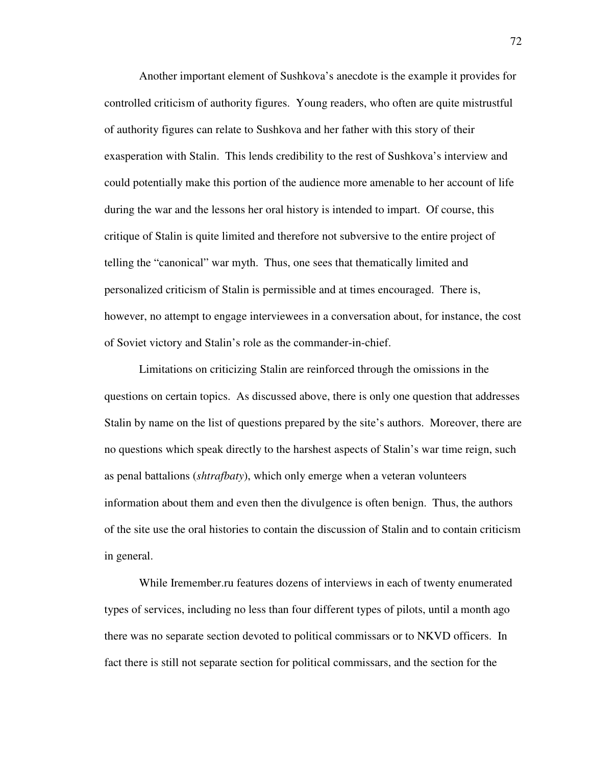Another important element of Sushkova's anecdote is the example it provides for controlled criticism of authority figures. Young readers, who often are quite mistrustful of authority figures can relate to Sushkova and her father with this story of their exasperation with Stalin. This lends credibility to the rest of Sushkova's interview and could potentially make this portion of the audience more amenable to her account of life during the war and the lessons her oral history is intended to impart. Of course, this critique of Stalin is quite limited and therefore not subversive to the entire project of telling the "canonical" war myth. Thus, one sees that thematically limited and personalized criticism of Stalin is permissible and at times encouraged. There is, however, no attempt to engage interviewees in a conversation about, for instance, the cost of Soviet victory and Stalin's role as the commander-in-chief.

 Limitations on criticizing Stalin are reinforced through the omissions in the questions on certain topics. As discussed above, there is only one question that addresses Stalin by name on the list of questions prepared by the site's authors. Moreover, there are no questions which speak directly to the harshest aspects of Stalin's war time reign, such as penal battalions (*shtrafbaty*), which only emerge when a veteran volunteers information about them and even then the divulgence is often benign. Thus, the authors of the site use the oral histories to contain the discussion of Stalin and to contain criticism in general.

 While Iremember.ru features dozens of interviews in each of twenty enumerated types of services, including no less than four different types of pilots, until a month ago there was no separate section devoted to political commissars or to NKVD officers. In fact there is still not separate section for political commissars, and the section for the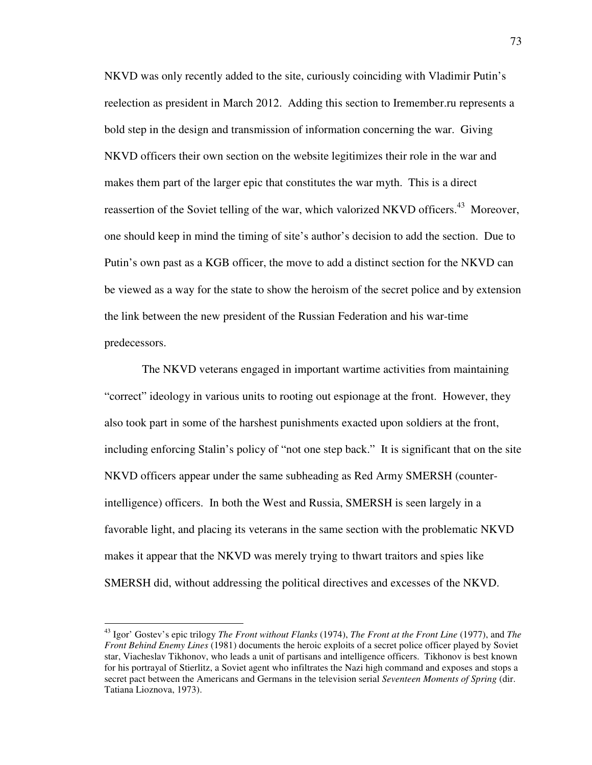NKVD was only recently added to the site, curiously coinciding with Vladimir Putin's reelection as president in March 2012. Adding this section to Iremember.ru represents a bold step in the design and transmission of information concerning the war. Giving NKVD officers their own section on the website legitimizes their role in the war and makes them part of the larger epic that constitutes the war myth. This is a direct reassertion of the Soviet telling of the war, which valorized NKVD officers.<sup>43</sup> Moreover, one should keep in mind the timing of site's author's decision to add the section. Due to Putin's own past as a KGB officer, the move to add a distinct section for the NKVD can be viewed as a way for the state to show the heroism of the secret police and by extension the link between the new president of the Russian Federation and his war-time predecessors.

 The NKVD veterans engaged in important wartime activities from maintaining "correct" ideology in various units to rooting out espionage at the front. However, they also took part in some of the harshest punishments exacted upon soldiers at the front, including enforcing Stalin's policy of "not one step back." It is significant that on the site NKVD officers appear under the same subheading as Red Army SMERSH (counterintelligence) officers. In both the West and Russia, SMERSH is seen largely in a favorable light, and placing its veterans in the same section with the problematic NKVD makes it appear that the NKVD was merely trying to thwart traitors and spies like SMERSH did, without addressing the political directives and excesses of the NKVD.

 $\overline{a}$ 

<sup>43</sup> Igor' Gostev's epic trilogy *The Front without Flanks* (1974), *The Front at the Front Line* (1977), and *The Front Behind Enemy Lines* (1981) documents the heroic exploits of a secret police officer played by Soviet star, Viacheslav Tikhonov, who leads a unit of partisans and intelligence officers. Tikhonov is best known for his portrayal of Stierlitz, a Soviet agent who infiltrates the Nazi high command and exposes and stops a secret pact between the Americans and Germans in the television serial *Seventeen Moments of Spring* (dir. Tatiana Lioznova, 1973).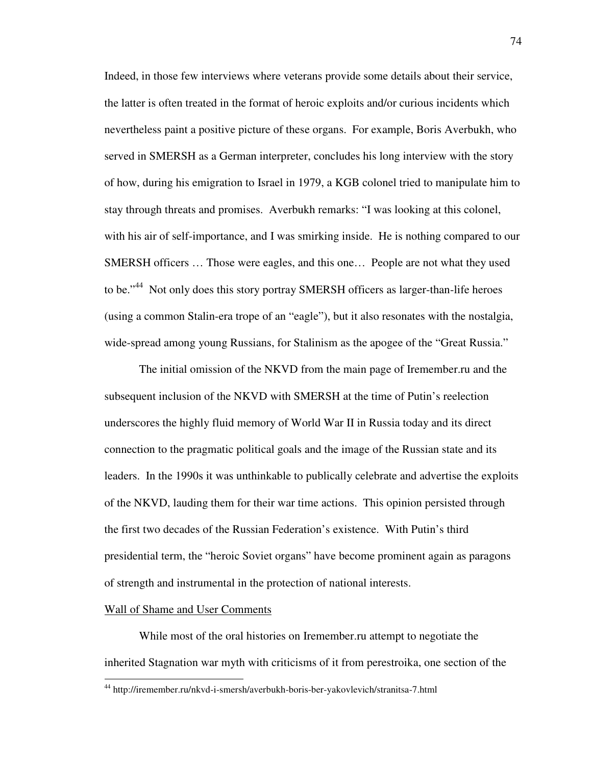Indeed, in those few interviews where veterans provide some details about their service, the latter is often treated in the format of heroic exploits and/or curious incidents which nevertheless paint a positive picture of these organs. For example, Boris Averbukh, who served in SMERSH as a German interpreter, concludes his long interview with the story of how, during his emigration to Israel in 1979, a KGB colonel tried to manipulate him to stay through threats and promises. Averbukh remarks: "I was looking at this colonel, with his air of self-importance, and I was smirking inside. He is nothing compared to our SMERSH officers … Those were eagles, and this one… People are not what they used to be."<sup>44</sup> Not only does this story portray SMERSH officers as larger-than-life heroes (using a common Stalin-era trope of an "eagle"), but it also resonates with the nostalgia, wide-spread among young Russians, for Stalinism as the apogee of the "Great Russia."

 The initial omission of the NKVD from the main page of Iremember.ru and the subsequent inclusion of the NKVD with SMERSH at the time of Putin's reelection underscores the highly fluid memory of World War II in Russia today and its direct connection to the pragmatic political goals and the image of the Russian state and its leaders. In the 1990s it was unthinkable to publically celebrate and advertise the exploits of the NKVD, lauding them for their war time actions. This opinion persisted through the first two decades of the Russian Federation's existence. With Putin's third presidential term, the "heroic Soviet organs" have become prominent again as paragons of strength and instrumental in the protection of national interests.

#### Wall of Shame and User Comments

 $\overline{a}$ 

 While most of the oral histories on Iremember.ru attempt to negotiate the inherited Stagnation war myth with criticisms of it from perestroika, one section of the

<sup>44</sup> http://iremember.ru/nkvd-i-smersh/averbukh-boris-ber-yakovlevich/stranitsa-7.html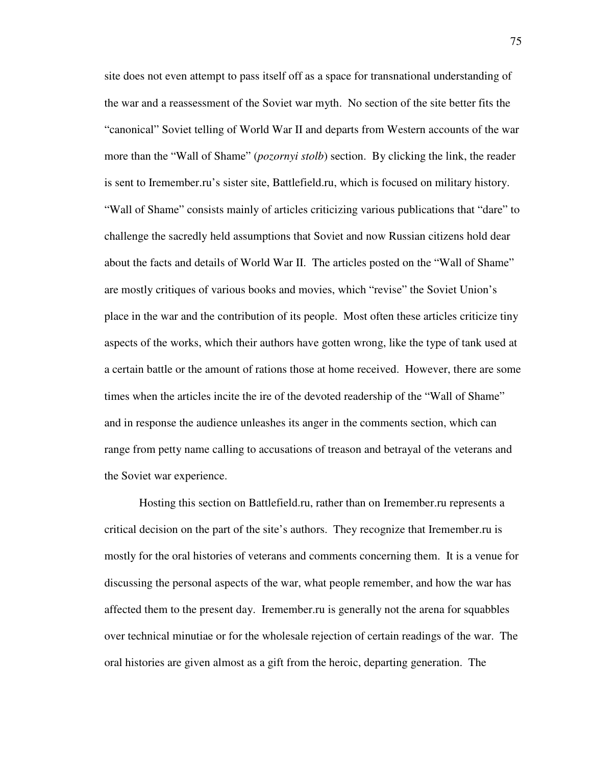site does not even attempt to pass itself off as a space for transnational understanding of the war and a reassessment of the Soviet war myth. No section of the site better fits the "canonical" Soviet telling of World War II and departs from Western accounts of the war more than the "Wall of Shame" (*pozornyi stolb*) section. By clicking the link, the reader is sent to Iremember.ru's sister site, Battlefield.ru, which is focused on military history. "Wall of Shame" consists mainly of articles criticizing various publications that "dare" to challenge the sacredly held assumptions that Soviet and now Russian citizens hold dear about the facts and details of World War II. The articles posted on the "Wall of Shame" are mostly critiques of various books and movies, which "revise" the Soviet Union's place in the war and the contribution of its people. Most often these articles criticize tiny aspects of the works, which their authors have gotten wrong, like the type of tank used at a certain battle or the amount of rations those at home received. However, there are some times when the articles incite the ire of the devoted readership of the "Wall of Shame" and in response the audience unleashes its anger in the comments section, which can range from petty name calling to accusations of treason and betrayal of the veterans and the Soviet war experience.

 Hosting this section on Battlefield.ru, rather than on Iremember.ru represents a critical decision on the part of the site's authors. They recognize that Iremember.ru is mostly for the oral histories of veterans and comments concerning them. It is a venue for discussing the personal aspects of the war, what people remember, and how the war has affected them to the present day. Iremember.ru is generally not the arena for squabbles over technical minutiae or for the wholesale rejection of certain readings of the war. The oral histories are given almost as a gift from the heroic, departing generation. The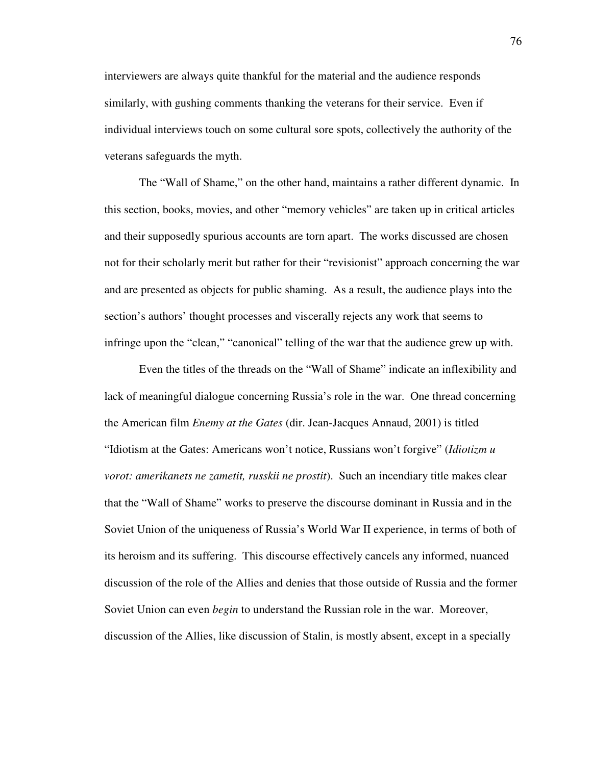interviewers are always quite thankful for the material and the audience responds similarly, with gushing comments thanking the veterans for their service. Even if individual interviews touch on some cultural sore spots, collectively the authority of the veterans safeguards the myth.

The "Wall of Shame," on the other hand, maintains a rather different dynamic. In this section, books, movies, and other "memory vehicles" are taken up in critical articles and their supposedly spurious accounts are torn apart. The works discussed are chosen not for their scholarly merit but rather for their "revisionist" approach concerning the war and are presented as objects for public shaming. As a result, the audience plays into the section's authors' thought processes and viscerally rejects any work that seems to infringe upon the "clean," "canonical" telling of the war that the audience grew up with.

Even the titles of the threads on the "Wall of Shame" indicate an inflexibility and lack of meaningful dialogue concerning Russia's role in the war. One thread concerning the American film *Enemy at the Gates* (dir. Jean-Jacques Annaud, 2001) is titled "Idiotism at the Gates: Americans won't notice, Russians won't forgive" (*Idiotizm u vorot: amerikanets ne zametit, russkii ne prostit*). Such an incendiary title makes clear that the "Wall of Shame" works to preserve the discourse dominant in Russia and in the Soviet Union of the uniqueness of Russia's World War II experience, in terms of both of its heroism and its suffering. This discourse effectively cancels any informed, nuanced discussion of the role of the Allies and denies that those outside of Russia and the former Soviet Union can even *begin* to understand the Russian role in the war. Moreover, discussion of the Allies, like discussion of Stalin, is mostly absent, except in a specially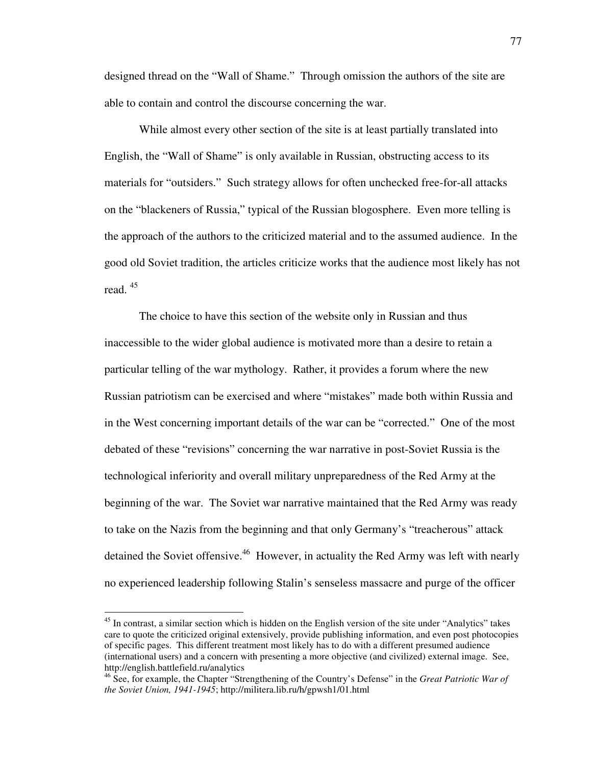designed thread on the "Wall of Shame." Through omission the authors of the site are able to contain and control the discourse concerning the war.

While almost every other section of the site is at least partially translated into English, the "Wall of Shame" is only available in Russian, obstructing access to its materials for "outsiders." Such strategy allows for often unchecked free-for-all attacks on the "blackeners of Russia," typical of the Russian blogosphere. Even more telling is the approach of the authors to the criticized material and to the assumed audience. In the good old Soviet tradition, the articles criticize works that the audience most likely has not read. <sup>45</sup>

 The choice to have this section of the website only in Russian and thus inaccessible to the wider global audience is motivated more than a desire to retain a particular telling of the war mythology. Rather, it provides a forum where the new Russian patriotism can be exercised and where "mistakes" made both within Russia and in the West concerning important details of the war can be "corrected." One of the most debated of these "revisions" concerning the war narrative in post-Soviet Russia is the technological inferiority and overall military unpreparedness of the Red Army at the beginning of the war. The Soviet war narrative maintained that the Red Army was ready to take on the Nazis from the beginning and that only Germany's "treacherous" attack detained the Soviet offensive.<sup>46</sup> However, in actuality the Red Army was left with nearly no experienced leadership following Stalin's senseless massacre and purge of the officer

 $\overline{a}$ 

<sup>&</sup>lt;sup>45</sup> In contrast, a similar section which is hidden on the English version of the site under "Analytics" takes care to quote the criticized original extensively, provide publishing information, and even post photocopies of specific pages. This different treatment most likely has to do with a different presumed audience (international users) and a concern with presenting a more objective (and civilized) external image. See, http://english.battlefield.ru/analytics

<sup>46</sup> See, for example, the Chapter "Strengthening of the Country's Defense" in the *Great Patriotic War of the Soviet Union, 1941-1945*; http://militera.lib.ru/h/gpwsh1/01.html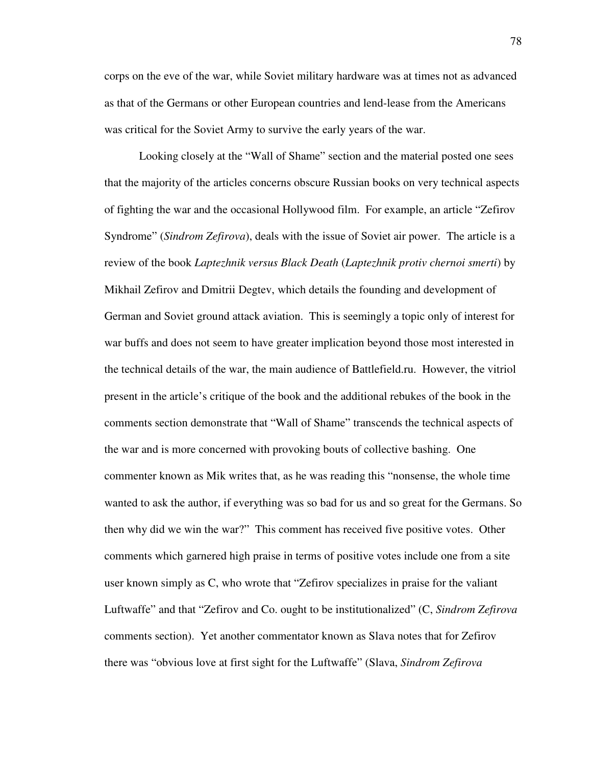corps on the eve of the war, while Soviet military hardware was at times not as advanced as that of the Germans or other European countries and lend-lease from the Americans was critical for the Soviet Army to survive the early years of the war.

 Looking closely at the "Wall of Shame" section and the material posted one sees that the majority of the articles concerns obscure Russian books on very technical aspects of fighting the war and the occasional Hollywood film. For example, an article "Zefirov Syndrome" (*Sindrom Zefirova*), deals with the issue of Soviet air power. The article is a review of the book *Laptezhnik versus Black Death* (*Laptezhnik protiv chernoi smerti*) by Mikhail Zefirov and Dmitrii Degtev, which details the founding and development of German and Soviet ground attack aviation. This is seemingly a topic only of interest for war buffs and does not seem to have greater implication beyond those most interested in the technical details of the war, the main audience of Battlefield.ru. However, the vitriol present in the article's critique of the book and the additional rebukes of the book in the comments section demonstrate that "Wall of Shame" transcends the technical aspects of the war and is more concerned with provoking bouts of collective bashing. One commenter known as Mik writes that, as he was reading this "nonsense, the whole time wanted to ask the author, if everything was so bad for us and so great for the Germans. So then why did we win the war?" This comment has received five positive votes. Other comments which garnered high praise in terms of positive votes include one from a site user known simply as C, who wrote that "Zefirov specializes in praise for the valiant Luftwaffe" and that "Zefirov and Co. ought to be institutionalized" (C, *Sindrom Zefirova*  comments section). Yet another commentator known as Slava notes that for Zefirov there was "obvious love at first sight for the Luftwaffe" (Slava, *Sindrom Zefirova*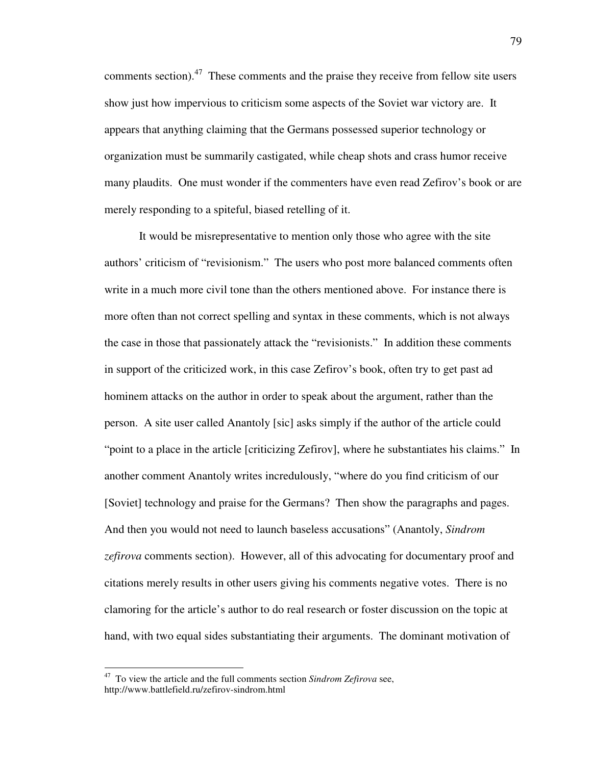comments section). $47$  These comments and the praise they receive from fellow site users show just how impervious to criticism some aspects of the Soviet war victory are. It appears that anything claiming that the Germans possessed superior technology or organization must be summarily castigated, while cheap shots and crass humor receive many plaudits. One must wonder if the commenters have even read Zefirov's book or are merely responding to a spiteful, biased retelling of it.

 It would be misrepresentative to mention only those who agree with the site authors' criticism of "revisionism." The users who post more balanced comments often write in a much more civil tone than the others mentioned above. For instance there is more often than not correct spelling and syntax in these comments, which is not always the case in those that passionately attack the "revisionists." In addition these comments in support of the criticized work, in this case Zefirov's book, often try to get past ad hominem attacks on the author in order to speak about the argument, rather than the person. A site user called Anantoly [sic] asks simply if the author of the article could "point to a place in the article [criticizing Zefirov], where he substantiates his claims." In another comment Anantoly writes incredulously, "where do you find criticism of our [Soviet] technology and praise for the Germans? Then show the paragraphs and pages. And then you would not need to launch baseless accusations" (Anantoly, *Sindrom zefirova* comments section). However, all of this advocating for documentary proof and citations merely results in other users giving his comments negative votes. There is no clamoring for the article's author to do real research or foster discussion on the topic at hand, with two equal sides substantiating their arguments. The dominant motivation of

 $\overline{a}$ 

<sup>47</sup> To view the article and the full comments section *Sindrom Zefirova* see, http://www.battlefield.ru/zefirov-sindrom.html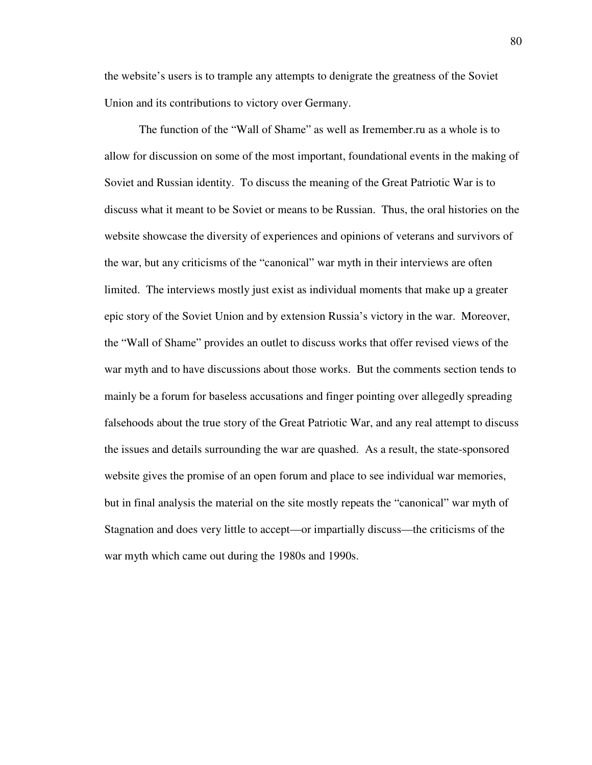the website's users is to trample any attempts to denigrate the greatness of the Soviet Union and its contributions to victory over Germany.

The function of the "Wall of Shame" as well as Iremember.ru as a whole is to allow for discussion on some of the most important, foundational events in the making of Soviet and Russian identity. To discuss the meaning of the Great Patriotic War is to discuss what it meant to be Soviet or means to be Russian. Thus, the oral histories on the website showcase the diversity of experiences and opinions of veterans and survivors of the war, but any criticisms of the "canonical" war myth in their interviews are often limited. The interviews mostly just exist as individual moments that make up a greater epic story of the Soviet Union and by extension Russia's victory in the war. Moreover, the "Wall of Shame" provides an outlet to discuss works that offer revised views of the war myth and to have discussions about those works. But the comments section tends to mainly be a forum for baseless accusations and finger pointing over allegedly spreading falsehoods about the true story of the Great Patriotic War, and any real attempt to discuss the issues and details surrounding the war are quashed. As a result, the state-sponsored website gives the promise of an open forum and place to see individual war memories, but in final analysis the material on the site mostly repeats the "canonical" war myth of Stagnation and does very little to accept—or impartially discuss—the criticisms of the war myth which came out during the 1980s and 1990s.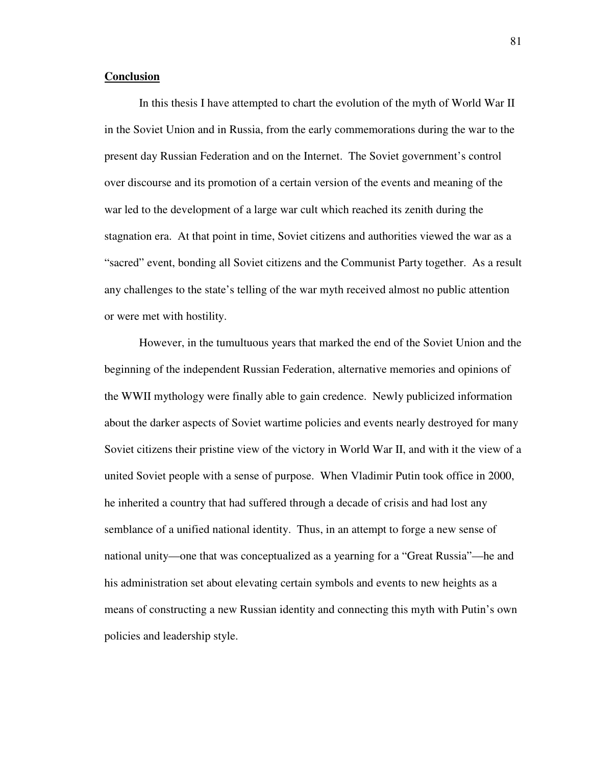#### **Conclusion**

 In this thesis I have attempted to chart the evolution of the myth of World War II in the Soviet Union and in Russia, from the early commemorations during the war to the present day Russian Federation and on the Internet. The Soviet government's control over discourse and its promotion of a certain version of the events and meaning of the war led to the development of a large war cult which reached its zenith during the stagnation era. At that point in time, Soviet citizens and authorities viewed the war as a "sacred" event, bonding all Soviet citizens and the Communist Party together. As a result any challenges to the state's telling of the war myth received almost no public attention or were met with hostility.

However, in the tumultuous years that marked the end of the Soviet Union and the beginning of the independent Russian Federation, alternative memories and opinions of the WWII mythology were finally able to gain credence. Newly publicized information about the darker aspects of Soviet wartime policies and events nearly destroyed for many Soviet citizens their pristine view of the victory in World War II, and with it the view of a united Soviet people with a sense of purpose. When Vladimir Putin took office in 2000, he inherited a country that had suffered through a decade of crisis and had lost any semblance of a unified national identity. Thus, in an attempt to forge a new sense of national unity—one that was conceptualized as a yearning for a "Great Russia"—he and his administration set about elevating certain symbols and events to new heights as a means of constructing a new Russian identity and connecting this myth with Putin's own policies and leadership style.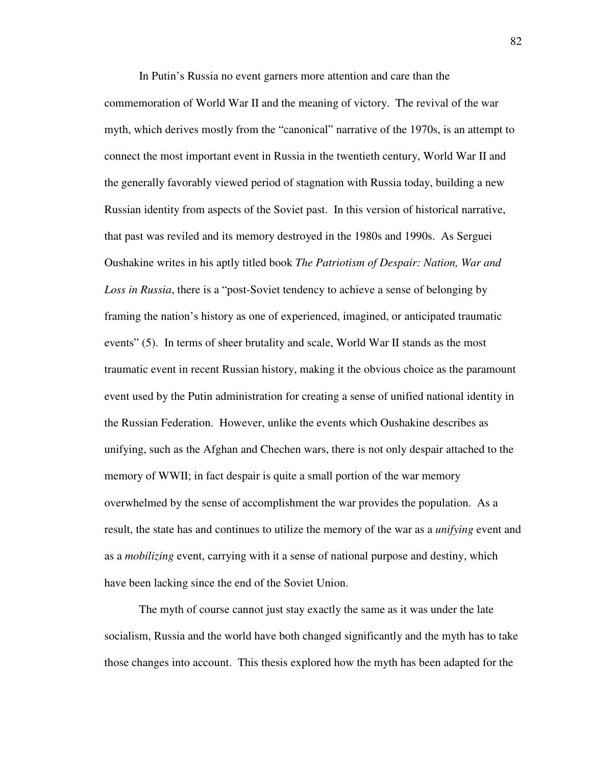In Putin's Russia no event garners more attention and care than the commemoration of World War II and the meaning of victory. The revival of the war myth, which derives mostly from the "canonical" narrative of the 1970s, is an attempt to connect the most important event in Russia in the twentieth century, World War II and the generally favorably viewed period of stagnation with Russia today, building a new Russian identity from aspects of the Soviet past. In this version of historical narrative, that past was reviled and its memory destroyed in the 1980s and 1990s. As Serguei Oushakine writes in his aptly titled book *The Patriotism of Despair: Nation, War and Loss in Russia*, there is a "post-Soviet tendency to achieve a sense of belonging by framing the nation's history as one of experienced, imagined, or anticipated traumatic events" (5). In terms of sheer brutality and scale, World War II stands as the most traumatic event in recent Russian history, making it the obvious choice as the paramount event used by the Putin administration for creating a sense of unified national identity in the Russian Federation. However, unlike the events which Oushakine describes as unifying, such as the Afghan and Chechen wars, there is not only despair attached to the memory of WWII; in fact despair is quite a small portion of the war memory overwhelmed by the sense of accomplishment the war provides the population. As a result, the state has and continues to utilize the memory of the war as a *unifying* event and as a *mobilizing* event, carrying with it a sense of national purpose and destiny, which have been lacking since the end of the Soviet Union.

The myth of course cannot just stay exactly the same as it was under the late socialism, Russia and the world have both changed significantly and the myth has to take those changes into account. This thesis explored how the myth has been adapted for the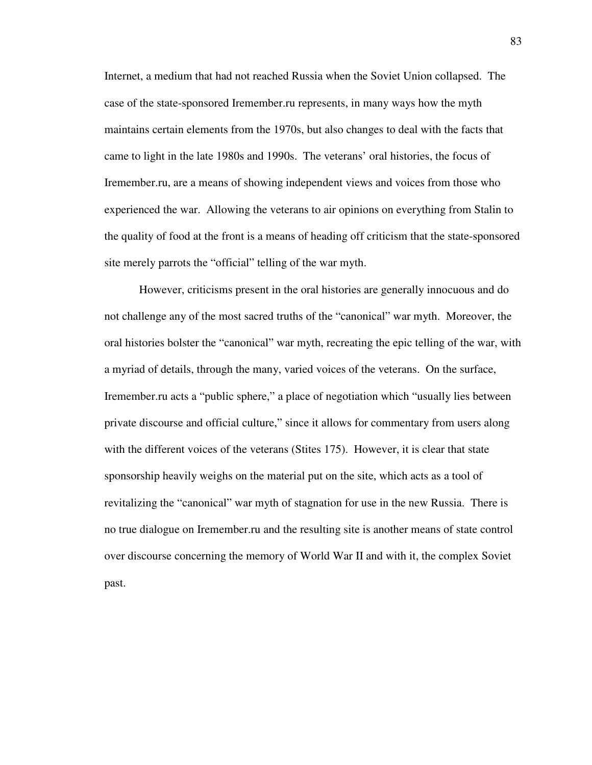Internet, a medium that had not reached Russia when the Soviet Union collapsed. The case of the state-sponsored Iremember.ru represents, in many ways how the myth maintains certain elements from the 1970s, but also changes to deal with the facts that came to light in the late 1980s and 1990s. The veterans' oral histories, the focus of Iremember.ru, are a means of showing independent views and voices from those who experienced the war. Allowing the veterans to air opinions on everything from Stalin to the quality of food at the front is a means of heading off criticism that the state-sponsored site merely parrots the "official" telling of the war myth.

However, criticisms present in the oral histories are generally innocuous and do not challenge any of the most sacred truths of the "canonical" war myth. Moreover, the oral histories bolster the "canonical" war myth, recreating the epic telling of the war, with a myriad of details, through the many, varied voices of the veterans. On the surface, Iremember.ru acts a "public sphere," a place of negotiation which "usually lies between private discourse and official culture," since it allows for commentary from users along with the different voices of the veterans (Stites 175). However, it is clear that state sponsorship heavily weighs on the material put on the site, which acts as a tool of revitalizing the "canonical" war myth of stagnation for use in the new Russia. There is no true dialogue on Iremember.ru and the resulting site is another means of state control over discourse concerning the memory of World War II and with it, the complex Soviet past.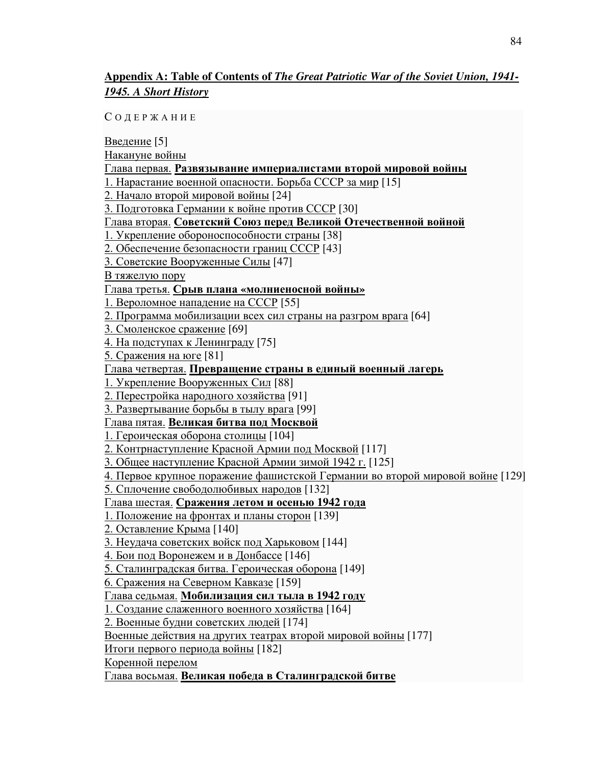## **Appendix A: Table of Contents of** *The Great Patriotic War of the Soviet Union, 1941- 1945. A Short History*

С О Д Е Р Ж А Н И Е

Введение [5] Накануне войны Глава первая. Развязывание империалистами второй мировой войны 1. Нарастание военной опасности. Борьба СССР за мир [15] 2. Начало второй мировой войны [24] 3. Подготовка Германии к войне против СССР [30] Глава вторая. Советский Союз перед Великой Отечественной войной 1. Укрепление обороноспособности страны [38] 2. Обеспечение безопасности границ СССР [43] 3. Советские Вооруженные Силы [47] В тяжелую пору Глава третья. Срыв плана **«**молниеносной войны**»** 1. Вероломное нападение на СССР [55] 2. Программа мобилизации всех сил страны на разгром врага [64] 3. Смоленское сражение [69] 4. На подступах к Ленинграду [75] 5. Сражения на юге [81] Глава четвертая. Превращение страны в единый военный лагерь 1. Укрепление Вооруженных Сил [88] 2. Перестройка народного хозяйства [91] 3. Развертывание борьбы в тылу врага [99] Глава пятая. Великая битва под Москвой 1. Героическая оборона столицы [104] 2. Контрнаступление Красной Армии под Москвой [117] 3. Общее наступление Красной Армии зимой 1942 г. [125] 4. Первое крупное поражение фашистской Германии во второй мировой войне [129] 5. Сплочение свободолюбивых народов [132] Глава шестая. Сражения летом и осенью **1942** года 1. Положение на фронтах и планы сторон [139] 2. Оставление Крыма [140] 3. Неудача советских войск под Харьковом [144] 4. Бои под Воронежем и в Донбассе [146] 5. Сталинградская битва. Героическая оборона [149] 6. Сражения на Северном Кавказе [159] Глава седьмая. Мобилизация сил тыла в **1942** году 1. Создание слаженного военного хозяйства [164] 2. Военные будни советских людей [174] Военные действия на других театрах второй мировой войны [177] Итоги первого периода войны [182] Коренной перелом Глава восьмая. Великая победа в Сталинградской битве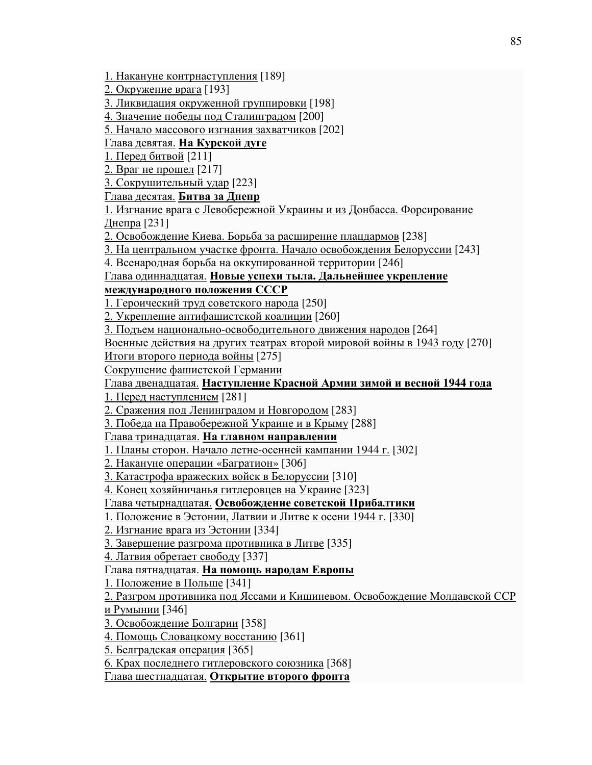1. Накануне контрнаступления [189]

2. Окружение врага [193]

3. Ликвидация окруженной группировки [198]

4. Значение победы под Сталинградом [200]

5. Начало массового изгнания захватчиков [202]

Глава девятая. На Курской дуге

1. Перед битвой [211]

2. Враг не прошел [217]

3. Сокрушительный удар [223]

Глава десятая. Битва за Днепр

1. Изгнание врага с Левобережной Украины и из Донбасса. Форсирование Днепра [231]

2. Освобождение Киева. Борьба за расширение плацдармов [238]

3. На центральном участке фронта. Начало освобождения Белоруссии [243]

4. Всенародная борьба на оккупированной территории [246]

Глава одиннадцатая. Новые успехи тыла**.** Дальнейшее укрепление

международного положения СССР

1. Героический труд советского народа [250]

2. Укрепление антифашистской коалиции [260]

3. Подъем национально-освободительного движения народов [264]

Военные действия на других театрах второй мировой войны в 1943 году [270]

Итоги второго периода войны [275]

Сокрушение фашистской Германии

Глава двенадцатая. Наступление Красной Армии зимой и весной **1944** года

1. Перед наступлением [281]

2. Сражения под Ленинградом и Новгородом [283]

3. Победа на Правобережной Украине и в Крыму [288]

Глава тринадцатая. На главном направлении

1. Планы сторон. Начало летне-осенней кампании 1944 г. [302]

2. Накануне операции «Багратион» [306]

3. Катастрофа вражеских войск в Белоруссии [310]

4. Конец хозяйничанья гитлеровцев на Украине [323]

Глава четырнадцатая. Освобождение советской Прибалтики

1. Положение в Эстонии, Латвии и Литве к осени 1944 г. [330]

2. Изгнание врага из Эстонии [334]

3. Завершение разгрома противника в Литве [335]

4. Латвия обретает свободу [337]

Глава пятнадцатая. На помощь народам Европы

1. Положение в Польше [341]

2. Разгром противника под Яссами и Кишиневом. Освобождение Молдавской ССР

и Румынии [346]

3. Освобождение Болгарии [358]

4. Помощь Словацкому восстанию [361]

5. Белградская операция [365]

6. Крах последнего гитлеровского союзника [368]

Глава шестнадцатая. Открытие второго фронта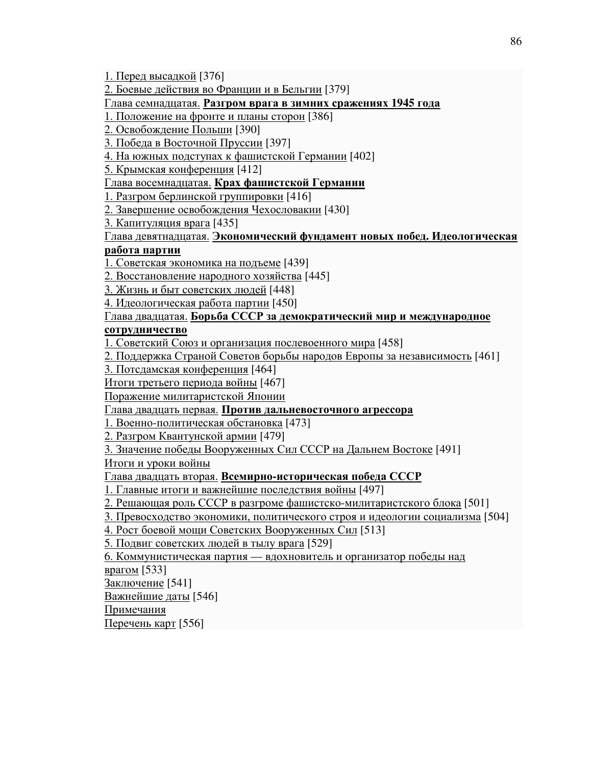1. Перед высадкой [376]

2. Боевые действия во Франции и в Бельгии [379]

Глава семнадцатая. Разгром врага в зимних сражениях **1945** года

1. Положение на фронте и планы сторон [386]

2. Освобождение Польши [390]

3. Победа в Восточной Пруссии [397]

4. На южных подступах к фашистской Германии [402]

5. Крымская конференция [412]

Глава восемнадцатая. Крах фашистской Германии

1. Разгром берлинской группировки [416]

2. Завершение освобождения Чехословакии [430]

3. Капитуляция врага [435]

### Глава девятнадцатая. Экономический фундамент новых побед**.** Идеологическая работа партии

1. Советская экономика на подъеме [439]

2. Восстановление народного хозяйства [445]

3. Жизнь и быт советских людей [448]

4. Идеологическая работа партии [450]

Глава двадцатая. Борьба СССР за демократический мир и международное сотрудничество

1. Советский Союз и организация послевоенного мира [458]

2. Поддержка Страной Советов борьбы народов Европы за независимость [461]

3. Потсдамская конференция [464]

Итоги третьего периода войны [467]

Поражение милитаристской Японии

Глава двадцать первая. Против дальневосточного агрессора

1. Военно-политическая обстановка [473]

2. Разгром Квантунской армии [479]

3. Значение победы Вооруженных Сил СССР на Дальнем Востоке [491]

Итоги и уроки войны

Глава двадцать вторая. Всемирно**-**историческая победа СССР

1. Главные итоги и важнейшие последствия войны [497]

2. Решающая роль СССР в разгроме фашистско-милитаристского блока [501]

3. Превосходство экономики, политического строя и идеологии социализма [504]

4. Рост боевой мощи Советских Вооруженных Сил [513]

5. Подвиг советских людей в тылу врага [529]

6. Коммунистическая партия — вдохновитель и организатор победы над

врагом [533]

Заключение [541]

Важнейшие даты [546]

Примечания

Перечень карт [556]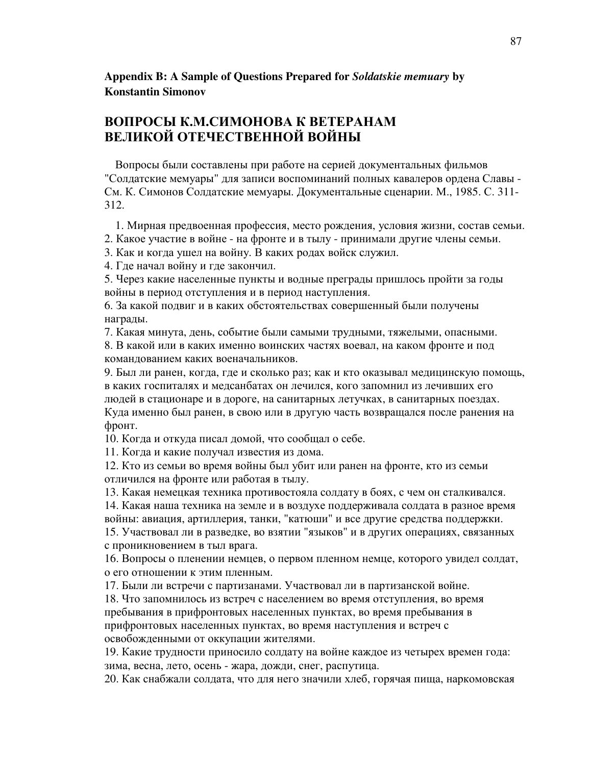## **Appendix B: A Sample of Questions Prepared for** *Soldatskie memuary* **by Konstantin Simonov**

# ВОПРОСЫ К.М.СИМОНОВА К ВЕТЕРАНАМ ВЕЛИКОЙ ОТЕЧЕСТВЕННОЙ ВОЙНЫ

Вопросы были составлены при работе на серией документальных фильмов "Солдатские мемуары" для записи воспоминаний полных кавалеров ордена Славы - См. К. Симонов Солдатские мемуары. Документальные сценарии. М., 1985. С. 311- 312.

1. Мирная предвоенная профессия, место рождения, условия жизни, состав семьи.

2. Какое участие в войне - на фронте и в тылу - принимали другие члены семьи.

3. Как и когда ушел на войну. В каких родах войск служил.

4. Где начал войну и где закончил.

5. Через какие населенные пункты и водные преграды пришлось пройти за годы войны в период отступления и в период наступления.

6. За какой подвиг и в каких обстоятельствах совершенный были получены награды.

7. Какая минута, день, событие были самыми трудными, тяжелыми, опасными. 8. В какой или в каких именно воинских частях воевал, на каком фронте и под командованием каких военачальников.

9. Был ли ранен, когда, где и сколько раз; как и кто оказывал медицинскую помощь, в каких госпиталях и медсанбатах он лечился, кого запомнил из лечивших его людей в стационаре и в дороге, на санитарных летучках, в санитарных поездах. Куда именно был ранен, в свою или в другую часть возвращался после ранения на фронт.

10. Когда и откуда писал домой, что сообщал о себе.

11. Когда и какие получал известия из дома.

12. Кто из семьи во время войны был убит или ранен на фронте, кто из семьи отличился на фронте или работая в тылу.

13. Какая немецкая техника противостояла солдату в боях, с чем он сталкивался.

14. Какая наша техника на земле и в воздухе поддерживала солдата в разное время войны: авиация, артиллерия, танки, "катюши" и все другие средства поддержки.

15. Участвовал ли в разведке, во взятии "языков" и в других операциях, связанных с проникновением в тыл врага.

16. Вопросы о пленении немцев, о первом пленном немце, которого увидел солдат, о его отношении к этим пленным.

17. Были ли встречи с партизанами. Участвовал ли в партизанской войне.

18. Что запомнилось из встреч с населением во время отступления, во время пребывания в прифронтовых населенных пунктах, во время пребывания в прифронтовых населенных пунктах, во время наступления и встреч с освобожденными от оккупации жителями.

19. Какие трудности приносило солдату на войне каждое из четырех времен года: зима, весна, лето, осень - жара, дожди, снег, распутица.

20. Как снабжали солдата, что для него значили хлеб, горячая пища, наркомовская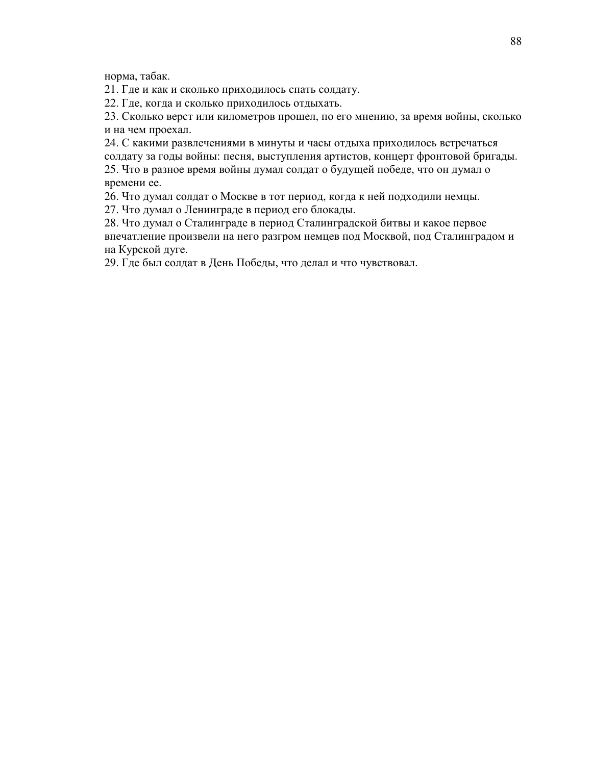норма, табак.

21. Где и как и сколько приходилось спать солдату.

22. Где, когда и сколько приходилось отдыхать.

23. Сколько верст или километров прошел, по его мнению, за время войны, сколько и на чем проехал.

24. С какими развлечениями в минуты и часы отдыха приходилось встречаться солдату за годы войны: песня, выступления артистов, концерт фронтовой бригады. 25. Что в разное время войны думал солдат о будущей победе, что он думал о времени ее.

26. Что думал солдат о Москве в тот период, когда к ней подходили немцы.

27. Что думал о Ленинграде в период его блокады.

28. Что думал о Сталинграде в период Сталинградской битвы и какое первое впечатление произвели на него разгром немцев под Москвой, под Сталинградом и на Курской дуге.

29. Где был солдат в День Победы, что делал и что чувствовал.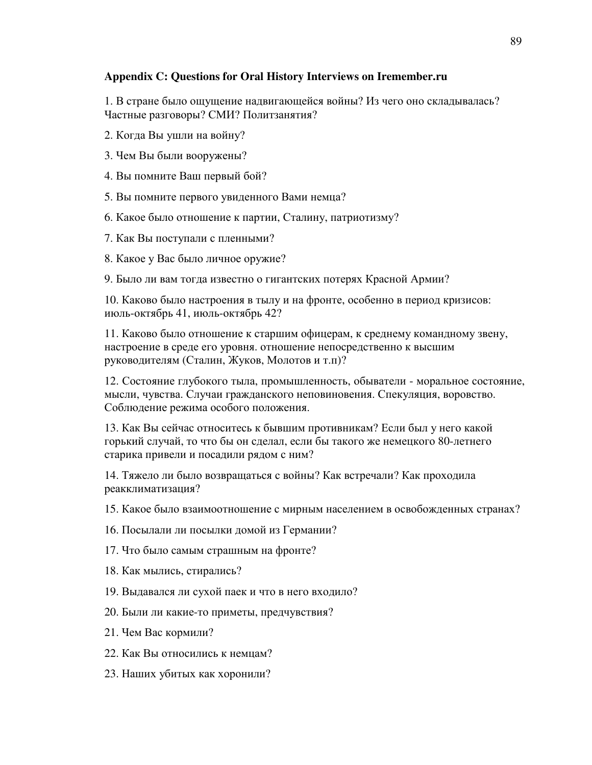### **Appendix C: Questions for Oral History Interviews on Iremember.ru**

1. В стране было ощущение надвигающейся войны? Из чего оно складывалась? Частные разговоры? СМИ? Политзанятия?

- 2. Когда Вы ушли на войну?
- 3. Чем Вы были вооружены?
- 4. Вы помните Ваш первый бой?
- 5. Вы помните первого увиденного Вами немца?
- 6. Какое было отношение к партии, Сталину, патриотизму?
- 7. Как Вы поступали с пленными?
- 8. Какое у Вас было личное оружие?
- 9. Было ли вам тогда известно о гигантских потерях Красной Армии?

10. Каково было настроения в тылу и на фронте, особенно в период кризисов: июль-октябрь 41, июль-октябрь 42?

11. Каково было отношение к старшим офицерам, к среднему командному звену, настроение в среде его уровня. отношение непосредственно к высшим руководителям (Сталин, Жуков, Молотов и т.п)?

12. Состояние глубокого тыла, промышленность, обыватели - моральное состояние, мысли, чувства. Случаи гражданского неповиновения. Спекуляция, воровство. Соблюдение режима особого положения.

13. Как Вы сейчас относитесь к бывшим противникам? Если был у него какой горький случай, то что бы он сделал, если бы такого же немецкого 80-летнего старика привели и посадили рядом с ним?

14. Тяжело ли было возвращаться с войны? Как встречали? Как проходила реакклиматизация?

15. Какое было взаимоотношение с мирным населением в освобожденных странах?

- 16. Посылали ли посылки домой из Германии?
- 17. Что было самым страшным на фронте?
- 18. Как мылись, стирались?
- 19. Выдавался ли сухой паек и что в него входило?
- 20. Были ли какие-то приметы, предчувствия?
- 21. Чем Вас кормили?
- 22. Как Вы относились к немцам?
- 23. Наших убитых как хоронили?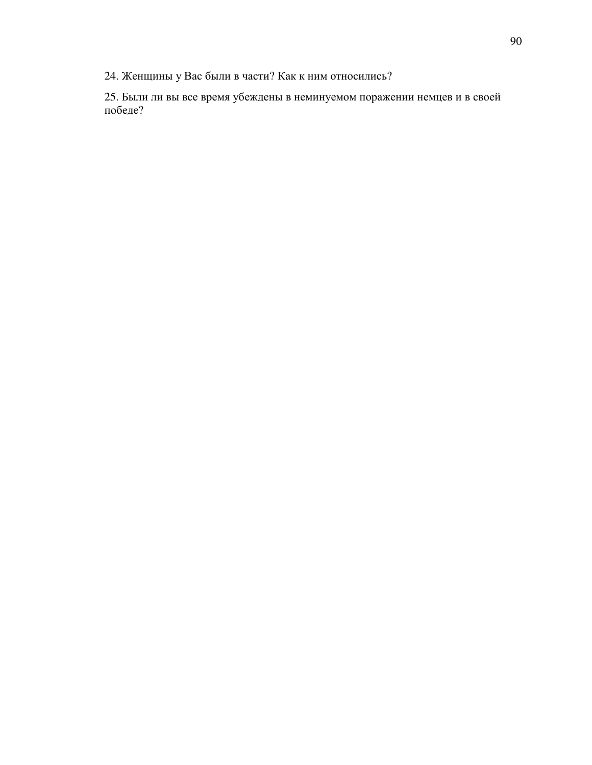24. Женщины у Вас были в части? Как к ним относились?

25. Были ли вы все время убеждены в неминуемом поражении немцев и в своей победе?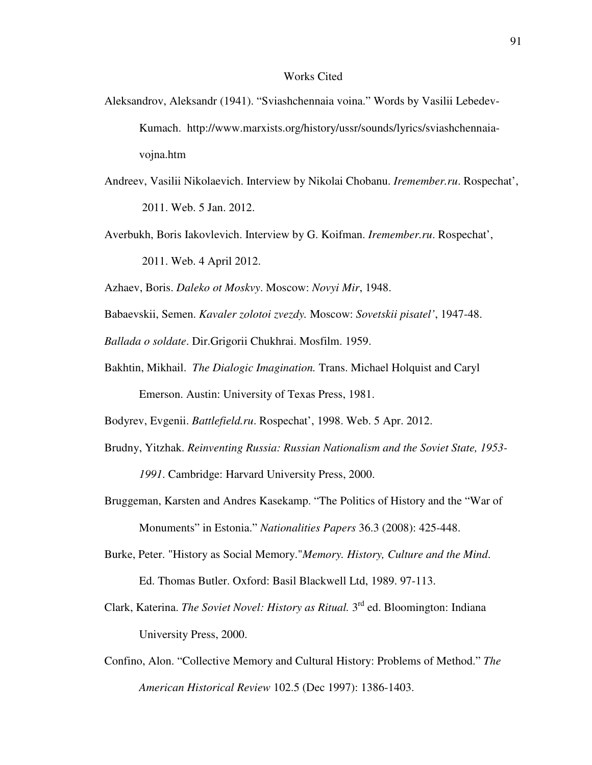#### Works Cited

- Aleksandrov, Aleksandr (1941). "Sviashchennaia voina." Words by Vasilii Lebedev- Kumach. http://www.marxists.org/history/ussr/sounds/lyrics/sviashchennaia vojna.htm
- Andreev, Vasilii Nikolaevich. Interview by Nikolai Chobanu. *Iremember.ru*. Rospechat', 2011. Web. 5 Jan. 2012.
- Averbukh, Boris Iakovlevich. Interview by G. Koifman. *Iremember.ru*. Rospechat',

2011. Web. 4 April 2012.

Azhaev, Boris. *Daleko ot Moskvy*. Moscow: *Novyi Mir*, 1948.

Babaevskii, Semen. *Kavaler zolotoi zvezdy.* Moscow: *Sovetskii pisatel'*, 1947-48.

*Ballada o soldate*. Dir.Grigorii Chukhrai. Mosfilm. 1959.

Bakhtin, Mikhail. *The Dialogic Imagination.* Trans. Michael Holquist and Caryl Emerson. Austin: University of Texas Press, 1981.

Bodyrev, Evgenii. *Battlefield.ru*. Rospechat', 1998. Web. 5 Apr. 2012.

Brudny, Yitzhak. *Reinventing Russia: Russian Nationalism and the Soviet State, 1953-*

 *1991*. Cambridge: Harvard University Press, 2000.

- Bruggeman, Karsten and Andres Kasekamp. "The Politics of History and the "War of Monuments" in Estonia." *Nationalities Papers* 36.3 (2008): 425-448.
- Burke, Peter. "History as Social Memory."*Memory. History, Culture and the Mind*. Ed. Thomas Butler. Oxford: Basil Blackwell Ltd, 1989. 97-113.
- Clark, Katerina. *The Soviet Novel: History as Ritual*. 3<sup>rd</sup> ed. Bloomington: Indiana University Press, 2000.
- Confino, Alon. "Collective Memory and Cultural History: Problems of Method." *The American Historical Review* 102.5 (Dec 1997): 1386-1403.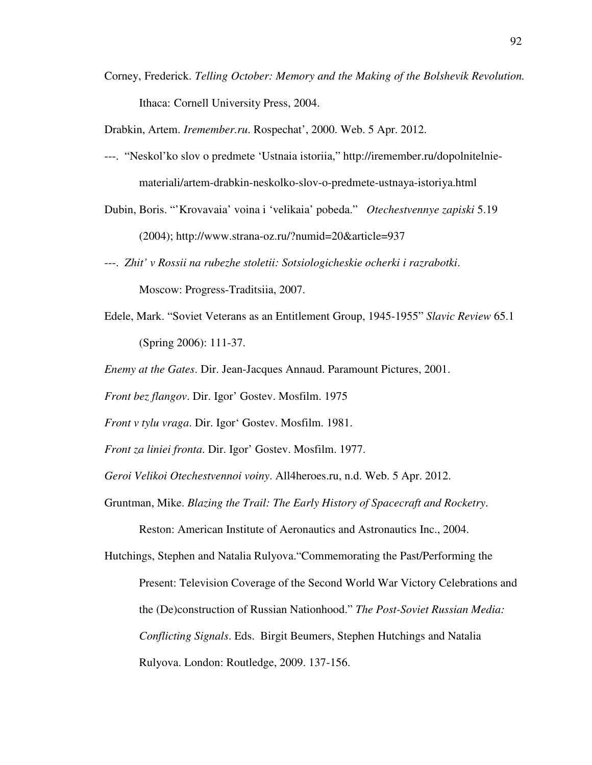Corney, Frederick. *Telling October: Memory and the Making of the Bolshevik Revolution.*  Ithaca: Cornell University Press, 2004.

Drabkin, Artem. *Iremember.ru*. Rospechat', 2000. Web. 5 Apr. 2012.

- ---. "Neskol'ko slov o predmete 'Ustnaia istoriia," http://iremember.ru/dopolnitelnie materiali/artem-drabkin-neskolko-slov-o-predmete-ustnaya-istoriya.html
- Dubin, Boris. "'Krovavaia' voina i 'velikaia' pobeda." *Otechestvennye zapiski* 5.19 (2004); http://www.strana-oz.ru/?numid=20&article=937
- ---. *Zhit' v Rossii na rubezhe stoletii: Sotsiologicheskie ocherki i razrabotki*. Moscow: Progress-Traditsiia, 2007.
- Edele, Mark. "Soviet Veterans as an Entitlement Group, 1945-1955" *Slavic Review* 65.1 (Spring 2006): 111-37.
- *Enemy at the Gates*. Dir. Jean-Jacques Annaud. Paramount Pictures, 2001.
- *Front bez flangov*. Dir. Igor' Gostev. Mosfilm. 1975
- *Front v tylu vraga*. Dir. Igor' Gostev. Mosfilm. 1981.
- *Front za liniei fronta*. Dir. Igor' Gostev. Mosfilm. 1977.
- *Geroi Velikoi Otechestvennoi voiny*. All4heroes.ru, n.d. Web. 5 Apr. 2012.
- Gruntman, Mike. *Blazing the Trail: The Early History of Spacecraft and Rocketry*.

Reston: American Institute of Aeronautics and Astronautics Inc., 2004.

Hutchings, Stephen and Natalia Rulyova."Commemorating the Past/Performing the

- Present: Television Coverage of the Second World War Victory Celebrations and
- the (De)construction of Russian Nationhood." *The Post-Soviet Russian Media:*

 *Conflicting Signals*. Eds. Birgit Beumers, Stephen Hutchings and Natalia

Rulyova. London: Routledge, 2009. 137-156.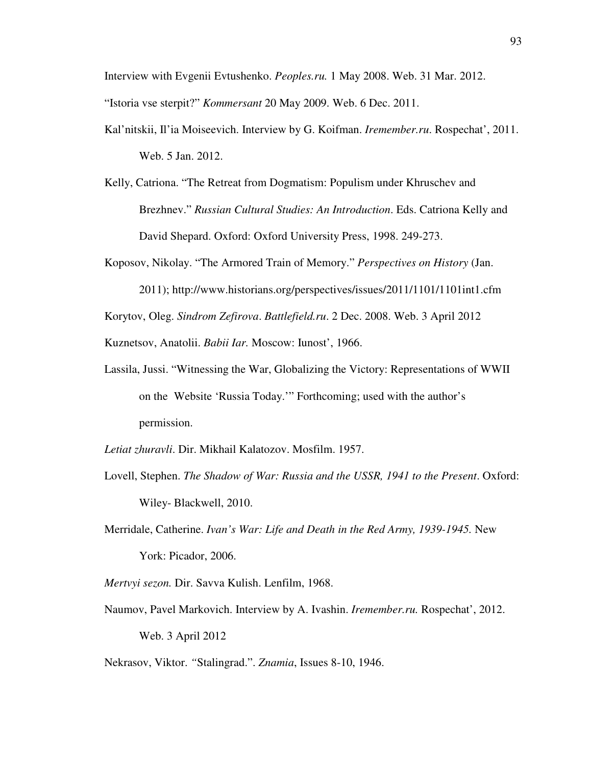Interview with Evgenii Evtushenko. *Peoples.ru.* 1 May 2008. Web. 31 Mar. 2012.

"Istoria vse sterpit?" *Kommersant* 20 May 2009. Web. 6 Dec. 2011.

- Kal'nitskii, Il'ia Moiseevich. Interview by G. Koifman. *Iremember.ru*. Rospechat', 2011. Web. 5 Jan. 2012.
- Kelly, Catriona. "The Retreat from Dogmatism: Populism under Khruschev and Brezhnev." *Russian Cultural Studies: An Introduction*. Eds. Catriona Kelly and David Shepard. Oxford: Oxford University Press, 1998. 249-273.
- Koposov, Nikolay. "The Armored Train of Memory." *Perspectives on History* (Jan.
	- 2011); http://www.historians.org/perspectives/issues/2011/1101/1101int1.cfm

Korytov, Oleg. *Sindrom Zefirova*. *Battlefield.ru*. 2 Dec. 2008. Web. 3 April 2012

Kuznetsov, Anatolii. *Babii Iar.* Moscow: Iunost', 1966.

- Lassila, Jussi. "Witnessing the War, Globalizing the Victory: Representations of WWII on the Website 'Russia Today.'" Forthcoming; used with the author's permission.
- *Letiat zhuravli*. Dir. Mikhail Kalatozov. Mosfilm. 1957.
- Lovell, Stephen. *The Shadow of War: Russia and the USSR, 1941 to the Present*. Oxford: Wiley- Blackwell, 2010.
- Merridale, Catherine. *Ivan's War: Life and Death in the Red Army, 1939-1945.* New York: Picador, 2006.
- *Mertvyi sezon.* Dir. Savva Kulish. Lenfilm, 1968.
- Naumov, Pavel Markovich. Interview by A. Ivashin. *Iremember.ru.* Rospechat', 2012. Web. 3 April 2012

Nekrasov, Viktor. *"*Stalingrad.". *Znamia*, Issues 8-10, 1946.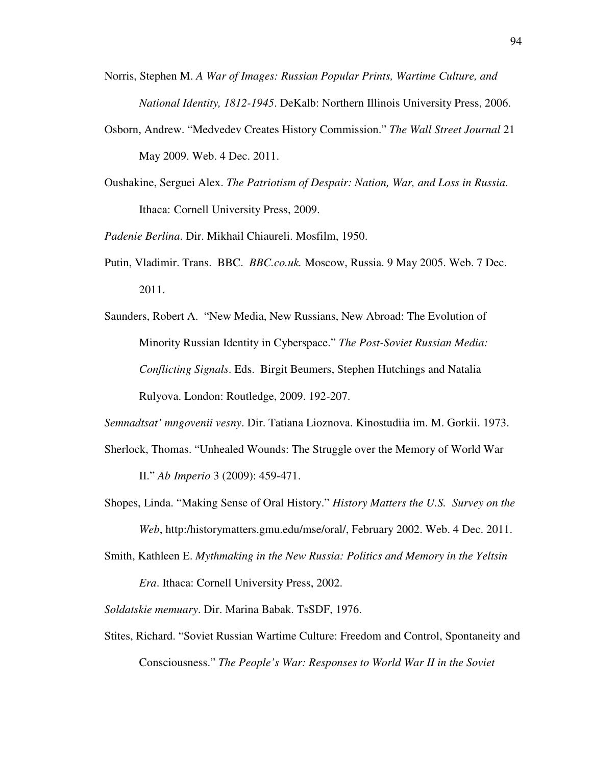- Norris, Stephen M. *A War of Images: Russian Popular Prints, Wartime Culture, and National Identity, 1812-1945*. DeKalb: Northern Illinois University Press, 2006.
- Osborn, Andrew. "Medvedev Creates History Commission." *The Wall Street Journal* 21 May 2009. Web. 4 Dec. 2011.
- Oushakine, Serguei Alex. *The Patriotism of Despair: Nation, War, and Loss in Russia*. Ithaca: Cornell University Press, 2009.

*Padenie Berlina*. Dir. Mikhail Chiaureli. Mosfilm, 1950.

- Putin, Vladimir. Trans. BBC. *BBC.co.uk.* Moscow, Russia. 9 May 2005. Web. 7 Dec. 2011.
- Saunders, Robert A. "New Media, New Russians, New Abroad: The Evolution of Minority Russian Identity in Cyberspace." *The Post-Soviet Russian Media: Conflicting Signals*. Eds. Birgit Beumers, Stephen Hutchings and Natalia Rulyova. London: Routledge, 2009. 192-207.

*Semnadtsat' mngovenii vesny*. Dir. Tatiana Lioznova. Kinostudiia im. M. Gorkii. 1973.

Sherlock, Thomas. "Unhealed Wounds: The Struggle over the Memory of World War

II." *Ab Imperio* 3 (2009): 459-471.

- Shopes, Linda. "Making Sense of Oral History." *History Matters the U.S. Survey on the Web*, http:/historymatters.gmu.edu/mse/oral/, February 2002. Web. 4 Dec. 2011.
- Smith, Kathleen E. *Mythmaking in the New Russia: Politics and Memory in the Yeltsin*

 *Era*. Ithaca: Cornell University Press, 2002.

*Soldatskie memuary*. Dir. Marina Babak. TsSDF, 1976.

Stites, Richard. "Soviet Russian Wartime Culture: Freedom and Control, Spontaneity and Consciousness." *The People's War: Responses to World War II in the Soviet*